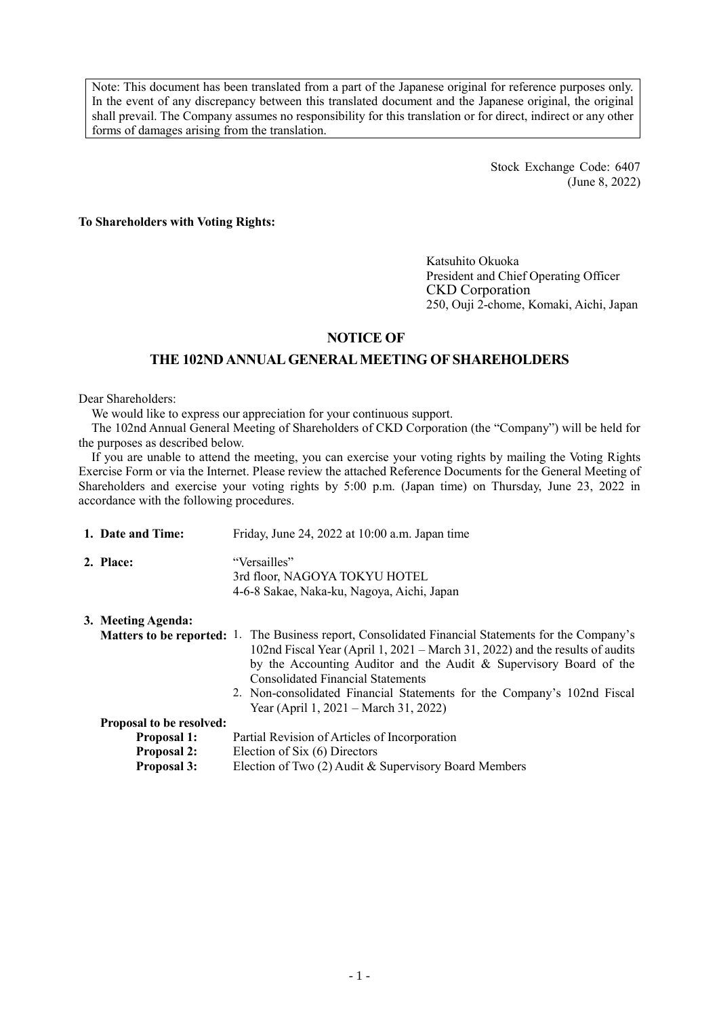Note: This document has been translated from a part of the Japanese original for reference purposes only. In the event of any discrepancy between this translated document and the Japanese original, the original shall prevail. The Company assumes no responsibility for this translation or for direct, indirect or any other forms of damages arising from the translation.

> Stock Exchange Code: 6407 (June 8, 2022)

**To Shareholders with Voting Rights:**

Katsuhito Okuoka President and Chief Operating Officer CKD Corporation 250, Ouji 2-chome, Komaki, Aichi, Japan

# **NOTICE OF**

# **THE 102ND ANNUAL GENERAL MEETING OF SHAREHOLDERS**

Dear Shareholders:

We would like to express our appreciation for your continuous support.

The 102nd Annual General Meeting of Shareholders of CKD Corporation (the "Company") will be held for the purposes as described below.

If you are unable to attend the meeting, you can exercise your voting rights by mailing the Voting Rights Exercise Form or via the Internet. Please review the attached Reference Documents for the General Meeting of Shareholders and exercise your voting rights by 5:00 p.m. (Japan time) on Thursday, June 23, 2022 in accordance with the following procedures.

| 1. Date and Time:               | Friday, June 24, 2022 at 10:00 a.m. Japan time                                                                                                                                                                                                                                                                                                                                                                                   |
|---------------------------------|----------------------------------------------------------------------------------------------------------------------------------------------------------------------------------------------------------------------------------------------------------------------------------------------------------------------------------------------------------------------------------------------------------------------------------|
| 2. Place:                       | "Versailles"<br>3rd floor, NAGOYA TOKYU HOTEL<br>4-6-8 Sakae, Naka-ku, Nagoya, Aichi, Japan                                                                                                                                                                                                                                                                                                                                      |
| 3. Meeting Agenda:              |                                                                                                                                                                                                                                                                                                                                                                                                                                  |
|                                 | <b>Matters to be reported:</b> 1. The Business report, Consolidated Financial Statements for the Company's<br>102nd Fiscal Year (April 1, 2021 – March 31, 2022) and the results of audits<br>by the Accounting Auditor and the Audit & Supervisory Board of the<br><b>Consolidated Financial Statements</b><br>2. Non-consolidated Financial Statements for the Company's 102nd Fiscal<br>Year (April 1, 2021 – March 31, 2022) |
| <b>Proposal to be resolved:</b> |                                                                                                                                                                                                                                                                                                                                                                                                                                  |
| <b>Proposal 1:</b>              | Partial Revision of Articles of Incorporation                                                                                                                                                                                                                                                                                                                                                                                    |
| <b>Proposal 2:</b>              | Election of Six (6) Directors                                                                                                                                                                                                                                                                                                                                                                                                    |
| <b>Proposal 3:</b>              | Election of Two (2) Audit & Supervisory Board Members                                                                                                                                                                                                                                                                                                                                                                            |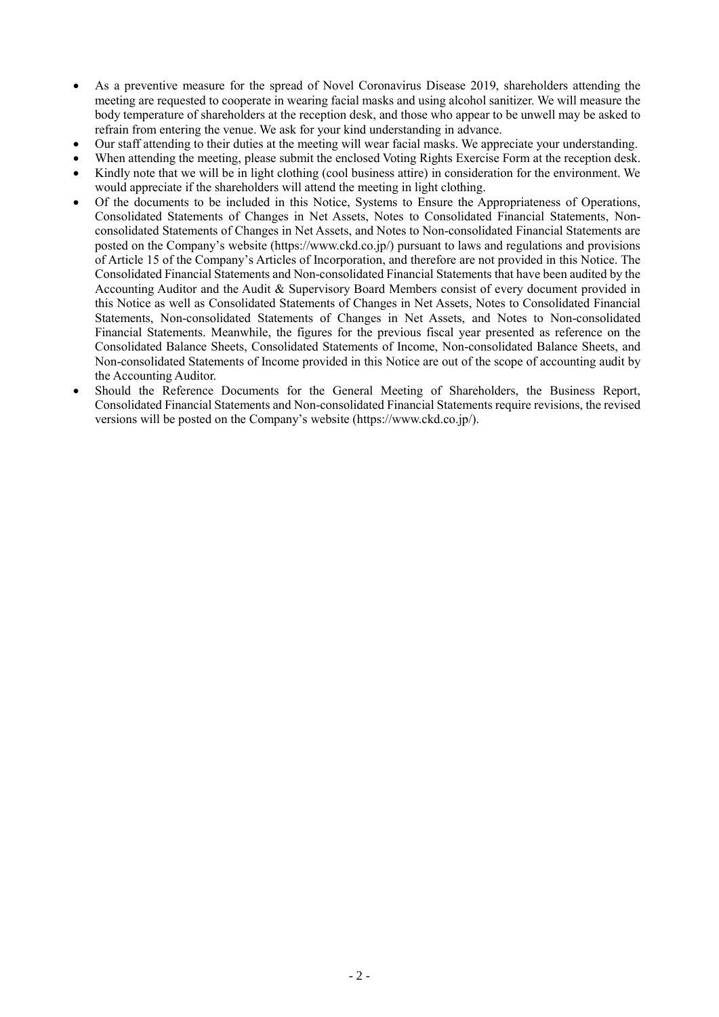- As a preventive measure for the spread of Novel Coronavirus Disease 2019, shareholders attending the meeting are requested to cooperate in wearing facial masks and using alcohol sanitizer. We will measure the body temperature of shareholders at the reception desk, and those who appear to be unwell may be asked to refrain from entering the venue. We ask for your kind understanding in advance.
- Our staff attending to their duties at the meeting will wear facial masks. We appreciate your understanding.
- When attending the meeting, please submit the enclosed Voting Rights Exercise Form at the reception desk.
- Kindly note that we will be in light clothing (cool business attire) in consideration for the environment. We would appreciate if the shareholders will attend the meeting in light clothing.
- Of the documents to be included in this Notice, Systems to Ensure the Appropriateness of Operations, Consolidated Statements of Changes in Net Assets, Notes to Consolidated Financial Statements, Nonconsolidated Statements of Changes in Net Assets, and Notes to Non-consolidated Financial Statements are posted on the Company's website (https://www.ckd.co.jp/) pursuant to laws and regulations and provisions of Article 15 of the Company's Articles of Incorporation, and therefore are not provided in this Notice. The Consolidated Financial Statements and Non-consolidated Financial Statements that have been audited by the Accounting Auditor and the Audit & Supervisory Board Members consist of every document provided in this Notice as well as Consolidated Statements of Changes in Net Assets, Notes to Consolidated Financial Statements, Non-consolidated Statements of Changes in Net Assets, and Notes to Non-consolidated Financial Statements. Meanwhile, the figures for the previous fiscal year presented as reference on the Consolidated Balance Sheets, Consolidated Statements of Income, Non-consolidated Balance Sheets, and Non-consolidated Statements of Income provided in this Notice are out of the scope of accounting audit by the Accounting Auditor.
- Should the Reference Documents for the General Meeting of Shareholders, the Business Report, Consolidated Financial Statements and Non-consolidated Financial Statements require revisions, the revised versions will be posted on the Company's website (https://www.ckd.co.jp/).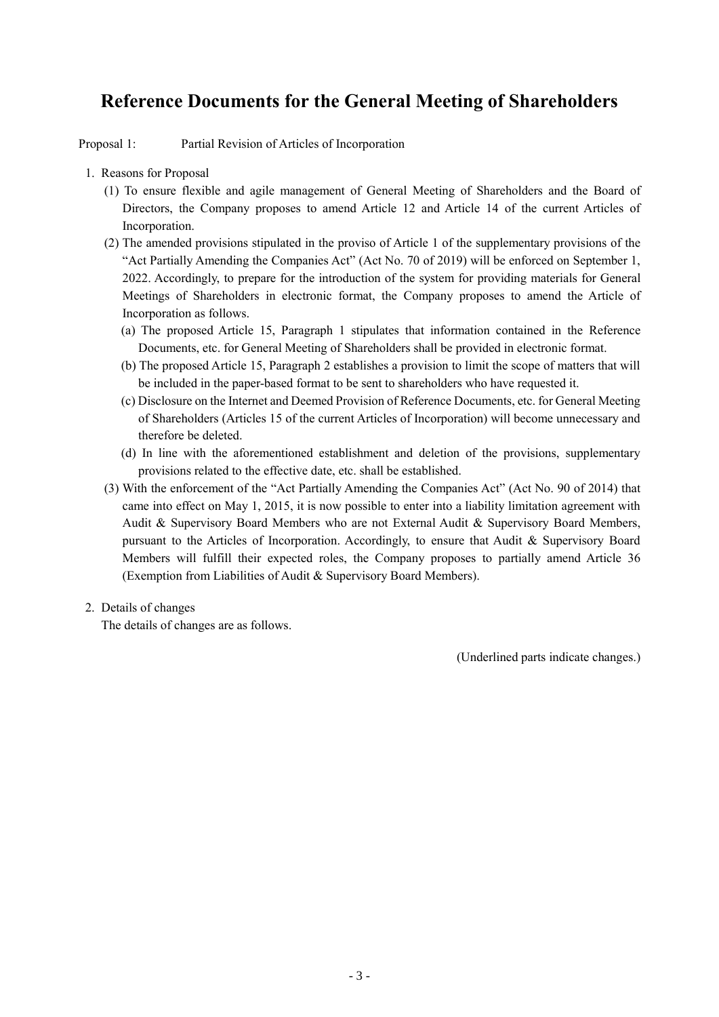# **Reference Documents for the General Meeting of Shareholders**

Proposal 1: Partial Revision of Articles of Incorporation

- 1. Reasons for Proposal
	- (1) To ensure flexible and agile management of General Meeting of Shareholders and the Board of Directors, the Company proposes to amend Article 12 and Article 14 of the current Articles of Incorporation.
	- (2) The amended provisions stipulated in the proviso of Article 1 of the supplementary provisions of the "Act Partially Amending the Companies Act" (Act No. 70 of 2019) will be enforced on September 1, 2022. Accordingly, to prepare for the introduction of the system for providing materials for General Meetings of Shareholders in electronic format, the Company proposes to amend the Article of Incorporation as follows.
		- (a) The proposed Article 15, Paragraph 1 stipulates that information contained in the Reference Documents, etc. for General Meeting of Shareholders shall be provided in electronic format.
		- (b) The proposed Article 15, Paragraph 2 establishes a provision to limit the scope of matters that will be included in the paper-based format to be sent to shareholders who have requested it.
		- (c) Disclosure on the Internet and Deemed Provision of Reference Documents, etc. for General Meeting of Shareholders (Articles 15 of the current Articles of Incorporation) will become unnecessary and therefore be deleted.
		- (d) In line with the aforementioned establishment and deletion of the provisions, supplementary provisions related to the effective date, etc. shall be established.
	- (3) With the enforcement of the "Act Partially Amending the Companies Act" (Act No. 90 of 2014) that came into effect on May 1, 2015, it is now possible to enter into a liability limitation agreement with Audit & Supervisory Board Members who are not External Audit & Supervisory Board Members, pursuant to the Articles of Incorporation. Accordingly, to ensure that Audit & Supervisory Board Members will fulfill their expected roles, the Company proposes to partially amend Article 36 (Exemption from Liabilities of Audit & Supervisory Board Members).
- 2. Details of changes

The details of changes are as follows.

(Underlined parts indicate changes.)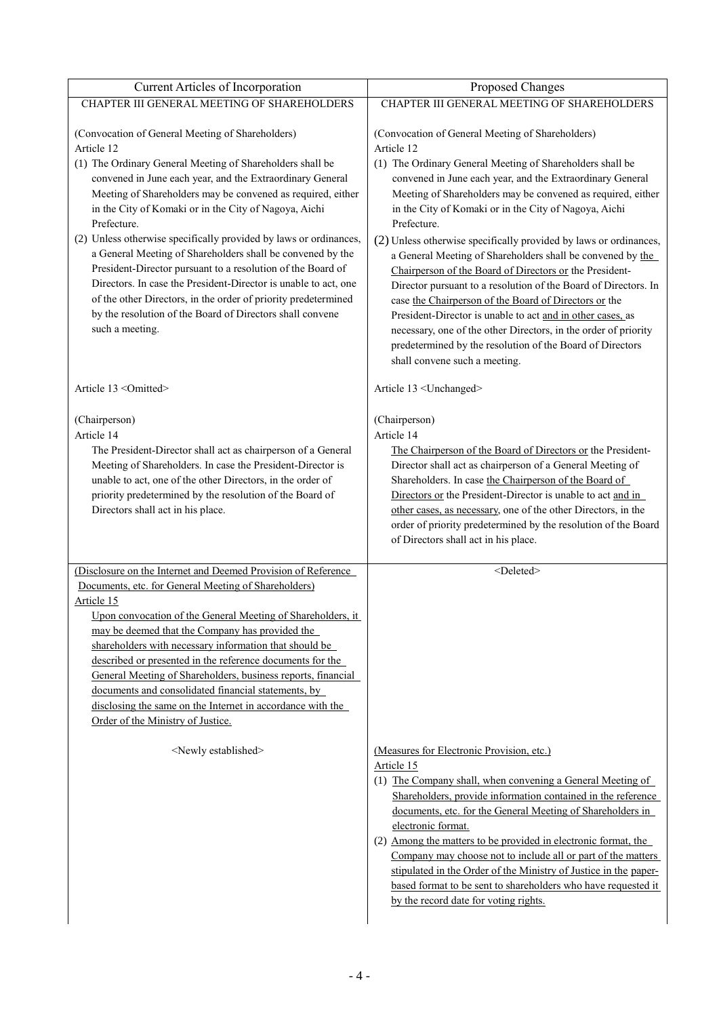| Current Articles of Incorporation                                                                                                                                                                                                                                                                                                                                                                                                                                                                                                                                                                      | Proposed Changes                                                                                                                                                                                                                                                                                                                                                                                                                                                                                                                                                                          |
|--------------------------------------------------------------------------------------------------------------------------------------------------------------------------------------------------------------------------------------------------------------------------------------------------------------------------------------------------------------------------------------------------------------------------------------------------------------------------------------------------------------------------------------------------------------------------------------------------------|-------------------------------------------------------------------------------------------------------------------------------------------------------------------------------------------------------------------------------------------------------------------------------------------------------------------------------------------------------------------------------------------------------------------------------------------------------------------------------------------------------------------------------------------------------------------------------------------|
| CHAPTER III GENERAL MEETING OF SHAREHOLDERS                                                                                                                                                                                                                                                                                                                                                                                                                                                                                                                                                            | CHAPTER III GENERAL MEETING OF SHAREHOLDERS                                                                                                                                                                                                                                                                                                                                                                                                                                                                                                                                               |
| (Convocation of General Meeting of Shareholders)<br>Article 12<br>(1) The Ordinary General Meeting of Shareholders shall be<br>convened in June each year, and the Extraordinary General<br>Meeting of Shareholders may be convened as required, either<br>in the City of Komaki or in the City of Nagoya, Aichi<br>Prefecture.<br>(2) Unless otherwise specifically provided by laws or ordinances,<br>a General Meeting of Shareholders shall be convened by the<br>President-Director pursuant to a resolution of the Board of                                                                      | (Convocation of General Meeting of Shareholders)<br>Article 12<br>(1) The Ordinary General Meeting of Shareholders shall be<br>convened in June each year, and the Extraordinary General<br>Meeting of Shareholders may be convened as required, either<br>in the City of Komaki or in the City of Nagoya, Aichi<br>Prefecture.<br>(2) Unless otherwise specifically provided by laws or ordinances,<br>a General Meeting of Shareholders shall be convened by the<br>Chairperson of the Board of Directors or the President-                                                             |
| Directors. In case the President-Director is unable to act, one<br>of the other Directors, in the order of priority predetermined<br>by the resolution of the Board of Directors shall convene<br>such a meeting.                                                                                                                                                                                                                                                                                                                                                                                      | Director pursuant to a resolution of the Board of Directors. In<br>case the Chairperson of the Board of Directors or the<br>President-Director is unable to act and in other cases, as<br>necessary, one of the other Directors, in the order of priority<br>predetermined by the resolution of the Board of Directors<br>shall convene such a meeting.                                                                                                                                                                                                                                   |
| Article 13 < Omitted >                                                                                                                                                                                                                                                                                                                                                                                                                                                                                                                                                                                 | Article 13 <unchanged></unchanged>                                                                                                                                                                                                                                                                                                                                                                                                                                                                                                                                                        |
| (Chairperson)<br>Article 14<br>The President-Director shall act as chairperson of a General<br>Meeting of Shareholders. In case the President-Director is<br>unable to act, one of the other Directors, in the order of<br>priority predetermined by the resolution of the Board of<br>Directors shall act in his place.                                                                                                                                                                                                                                                                               | (Chairperson)<br>Article 14<br>The Chairperson of the Board of Directors or the President-<br>Director shall act as chairperson of a General Meeting of<br>Shareholders. In case the Chairperson of the Board of<br>Directors or the President-Director is unable to act and in<br>other cases, as necessary, one of the other Directors, in the<br>order of priority predetermined by the resolution of the Board<br>of Directors shall act in his place.                                                                                                                                |
| (Disclosure on the Internet and Deemed Provision of Reference<br>Documents, etc. for General Meeting of Shareholders)<br>Article 15<br>Upon convocation of the General Meeting of Shareholders, it<br>may be deemed that the Company has provided the<br>shareholders with necessary information that should be<br>described or presented in the reference documents for the<br>General Meeting of Shareholders, business reports, financial<br>documents and consolidated financial statements, by<br>disclosing the same on the Internet in accordance with the<br>Order of the Ministry of Justice. | <deleted></deleted>                                                                                                                                                                                                                                                                                                                                                                                                                                                                                                                                                                       |
| <newly established=""></newly>                                                                                                                                                                                                                                                                                                                                                                                                                                                                                                                                                                         | (Measures for Electronic Provision, etc.)<br>Article 15<br>(1) The Company shall, when convening a General Meeting of<br>Shareholders, provide information contained in the reference<br>documents, etc. for the General Meeting of Shareholders in<br>electronic format.<br>(2) Among the matters to be provided in electronic format, the<br>Company may choose not to include all or part of the matters<br>stipulated in the Order of the Ministry of Justice in the paper-<br>based format to be sent to shareholders who have requested it<br>by the record date for voting rights. |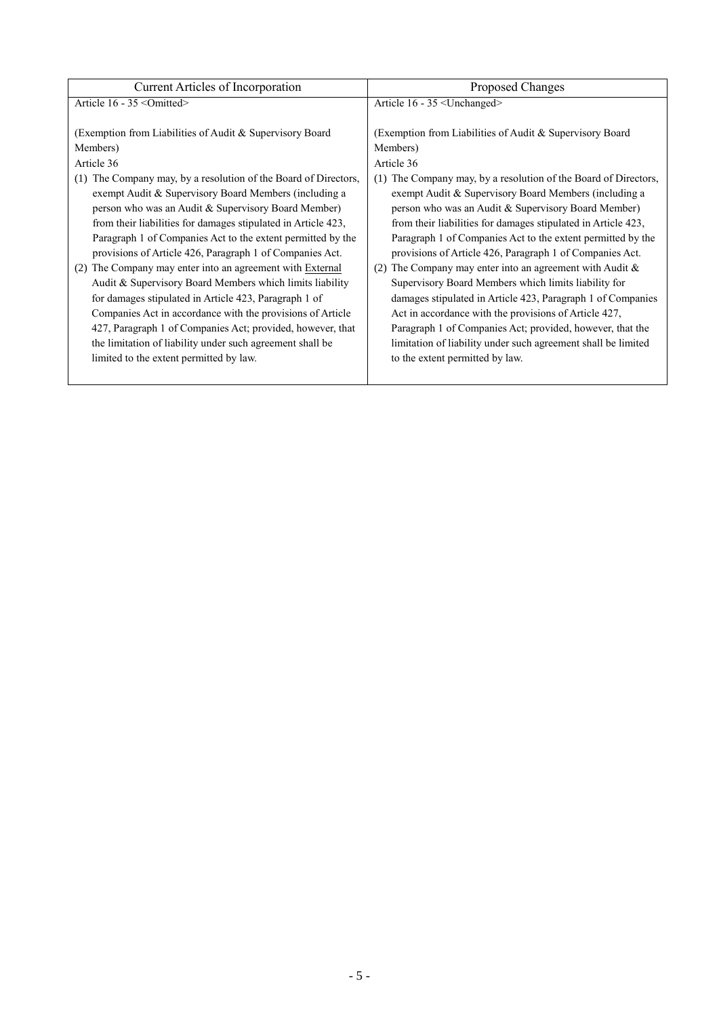| Current Articles of Incorporation                                  | Proposed Changes                                                   |
|--------------------------------------------------------------------|--------------------------------------------------------------------|
| Article 16 - 35 < Omitted>                                         | Article 16 - 35 <unchanged></unchanged>                            |
|                                                                    |                                                                    |
| (Exemption from Liabilities of Audit & Supervisory Board)          | (Exemption from Liabilities of Audit & Supervisory Board)          |
| Members)                                                           | Members)                                                           |
| Article 36                                                         | Article 36                                                         |
| The Company may, by a resolution of the Board of Directors,<br>(1) | The Company may, by a resolution of the Board of Directors,<br>(1) |
| exempt Audit & Supervisory Board Members (including a              | exempt Audit & Supervisory Board Members (including a              |
| person who was an Audit & Supervisory Board Member)                | person who was an Audit & Supervisory Board Member)                |
| from their liabilities for damages stipulated in Article 423,      | from their liabilities for damages stipulated in Article 423,      |
| Paragraph 1 of Companies Act to the extent permitted by the        | Paragraph 1 of Companies Act to the extent permitted by the        |
| provisions of Article 426, Paragraph 1 of Companies Act.           | provisions of Article 426, Paragraph 1 of Companies Act.           |
| The Company may enter into an agreement with External<br>(2)       | (2) The Company may enter into an agreement with Audit $\&$        |
| Audit & Supervisory Board Members which limits liability           | Supervisory Board Members which limits liability for               |
| for damages stipulated in Article 423, Paragraph 1 of              | damages stipulated in Article 423, Paragraph 1 of Companies        |
| Companies Act in accordance with the provisions of Article         | Act in accordance with the provisions of Article 427,              |
| 427, Paragraph 1 of Companies Act; provided, however, that         | Paragraph 1 of Companies Act; provided, however, that the          |
| the limitation of liability under such agreement shall be          | limitation of liability under such agreement shall be limited      |
| limited to the extent permitted by law.                            | to the extent permitted by law.                                    |
|                                                                    |                                                                    |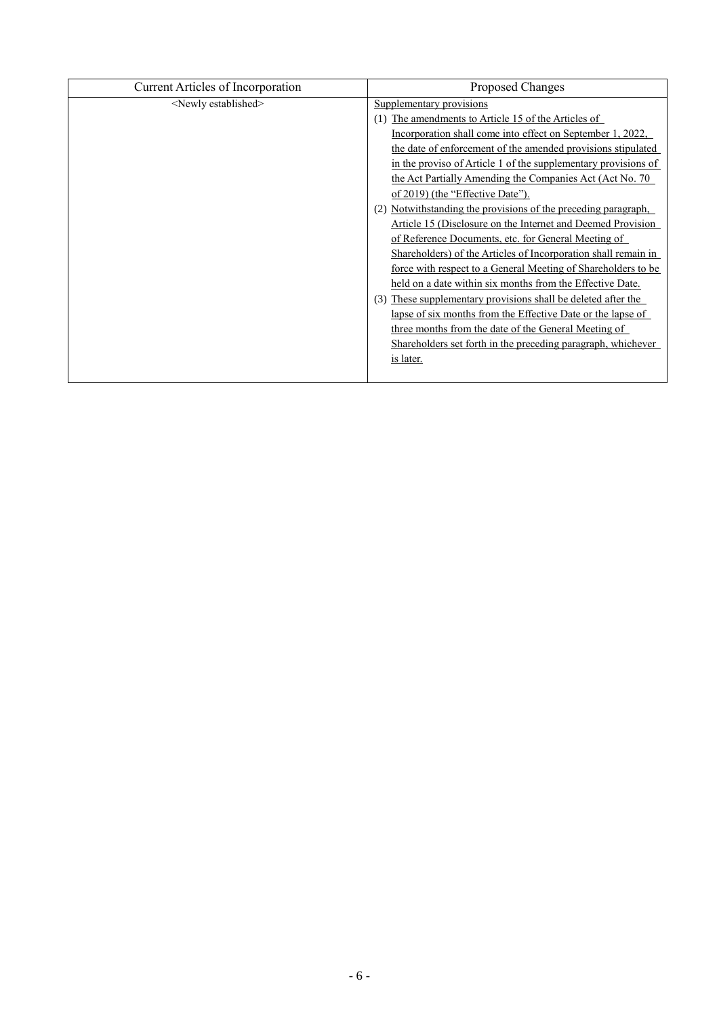| Current Articles of Incorporation | Proposed Changes                                                 |
|-----------------------------------|------------------------------------------------------------------|
| <newly established=""></newly>    | Supplementary provisions                                         |
|                                   | The amendments to Article 15 of the Articles of                  |
|                                   | Incorporation shall come into effect on September 1, 2022,       |
|                                   | the date of enforcement of the amended provisions stipulated     |
|                                   | in the proviso of Article 1 of the supplementary provisions of   |
|                                   | the Act Partially Amending the Companies Act (Act No. 70)        |
|                                   | of 2019) (the "Effective Date").                                 |
|                                   | Notwithstanding the provisions of the preceding paragraph,       |
|                                   | Article 15 (Disclosure on the Internet and Deemed Provision      |
|                                   | of Reference Documents, etc. for General Meeting of              |
|                                   | Shareholders) of the Articles of Incorporation shall remain in   |
|                                   | force with respect to a General Meeting of Shareholders to be    |
|                                   | held on a date within six months from the Effective Date.        |
|                                   | These supplementary provisions shall be deleted after the<br>(3) |
|                                   | lapse of six months from the Effective Date or the lapse of      |
|                                   | three months from the date of the General Meeting of             |
|                                   | Shareholders set forth in the preceding paragraph, whichever     |
|                                   | is later.                                                        |
|                                   |                                                                  |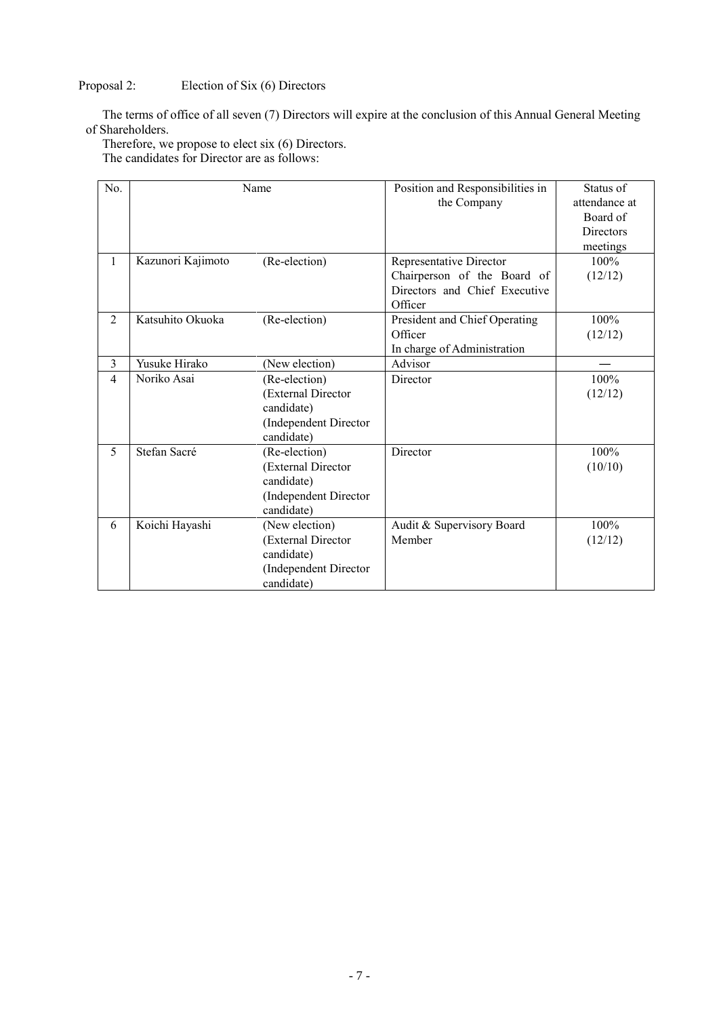# Proposal 2: Election of Six (6) Directors

The terms of office of all seven (7) Directors will expire at the conclusion of this Annual General Meeting of Shareholders.

Therefore, we propose to elect six (6) Directors.

The candidates for Director are as follows:

| N <sub>0</sub> |                   | Name                  | Position and Responsibilities in | Status of        |
|----------------|-------------------|-----------------------|----------------------------------|------------------|
|                |                   |                       | the Company                      | attendance at    |
|                |                   |                       |                                  | Board of         |
|                |                   |                       |                                  | <b>Directors</b> |
|                |                   |                       |                                  | meetings         |
| 1              | Kazunori Kajimoto | (Re-election)         | Representative Director          | 100%             |
|                |                   |                       | Chairperson of the Board of      | (12/12)          |
|                |                   |                       | Directors and Chief Executive    |                  |
|                |                   |                       | Officer                          |                  |
| $\overline{2}$ | Katsuhito Okuoka  | (Re-election)         | President and Chief Operating    | 100%             |
|                |                   |                       | Officer                          | (12/12)          |
|                |                   |                       | In charge of Administration      |                  |
| 3              | Yusuke Hirako     | (New election)        | Advisor                          |                  |
| $\overline{4}$ | Noriko Asai       | (Re-election)         | Director                         | 100%             |
|                |                   | (External Director    |                                  | (12/12)          |
|                |                   | candidate)            |                                  |                  |
|                |                   | (Independent Director |                                  |                  |
|                |                   | candidate)            |                                  |                  |
| 5              | Stefan Sacré      | (Re-election)         | Director                         | 100%             |
|                |                   | (External Director    |                                  | (10/10)          |
|                |                   | candidate)            |                                  |                  |
|                |                   | (Independent Director |                                  |                  |
|                |                   | candidate)            |                                  |                  |
| 6              | Koichi Hayashi    | (New election)        | Audit & Supervisory Board        | 100%             |
|                |                   | (External Director    | Member                           | (12/12)          |
|                |                   | candidate)            |                                  |                  |
|                |                   | (Independent Director |                                  |                  |
|                |                   | candidate)            |                                  |                  |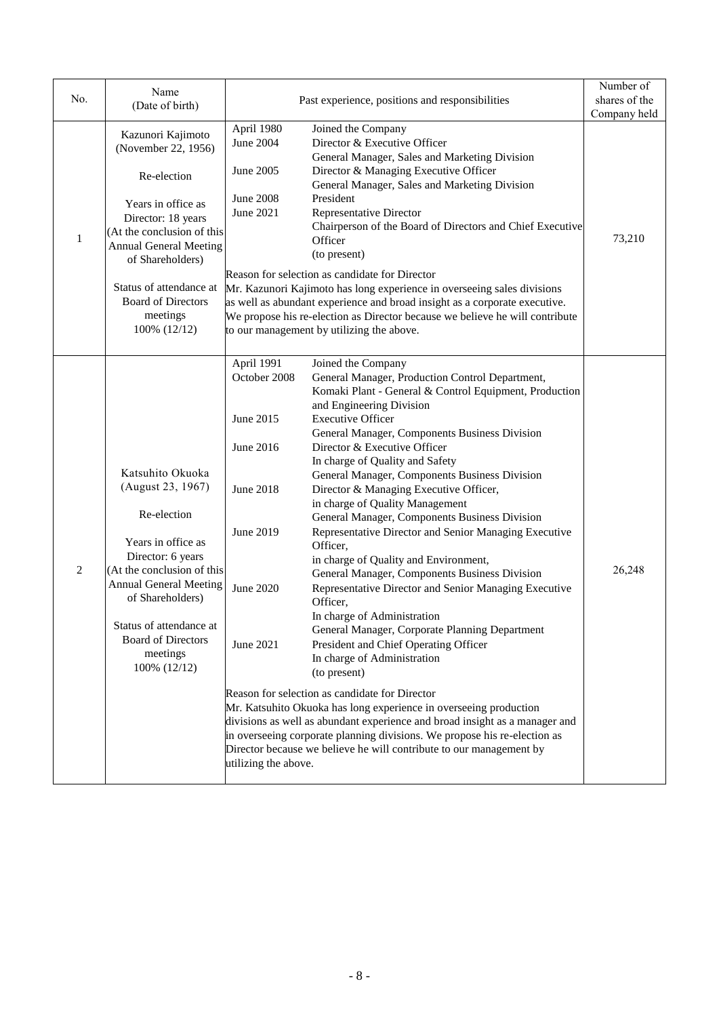|                | Name                                                                                                                                                                                                                                                                       |                                                                                                                                         |                                                                                                                                                                                                                                                                                                                                                                                                                                                                                                                                                                                                                                                                                                                                                                                                                                                                                                                                                                                                                                                                                                                                                                                                                                                                   | Number of     |
|----------------|----------------------------------------------------------------------------------------------------------------------------------------------------------------------------------------------------------------------------------------------------------------------------|-----------------------------------------------------------------------------------------------------------------------------------------|-------------------------------------------------------------------------------------------------------------------------------------------------------------------------------------------------------------------------------------------------------------------------------------------------------------------------------------------------------------------------------------------------------------------------------------------------------------------------------------------------------------------------------------------------------------------------------------------------------------------------------------------------------------------------------------------------------------------------------------------------------------------------------------------------------------------------------------------------------------------------------------------------------------------------------------------------------------------------------------------------------------------------------------------------------------------------------------------------------------------------------------------------------------------------------------------------------------------------------------------------------------------|---------------|
| No.            | (Date of birth)                                                                                                                                                                                                                                                            |                                                                                                                                         | Past experience, positions and responsibilities                                                                                                                                                                                                                                                                                                                                                                                                                                                                                                                                                                                                                                                                                                                                                                                                                                                                                                                                                                                                                                                                                                                                                                                                                   | shares of the |
|                |                                                                                                                                                                                                                                                                            |                                                                                                                                         |                                                                                                                                                                                                                                                                                                                                                                                                                                                                                                                                                                                                                                                                                                                                                                                                                                                                                                                                                                                                                                                                                                                                                                                                                                                                   | Company held  |
| $\mathbf{1}$   | Kazunori Kajimoto<br>(November 22, 1956)<br>Re-election<br>Years in office as<br>Director: 18 years<br>(At the conclusion of this<br><b>Annual General Meeting</b><br>of Shareholders)<br>Status of attendance at<br><b>Board of Directors</b><br>meetings<br>100% (12/12) | April 1980<br><b>June 2004</b><br>June 2005<br><b>June 2008</b><br>June 2021                                                            | Joined the Company<br>Director & Executive Officer<br>General Manager, Sales and Marketing Division<br>Director & Managing Executive Officer<br>General Manager, Sales and Marketing Division<br>President<br><b>Representative Director</b><br>Chairperson of the Board of Directors and Chief Executive<br>Officer<br>(to present)<br>Reason for selection as candidate for Director<br>Mr. Kazunori Kajimoto has long experience in overseeing sales divisions<br>as well as abundant experience and broad insight as a corporate executive.<br>We propose his re-election as Director because we believe he will contribute<br>to our management by utilizing the above.                                                                                                                                                                                                                                                                                                                                                                                                                                                                                                                                                                                      | 73,210        |
| $\overline{2}$ | Katsuhito Okuoka<br>(August 23, 1967)<br>Re-election<br>Years in office as<br>Director: 6 years<br>(At the conclusion of this<br><b>Annual General Meeting</b><br>of Shareholders)<br>Status of attendance at<br><b>Board of Directors</b><br>meetings<br>100% (12/12)     | April 1991<br>October 2008<br>June 2015<br>June 2016<br><b>June 2018</b><br>June 2019<br>June 2020<br>June 2021<br>utilizing the above. | Joined the Company<br>General Manager, Production Control Department,<br>Komaki Plant - General & Control Equipment, Production<br>and Engineering Division<br><b>Executive Officer</b><br>General Manager, Components Business Division<br>Director & Executive Officer<br>In charge of Quality and Safety<br>General Manager, Components Business Division<br>Director & Managing Executive Officer,<br>in charge of Quality Management<br>General Manager, Components Business Division<br>Representative Director and Senior Managing Executive<br>Officer,<br>in charge of Quality and Environment,<br>General Manager, Components Business Division<br>Representative Director and Senior Managing Executive<br>Officer,<br>In charge of Administration<br>General Manager, Corporate Planning Department<br>President and Chief Operating Officer<br>In charge of Administration<br>(to present)<br>Reason for selection as candidate for Director<br>Mr. Katsuhito Okuoka has long experience in overseeing production<br>divisions as well as abundant experience and broad insight as a manager and<br>in overseeing corporate planning divisions. We propose his re-election as<br>Director because we believe he will contribute to our management by | 26,248        |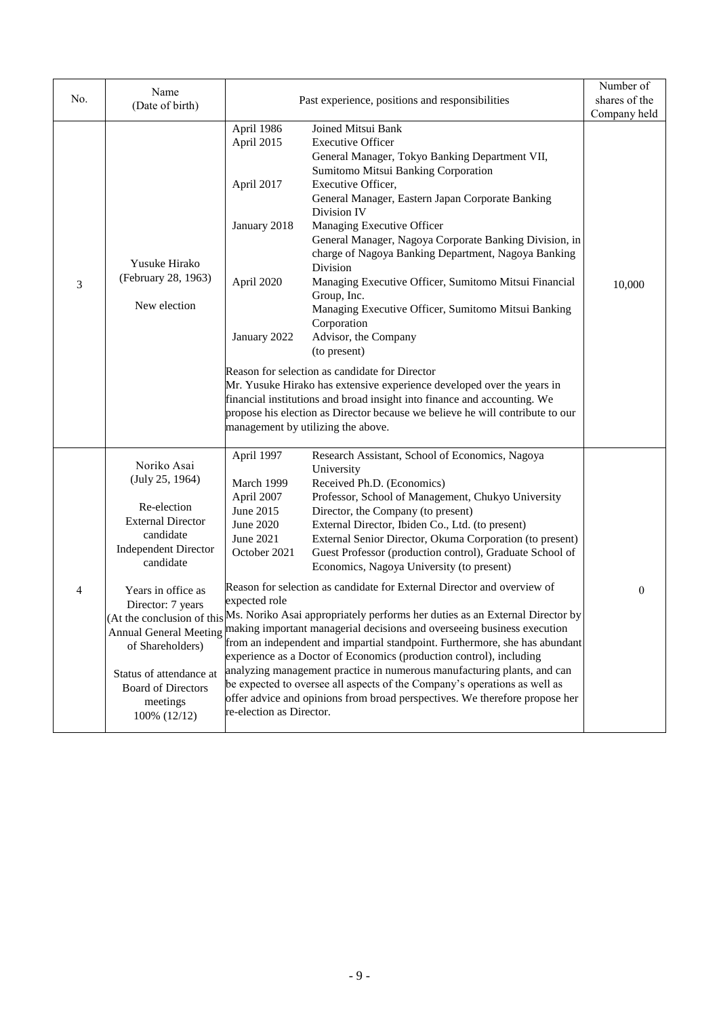|                | Name                                                                                                                                                                                                                                                                     |                                                                                                                                                                                                                                                                                                                           |                                                                                                                                                                                                                                                                                                                             | Number of     |
|----------------|--------------------------------------------------------------------------------------------------------------------------------------------------------------------------------------------------------------------------------------------------------------------------|---------------------------------------------------------------------------------------------------------------------------------------------------------------------------------------------------------------------------------------------------------------------------------------------------------------------------|-----------------------------------------------------------------------------------------------------------------------------------------------------------------------------------------------------------------------------------------------------------------------------------------------------------------------------|---------------|
| No.            | (Date of birth)                                                                                                                                                                                                                                                          |                                                                                                                                                                                                                                                                                                                           | Past experience, positions and responsibilities                                                                                                                                                                                                                                                                             | shares of the |
|                |                                                                                                                                                                                                                                                                          |                                                                                                                                                                                                                                                                                                                           | Joined Mitsui Bank                                                                                                                                                                                                                                                                                                          | Company held  |
|                |                                                                                                                                                                                                                                                                          | April 1986<br>April 2015                                                                                                                                                                                                                                                                                                  | <b>Executive Officer</b><br>General Manager, Tokyo Banking Department VII,                                                                                                                                                                                                                                                  |               |
|                |                                                                                                                                                                                                                                                                          | April 2017                                                                                                                                                                                                                                                                                                                | Sumitomo Mitsui Banking Corporation<br>Executive Officer,<br>General Manager, Eastern Japan Corporate Banking<br>Division IV                                                                                                                                                                                                |               |
|                | Yusuke Hirako                                                                                                                                                                                                                                                            | January 2018                                                                                                                                                                                                                                                                                                              | Managing Executive Officer<br>General Manager, Nagoya Corporate Banking Division, in<br>charge of Nagoya Banking Department, Nagoya Banking                                                                                                                                                                                 |               |
| 3              | (February 28, 1963)<br>New election                                                                                                                                                                                                                                      | April 2020                                                                                                                                                                                                                                                                                                                | Division<br>Managing Executive Officer, Sumitomo Mitsui Financial<br>Group, Inc.                                                                                                                                                                                                                                            | 10,000        |
|                |                                                                                                                                                                                                                                                                          | January 2022                                                                                                                                                                                                                                                                                                              | Managing Executive Officer, Sumitomo Mitsui Banking<br>Corporation<br>Advisor, the Company<br>(to present)                                                                                                                                                                                                                  |               |
|                |                                                                                                                                                                                                                                                                          |                                                                                                                                                                                                                                                                                                                           | Reason for selection as candidate for Director<br>Mr. Yusuke Hirako has extensive experience developed over the years in<br>financial institutions and broad insight into finance and accounting. We<br>propose his election as Director because we believe he will contribute to our<br>management by utilizing the above. |               |
|                | Noriko Asai<br>(July 25, 1964)                                                                                                                                                                                                                                           | April 1997<br>March 1999                                                                                                                                                                                                                                                                                                  | Research Assistant, School of Economics, Nagoya<br>University<br>Received Ph.D. (Economics)                                                                                                                                                                                                                                 |               |
|                | Re-election<br><b>External Director</b><br>candidate<br><b>Independent Director</b><br>candidate                                                                                                                                                                         | April 2007<br>June 2015<br>June 2020<br>June 2021<br>October 2021                                                                                                                                                                                                                                                         | Professor, School of Management, Chukyo University<br>Director, the Company (to present)<br>External Director, Ibiden Co., Ltd. (to present)<br>External Senior Director, Okuma Corporation (to present)<br>Guest Professor (production control), Graduate School of<br>Economics, Nagoya University (to present)           |               |
| $\overline{4}$ | Years in office as<br>Director: 7 years<br>(At the conclusion of this Ms. Noriko Asai appropriately performs her duties as an External Director by<br>Annual General Meeting making important managerial decisions and overseeing business execution<br>of Shareholders) | Reason for selection as candidate for External Director and overview of<br>expected role<br>from an independent and impartial standpoint. Furthermore, she has abundant<br>experience as a Doctor of Economics (production control), including<br>analyzing management practice in numerous manufacturing plants, and can | $\boldsymbol{0}$                                                                                                                                                                                                                                                                                                            |               |
|                | Status of attendance at<br><b>Board of Directors</b><br>meetings<br>100% (12/12)                                                                                                                                                                                         | re-election as Director.                                                                                                                                                                                                                                                                                                  | be expected to oversee all aspects of the Company's operations as well as<br>offer advice and opinions from broad perspectives. We therefore propose her                                                                                                                                                                    |               |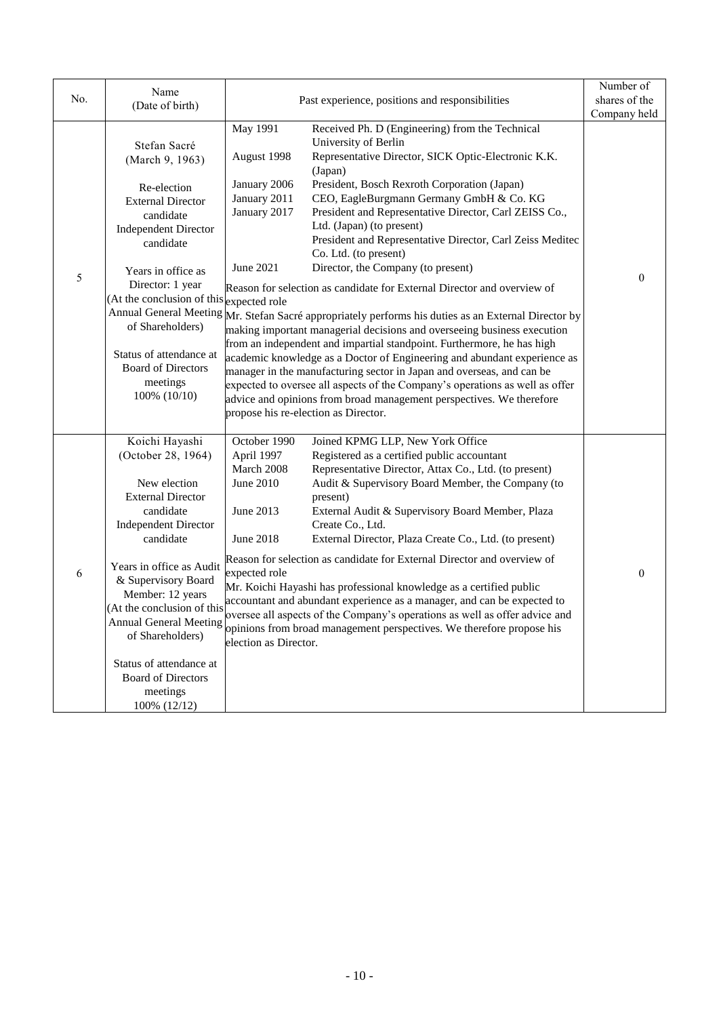| No. | Name<br>(Date of birth)                                                                                                                                                                                                                                                                                                                                          | Past experience, positions and responsibilities                                                                                                                                                                                                                                                                                                                                                                                                                                                                                                                                                                                                                                                                                                                                                                                                               | Number of<br>shares of the<br>Company held |  |
|-----|------------------------------------------------------------------------------------------------------------------------------------------------------------------------------------------------------------------------------------------------------------------------------------------------------------------------------------------------------------------|---------------------------------------------------------------------------------------------------------------------------------------------------------------------------------------------------------------------------------------------------------------------------------------------------------------------------------------------------------------------------------------------------------------------------------------------------------------------------------------------------------------------------------------------------------------------------------------------------------------------------------------------------------------------------------------------------------------------------------------------------------------------------------------------------------------------------------------------------------------|--------------------------------------------|--|
| 5   | Stefan Sacré<br>(March 9, 1963)<br>Re-election<br><b>External Director</b><br>candidate<br><b>Independent Director</b><br>candidate<br>Years in office as<br>Director: 1 year<br>(At the conclusion of this expected role                                                                                                                                        | May 1991<br>Received Ph. D (Engineering) from the Technical<br>University of Berlin<br>Representative Director, SICK Optic-Electronic K.K.<br>August 1998<br>(Japan)<br>President, Bosch Rexroth Corporation (Japan)<br>January 2006<br>CEO, EagleBurgmann Germany GmbH & Co. KG<br>January 2011<br>January 2017<br>President and Representative Director, Carl ZEISS Co.,<br>Ltd. (Japan) (to present)<br>President and Representative Director, Carl Zeiss Meditec<br>Co. Ltd. (to present)<br>Director, the Company (to present)<br>June 2021<br>Reason for selection as candidate for External Director and overview of                                                                                                                                                                                                                                   | $\theta$                                   |  |
|     | of Shareholders)<br>Status of attendance at<br><b>Board of Directors</b><br>meetings<br>$100\%$ $(10/10)$                                                                                                                                                                                                                                                        | Annual General Meeting Mr. Stefan Sacré appropriately performs his duties as an External Director by<br>making important managerial decisions and overseeing business execution<br>from an independent and impartial standpoint. Furthermore, he has high<br>academic knowledge as a Doctor of Engineering and abundant experience as<br>manager in the manufacturing sector in Japan and overseas, and can be<br>expected to oversee all aspects of the Company's operations as well as offer<br>advice and opinions from broad management perspectives. We therefore<br>propose his re-election as Director.                                                                                                                                                                                                                                                |                                            |  |
| 6   | Koichi Hayashi<br>(October 28, 1964)<br>New election<br><b>External Director</b><br>candidate<br><b>Independent Director</b><br>candidate<br>Years in office as Audit<br>& Supervisory Board<br>Member: 12 years<br>(At the conclusion of this<br>Annual General Meeting<br>of Shareholders)<br>Status of attendance at<br><b>Board of Directors</b><br>meetings | October 1990<br>Joined KPMG LLP, New York Office<br>Registered as a certified public accountant<br>April 1997<br>March 2008<br>Representative Director, Attax Co., Ltd. (to present)<br>June 2010<br>Audit & Supervisory Board Member, the Company (to<br>present)<br>June 2013<br>External Audit & Supervisory Board Member, Plaza<br>Create Co., Ltd.<br>June 2018<br>External Director, Plaza Create Co., Ltd. (to present)<br>Reason for selection as candidate for External Director and overview of<br>expected role<br>Mr. Koichi Hayashi has professional knowledge as a certified public<br>accountant and abundant experience as a manager, and can be expected to<br>oversee all aspects of the Company's operations as well as offer advice and<br>opinions from broad management perspectives. We therefore propose his<br>election as Director. | $\boldsymbol{0}$                           |  |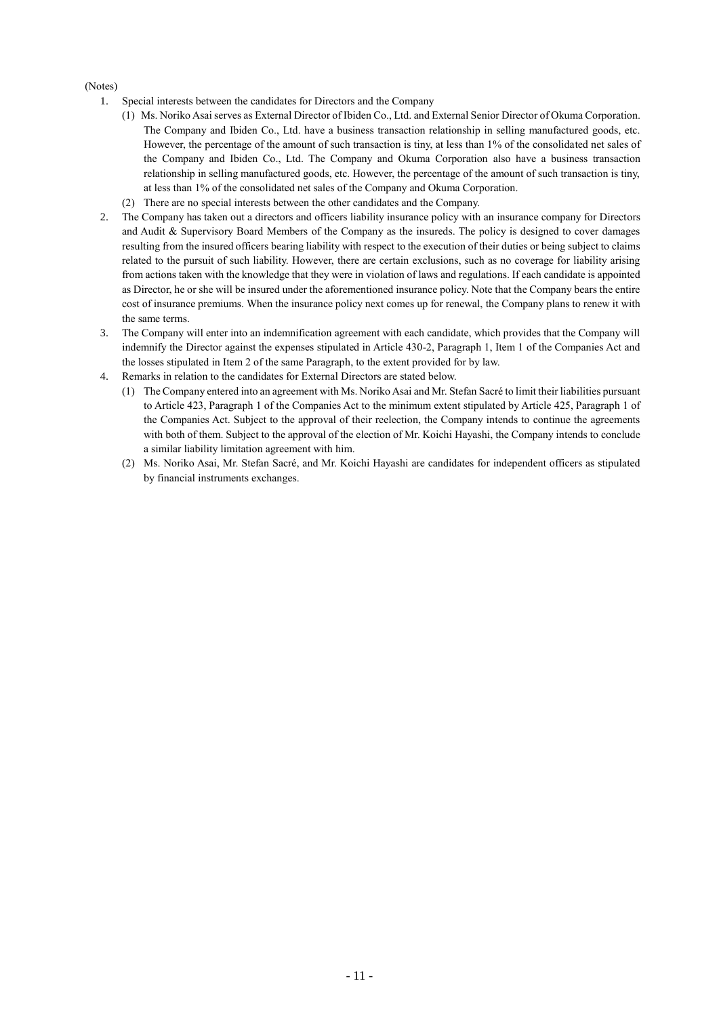#### (Notes)

- 1. Special interests between the candidates for Directors and the Company
	- (1) Ms. Noriko Asai serves as External Director of Ibiden Co., Ltd. and External Senior Director of Okuma Corporation. The Company and Ibiden Co., Ltd. have a business transaction relationship in selling manufactured goods, etc. However, the percentage of the amount of such transaction is tiny, at less than 1% of the consolidated net sales of the Company and Ibiden Co., Ltd. The Company and Okuma Corporation also have a business transaction relationship in selling manufactured goods, etc. However, the percentage of the amount of such transaction is tiny, at less than 1% of the consolidated net sales of the Company and Okuma Corporation.
	- (2) There are no special interests between the other candidates and the Company.
- 2. The Company has taken out a directors and officers liability insurance policy with an insurance company for Directors and Audit & Supervisory Board Members of the Company as the insureds. The policy is designed to cover damages resulting from the insured officers bearing liability with respect to the execution of their duties or being subject to claims related to the pursuit of such liability. However, there are certain exclusions, such as no coverage for liability arising from actions taken with the knowledge that they were in violation of laws and regulations. If each candidate is appointed as Director, he or she will be insured under the aforementioned insurance policy. Note that the Company bears the entire cost of insurance premiums. When the insurance policy next comes up for renewal, the Company plans to renew it with the same terms.
- 3. The Company will enter into an indemnification agreement with each candidate, which provides that the Company will indemnify the Director against the expenses stipulated in Article 430-2, Paragraph 1, Item 1 of the Companies Act and the losses stipulated in Item 2 of the same Paragraph, to the extent provided for by law.
- 4. Remarks in relation to the candidates for External Directors are stated below.
	- (1) The Company entered into an agreement with Ms. Noriko Asai and Mr. Stefan Sacré to limit their liabilities pursuant to Article 423, Paragraph 1 of the Companies Act to the minimum extent stipulated by Article 425, Paragraph 1 of the Companies Act. Subject to the approval of their reelection, the Company intends to continue the agreements with both of them. Subject to the approval of the election of Mr. Koichi Hayashi, the Company intends to conclude a similar liability limitation agreement with him.
	- (2) Ms. Noriko Asai, Mr. Stefan Sacré, and Mr. Koichi Hayashi are candidates for independent officers as stipulated by financial instruments exchanges.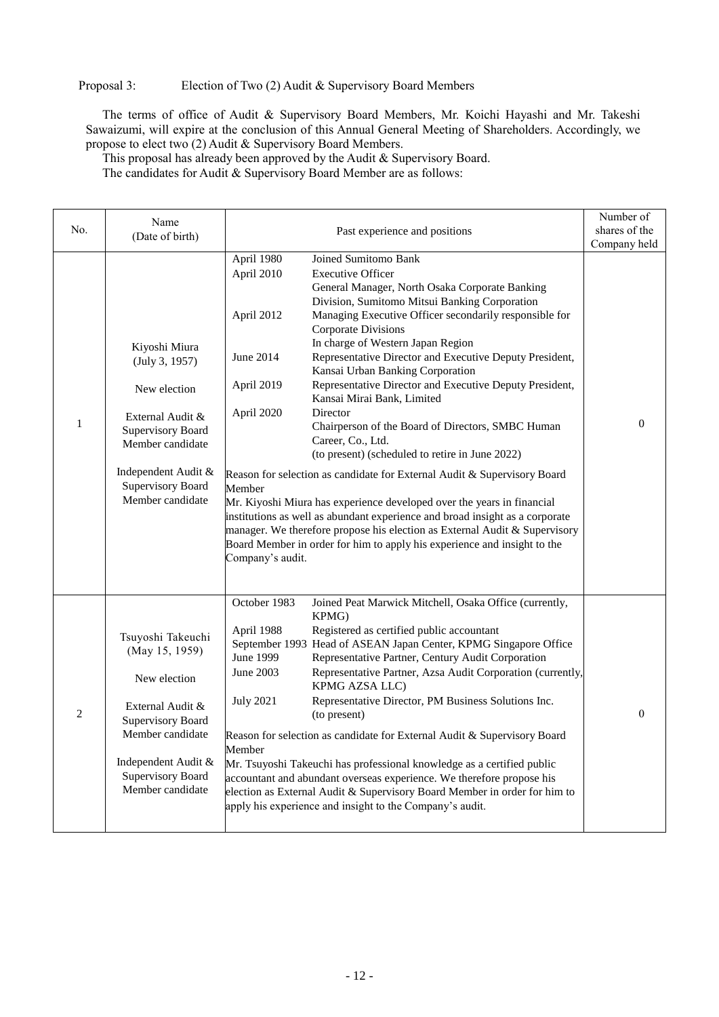Proposal 3: Election of Two (2) Audit & Supervisory Board Members

The terms of office of Audit & Supervisory Board Members, Mr. Koichi Hayashi and Mr. Takeshi Sawaizumi, will expire at the conclusion of this Annual General Meeting of Shareholders. Accordingly, we propose to elect two (2) Audit & Supervisory Board Members.

This proposal has already been approved by the Audit & Supervisory Board.

The candidates for Audit & Supervisory Board Member are as follows:

|                | Name                                                                                                                                                                                           |                                                                                                                                                                                                                                                                                                                                                                                                                                                                                                                                                                                                                                                                                                                                                                                                                                                                                                                                                                                                                                                                                                                             | Number of     |
|----------------|------------------------------------------------------------------------------------------------------------------------------------------------------------------------------------------------|-----------------------------------------------------------------------------------------------------------------------------------------------------------------------------------------------------------------------------------------------------------------------------------------------------------------------------------------------------------------------------------------------------------------------------------------------------------------------------------------------------------------------------------------------------------------------------------------------------------------------------------------------------------------------------------------------------------------------------------------------------------------------------------------------------------------------------------------------------------------------------------------------------------------------------------------------------------------------------------------------------------------------------------------------------------------------------------------------------------------------------|---------------|
| No.            | (Date of birth)                                                                                                                                                                                | Past experience and positions                                                                                                                                                                                                                                                                                                                                                                                                                                                                                                                                                                                                                                                                                                                                                                                                                                                                                                                                                                                                                                                                                               | shares of the |
|                |                                                                                                                                                                                                |                                                                                                                                                                                                                                                                                                                                                                                                                                                                                                                                                                                                                                                                                                                                                                                                                                                                                                                                                                                                                                                                                                                             | Company held  |
| $\mathbf{1}$   | Kiyoshi Miura<br>(July 3, 1957)<br>New election<br>External Audit &<br><b>Supervisory Board</b><br>Member candidate<br>Independent Audit &<br><b>Supervisory Board</b><br>Member candidate     | Joined Sumitomo Bank<br>April 1980<br>April 2010<br><b>Executive Officer</b><br>General Manager, North Osaka Corporate Banking<br>Division, Sumitomo Mitsui Banking Corporation<br>Managing Executive Officer secondarily responsible for<br>April 2012<br>Corporate Divisions<br>In charge of Western Japan Region<br>Representative Director and Executive Deputy President,<br>June 2014<br>Kansai Urban Banking Corporation<br>Representative Director and Executive Deputy President,<br>April 2019<br>Kansai Mirai Bank, Limited<br>Director<br>April 2020<br>Chairperson of the Board of Directors, SMBC Human<br>Career, Co., Ltd.<br>(to present) (scheduled to retire in June 2022)<br>Reason for selection as candidate for External Audit & Supervisory Board<br>Member<br>Mr. Kiyoshi Miura has experience developed over the years in financial<br>institutions as well as abundant experience and broad insight as a corporate<br>manager. We therefore propose his election as External Audit & Supervisory<br>Board Member in order for him to apply his experience and insight to the<br>Company's audit. | $\Omega$      |
| $\overline{2}$ | Tsuyoshi Takeuchi<br>(May 15, 1959)<br>New election<br>External Audit &<br><b>Supervisory Board</b><br>Member candidate<br>Independent Audit &<br><b>Supervisory Board</b><br>Member candidate | October 1983<br>Joined Peat Marwick Mitchell, Osaka Office (currently,<br>KPMG)<br>Registered as certified public accountant<br>April 1988<br>September 1993 Head of ASEAN Japan Center, KPMG Singapore Office<br>June 1999<br>Representative Partner, Century Audit Corporation<br>Representative Partner, Azsa Audit Corporation (currently,<br>June 2003<br>KPMG AZSA LLC)<br>Representative Director, PM Business Solutions Inc.<br><b>July 2021</b><br>(to present)<br>Reason for selection as candidate for External Audit & Supervisory Board<br>Member<br>Mr. Tsuyoshi Takeuchi has professional knowledge as a certified public<br>accountant and abundant overseas experience. We therefore propose his<br>election as External Audit & Supervisory Board Member in order for him to<br>apply his experience and insight to the Company's audit.                                                                                                                                                                                                                                                                  | $\theta$      |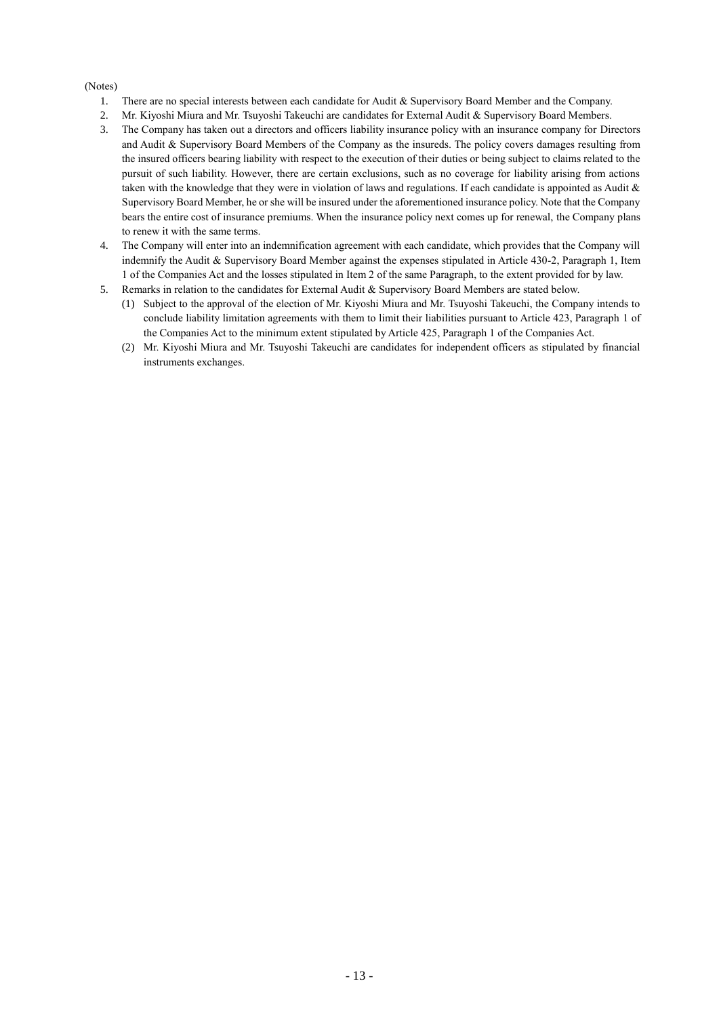#### (Notes)

- 1. There are no special interests between each candidate for Audit & Supervisory Board Member and the Company.
- 2. Mr. Kiyoshi Miura and Mr. Tsuyoshi Takeuchi are candidates for External Audit & Supervisory Board Members.
- 3. The Company has taken out a directors and officers liability insurance policy with an insurance company for Directors and Audit & Supervisory Board Members of the Company as the insureds. The policy covers damages resulting from the insured officers bearing liability with respect to the execution of their duties or being subject to claims related to the pursuit of such liability. However, there are certain exclusions, such as no coverage for liability arising from actions taken with the knowledge that they were in violation of laws and regulations. If each candidate is appointed as Audit & Supervisory Board Member, he or she will be insured under the aforementioned insurance policy. Note that the Company bears the entire cost of insurance premiums. When the insurance policy next comes up for renewal, the Company plans to renew it with the same terms.
- 4. The Company will enter into an indemnification agreement with each candidate, which provides that the Company will indemnify the Audit & Supervisory Board Member against the expenses stipulated in Article 430-2, Paragraph 1, Item 1 of the Companies Act and the losses stipulated in Item 2 of the same Paragraph, to the extent provided for by law.
- 5. Remarks in relation to the candidates for External Audit & Supervisory Board Members are stated below.
	- (1) Subject to the approval of the election of Mr. Kiyoshi Miura and Mr. Tsuyoshi Takeuchi, the Company intends to conclude liability limitation agreements with them to limit their liabilities pursuant to Article 423, Paragraph 1 of the Companies Act to the minimum extent stipulated by Article 425, Paragraph 1 of the Companies Act.
	- (2) Mr. Kiyoshi Miura and Mr. Tsuyoshi Takeuchi are candidates for independent officers as stipulated by financial instruments exchanges.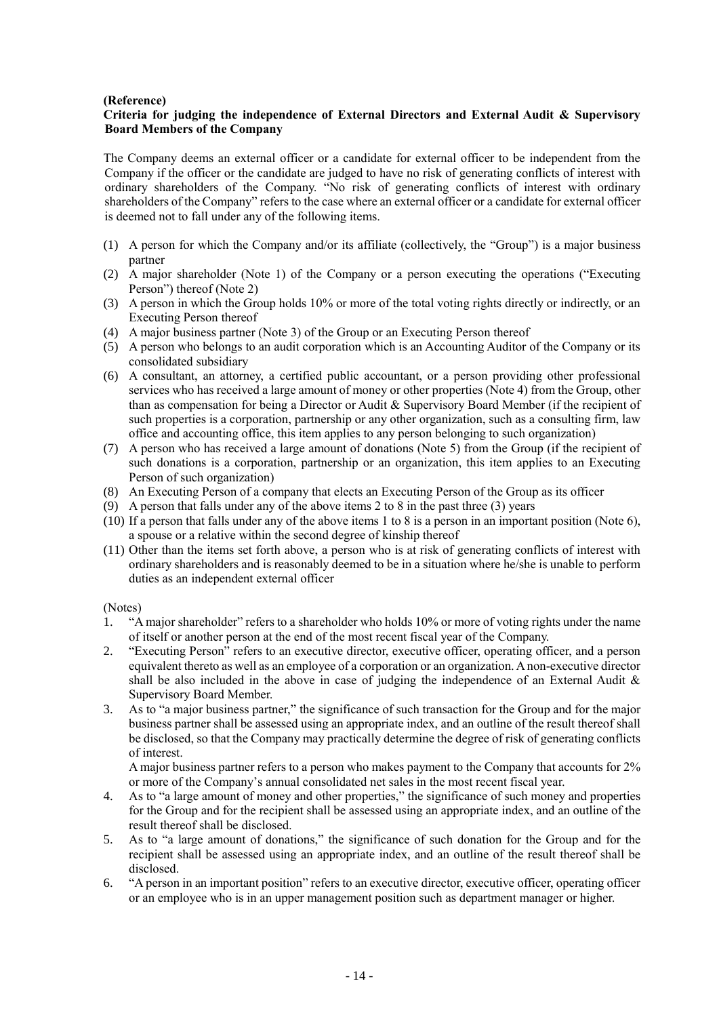### **(Reference)**

#### **Criteria for judging the independence of External Directors and External Audit & Supervisory Board Members of the Company**

The Company deems an external officer or a candidate for external officer to be independent from the Company if the officer or the candidate are judged to have no risk of generating conflicts of interest with ordinary shareholders of the Company. "No risk of generating conflicts of interest with ordinary shareholders of the Company" refers to the case where an external officer or a candidate for external officer is deemed not to fall under any of the following items.

- (1) A person for which the Company and/or its affiliate (collectively, the "Group") is a major business partner
- (2) A major shareholder (Note 1) of the Company or a person executing the operations ("Executing Person") thereof (Note 2)
- (3) A person in which the Group holds 10% or more of the total voting rights directly or indirectly, or an Executing Person thereof
- (4) A major business partner (Note 3) of the Group or an Executing Person thereof
- (5) A person who belongs to an audit corporation which is an Accounting Auditor of the Company or its consolidated subsidiary
- (6) A consultant, an attorney, a certified public accountant, or a person providing other professional services who has received a large amount of money or other properties (Note 4) from the Group, other than as compensation for being a Director or Audit & Supervisory Board Member (if the recipient of such properties is a corporation, partnership or any other organization, such as a consulting firm, law office and accounting office, this item applies to any person belonging to such organization)
- (7) A person who has received a large amount of donations (Note 5) from the Group (if the recipient of such donations is a corporation, partnership or an organization, this item applies to an Executing Person of such organization)
- (8) An Executing Person of a company that elects an Executing Person of the Group as its officer
- (9) A person that falls under any of the above items 2 to 8 in the past three (3) years
- (10) If a person that falls under any of the above items 1 to 8 is a person in an important position (Note 6), a spouse or a relative within the second degree of kinship thereof
- (11) Other than the items set forth above, a person who is at risk of generating conflicts of interest with ordinary shareholders and is reasonably deemed to be in a situation where he/she is unable to perform duties as an independent external officer

(Notes)

- 1. "A major shareholder" refers to a shareholder who holds 10% or more of voting rights under the name of itself or another person at the end of the most recent fiscal year of the Company.
- 2. "Executing Person" refers to an executive director, executive officer, operating officer, and a person equivalent thereto as well as an employee of a corporation or an organization. A non-executive director shall be also included in the above in case of judging the independence of an External Audit  $\&$ Supervisory Board Member.
- 3. As to "a major business partner," the significance of such transaction for the Group and for the major business partner shall be assessed using an appropriate index, and an outline of the result thereof shall be disclosed, so that the Company may practically determine the degree of risk of generating conflicts of interest.

A major business partner refers to a person who makes payment to the Company that accounts for 2% or more of the Company's annual consolidated net sales in the most recent fiscal year.

- 4. As to "a large amount of money and other properties," the significance of such money and properties for the Group and for the recipient shall be assessed using an appropriate index, and an outline of the result thereof shall be disclosed.
- 5. As to "a large amount of donations," the significance of such donation for the Group and for the recipient shall be assessed using an appropriate index, and an outline of the result thereof shall be disclosed.
- 6. "A person in an important position" refers to an executive director, executive officer, operating officer or an employee who is in an upper management position such as department manager or higher.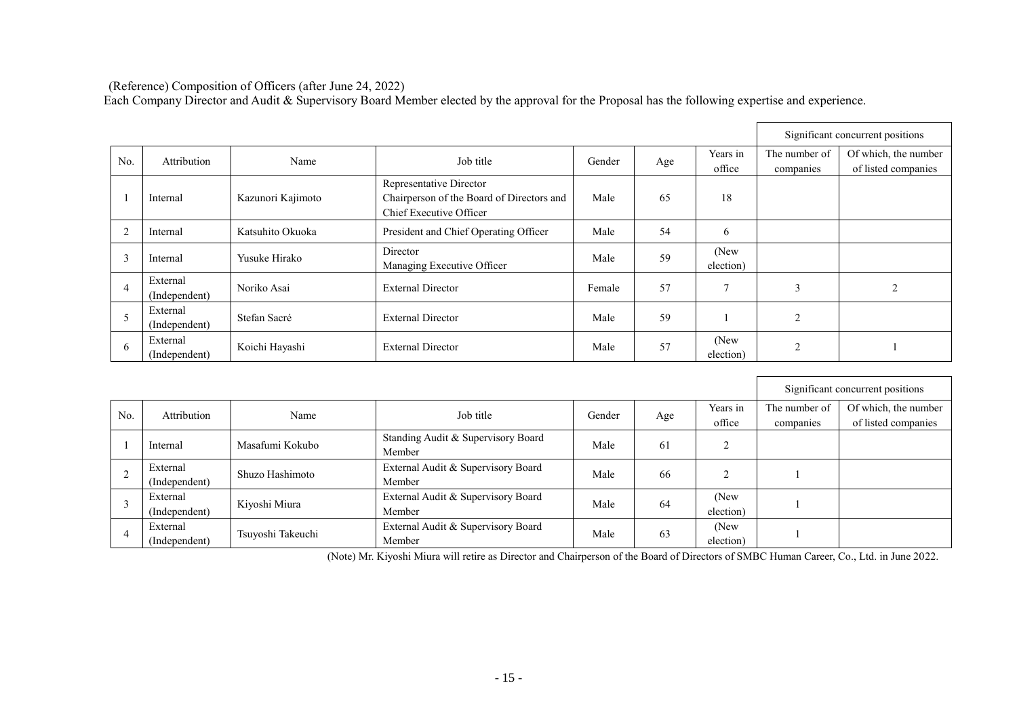(Reference) Composition of Officers (after June 24, 2022)

Each Company Director and Audit & Supervisory Board Member elected by the approval for the Proposal has the following expertise and experience.

|                |                           |                   |                                                                                                 |        |     |                    |                | Significant concurrent positions |
|----------------|---------------------------|-------------------|-------------------------------------------------------------------------------------------------|--------|-----|--------------------|----------------|----------------------------------|
| No.            | Attribution               | Name              | Job title                                                                                       | Gender | Age | Years in           | The number of  | Of which, the number             |
|                |                           |                   |                                                                                                 |        |     | office             | companies      | of listed companies              |
|                | Internal                  | Kazunori Kajimoto | Representative Director<br>Chairperson of the Board of Directors and<br>Chief Executive Officer | Male   | 65  | 18                 |                |                                  |
| $\overline{2}$ | Internal                  | Katsuhito Okuoka  | President and Chief Operating Officer                                                           | Male   | 54  | 6                  |                |                                  |
| 3              | Internal                  | Yusuke Hirako     | Director<br>Managing Executive Officer                                                          | Male   | 59  | (New)<br>election) |                |                                  |
| 4              | External<br>(Independent) | Noriko Asai       | <b>External Director</b>                                                                        | Female | 57  |                    | 3              | 2                                |
|                | External<br>(Independent) | Stefan Sacré      | <b>External Director</b>                                                                        | Male   | 59  |                    | $\overline{2}$ |                                  |
| 6              | External<br>(Independent) | Koichi Hayashi    | <b>External Director</b>                                                                        | Male   | 57  | (New)<br>election) | $\Omega$       |                                  |

|     |                     |                   |                                              |      |     |           |               | Significant concurrent positions |
|-----|---------------------|-------------------|----------------------------------------------|------|-----|-----------|---------------|----------------------------------|
| No. | Attribution<br>Name |                   | Job title<br>Gender                          |      | Age |           | The number of | Of which, the number             |
|     |                     |                   |                                              |      |     | office    | companies     | of listed companies              |
|     | Internal            | Masafumi Kokubo   | Standing Audit & Supervisory Board<br>Member | Male | 61  |           |               |                                  |
|     |                     |                   |                                              |      |     |           |               |                                  |
|     | External            | Shuzo Hashimoto   | External Audit & Supervisory Board           | Male | 66  |           |               |                                  |
|     | (Independent)       |                   | Member                                       |      |     |           |               |                                  |
|     | External            | Kiyoshi Miura     | External Audit & Supervisory Board           | Male | 64  | (New)     |               |                                  |
|     | (Independent)       |                   | Member                                       |      |     | election) |               |                                  |
|     | External            |                   | External Audit & Supervisory Board           | Male | 63  | (New)     |               |                                  |
|     | (Independent)       | Tsuyoshi Takeuchi | Member                                       |      |     | election) |               |                                  |

(Note) Mr. Kiyoshi Miura will retire as Director and Chairperson of the Board of Directors of SMBC Human Career, Co., Ltd. in June 2022.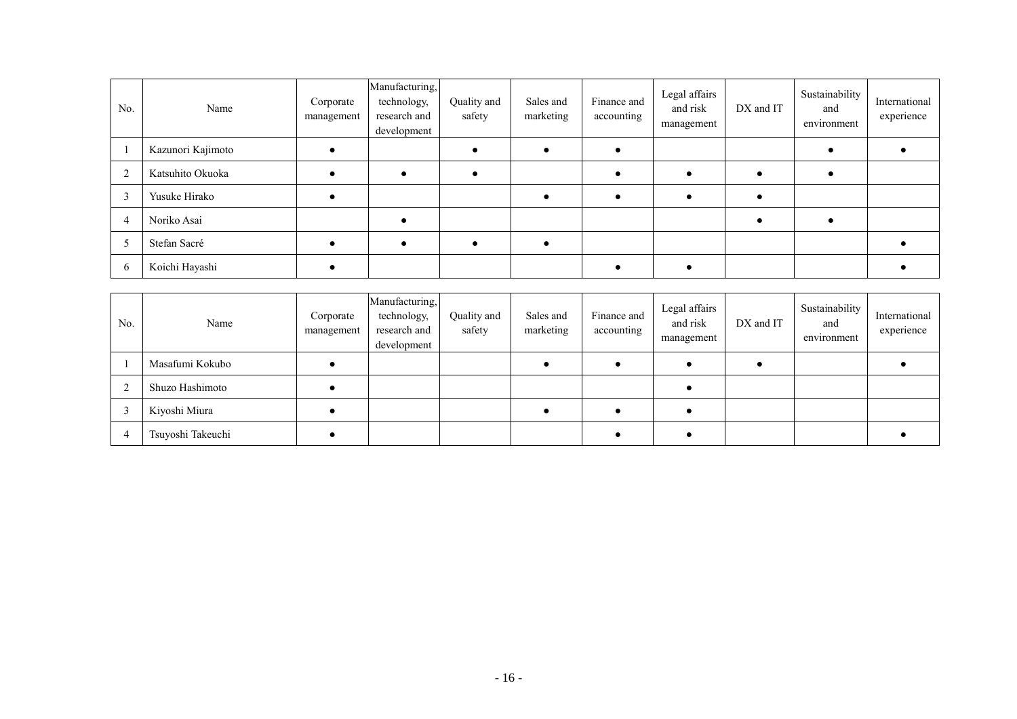| No. | Name              | Corporate<br>management | Manufacturing,<br>technology,<br>research and<br>development | Quality and<br>safety | Sales and<br>marketing | Finance and<br>accounting | Legal affairs<br>and risk<br>management | DX and IT | Sustainability<br>and<br>environment | International<br>experience |
|-----|-------------------|-------------------------|--------------------------------------------------------------|-----------------------|------------------------|---------------------------|-----------------------------------------|-----------|--------------------------------------|-----------------------------|
|     | Kazunori Kajimoto |                         |                                                              |                       |                        |                           |                                         |           |                                      |                             |
|     | Katsuhito Okuoka  |                         |                                                              |                       |                        |                           |                                         |           |                                      |                             |
|     | Yusuke Hirako     |                         |                                                              |                       |                        |                           |                                         |           |                                      |                             |
|     | Noriko Asai       |                         |                                                              |                       |                        |                           |                                         |           |                                      |                             |
|     | Stefan Sacré      |                         |                                                              |                       |                        |                           |                                         |           |                                      |                             |
|     | Koichi Hayashi    |                         |                                                              |                       |                        |                           |                                         |           |                                      |                             |

| No. | Name              | Corporate<br>management | Manufacturing,<br>technology,<br>research and<br>development | Quality and<br>safety | Sales and<br>marketing | Finance and<br>accounting | Legal affairs<br>and risk<br>management | DX and IT | Sustainability<br>and<br>environment | International<br>experience |
|-----|-------------------|-------------------------|--------------------------------------------------------------|-----------------------|------------------------|---------------------------|-----------------------------------------|-----------|--------------------------------------|-----------------------------|
|     | Masafumi Kokubo   |                         |                                                              |                       |                        |                           |                                         |           |                                      |                             |
|     | Shuzo Hashimoto   |                         |                                                              |                       |                        |                           |                                         |           |                                      |                             |
|     | Kiyoshi Miura     |                         |                                                              |                       |                        |                           |                                         |           |                                      |                             |
|     | Tsuyoshi Takeuchi |                         |                                                              |                       |                        |                           |                                         |           |                                      |                             |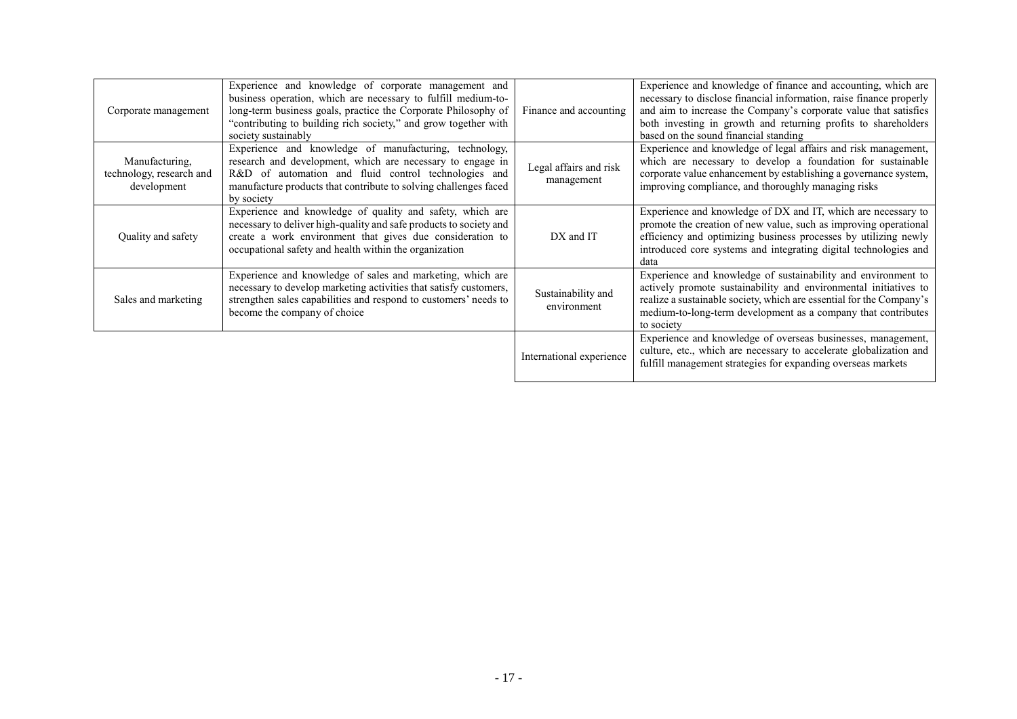| Corporate management                                      | Experience and knowledge of corporate management and<br>business operation, which are necessary to fulfill medium-to-<br>long-term business goals, practice the Corporate Philosophy of<br>"contributing to building rich society," and grow together with<br>society sustainably | Finance and accounting               | Experience and knowledge of finance and accounting, which are<br>necessary to disclose financial information, raise finance properly<br>and aim to increase the Company's corporate value that satisfies<br>both investing in growth and returning profits to shareholders<br>based on the sound financial standing |
|-----------------------------------------------------------|-----------------------------------------------------------------------------------------------------------------------------------------------------------------------------------------------------------------------------------------------------------------------------------|--------------------------------------|---------------------------------------------------------------------------------------------------------------------------------------------------------------------------------------------------------------------------------------------------------------------------------------------------------------------|
| Manufacturing,<br>technology, research and<br>development | Experience and knowledge of manufacturing, technology,<br>research and development, which are necessary to engage in<br>R&D of automation and fluid control technologies and<br>manufacture products that contribute to solving challenges faced<br>by society                    | Legal affairs and risk<br>management | Experience and knowledge of legal affairs and risk management,<br>which are necessary to develop a foundation for sustainable<br>corporate value enhancement by establishing a governance system,<br>improving compliance, and thoroughly managing risks                                                            |
| Quality and safety                                        | Experience and knowledge of quality and safety, which are<br>necessary to deliver high-quality and safe products to society and<br>create a work environment that gives due consideration to<br>occupational safety and health within the organization                            | DX and IT                            | Experience and knowledge of DX and IT, which are necessary to<br>promote the creation of new value, such as improving operational<br>efficiency and optimizing business processes by utilizing newly<br>introduced core systems and integrating digital technologies and<br>data                                    |
| Sales and marketing                                       | Experience and knowledge of sales and marketing, which are<br>necessary to develop marketing activities that satisfy customers,<br>strengthen sales capabilities and respond to customers' needs to<br>become the company of choice                                               | Sustainability and<br>environment    | Experience and knowledge of sustainability and environment to<br>actively promote sustainability and environmental initiatives to<br>realize a sustainable society, which are essential for the Company's<br>medium-to-long-term development as a company that contributes<br>to society                            |
|                                                           |                                                                                                                                                                                                                                                                                   | International experience             | Experience and knowledge of overseas businesses, management,<br>culture, etc., which are necessary to accelerate globalization and<br>fulfill management strategies for expanding overseas markets                                                                                                                  |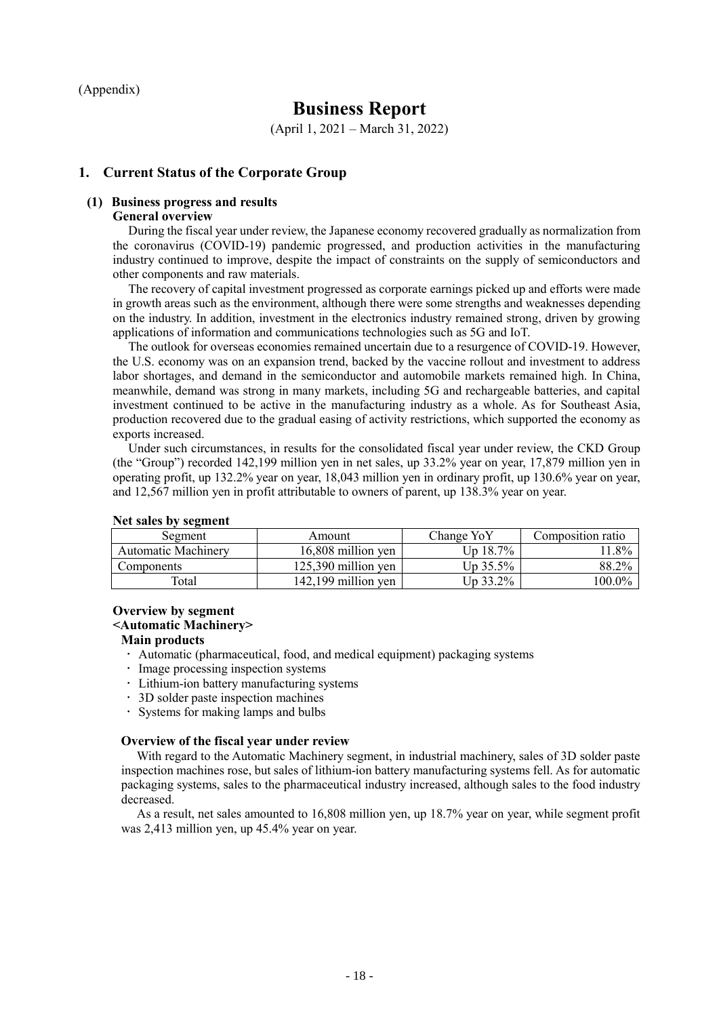(Appendix)

# **Business Report**

(April 1, 2021 – March 31, 2022)

### **1. Current Status of the Corporate Group**

# **(1) Business progress and results**

#### **General overview**

During the fiscal year under review, the Japanese economy recovered gradually as normalization from the coronavirus (COVID-19) pandemic progressed, and production activities in the manufacturing industry continued to improve, despite the impact of constraints on the supply of semiconductors and other components and raw materials.

The recovery of capital investment progressed as corporate earnings picked up and efforts were made in growth areas such as the environment, although there were some strengths and weaknesses depending on the industry. In addition, investment in the electronics industry remained strong, driven by growing applications of information and communications technologies such as 5G and IoT.

The outlook for overseas economies remained uncertain due to a resurgence of COVID-19. However, the U.S. economy was on an expansion trend, backed by the vaccine rollout and investment to address labor shortages, and demand in the semiconductor and automobile markets remained high. In China, meanwhile, demand was strong in many markets, including 5G and rechargeable batteries, and capital investment continued to be active in the manufacturing industry as a whole. As for Southeast Asia, production recovered due to the gradual easing of activity restrictions, which supported the economy as exports increased.

Under such circumstances, in results for the consolidated fiscal year under review, the CKD Group (the "Group") recorded 142,199 million yen in net sales, up 33.2% year on year, 17,879 million yen in operating profit, up 132.2% year on year, 18,043 million yen in ordinary profit, up 130.6% year on year, and 12,567 million yen in profit attributable to owners of parent, up 138.3% year on year.

| Segment                    | Amount                | Change YoY           | Composition ratio |  |  |
|----------------------------|-----------------------|----------------------|-------------------|--|--|
| <b>Automatic Machinery</b> | 16,808 million yen    | Jp 18.7%             | 1.8%              |  |  |
| Components                 | $125.390$ million ven | Up 35.5%             | 88.2%             |  |  |
| Total                      | $142,199$ million yen | $U_{\text{D}}$ 33.2% | 100.0%            |  |  |

#### **Net sales by segment**

#### **Overview by segment**

#### **<Automatic Machinery>**

#### **Main products**

- Automatic (pharmaceutical, food, and medical equipment) packaging systems
- · Image processing inspection systems
- Lithium-ion battery manufacturing systems
- 3D solder paste inspection machines
- Systems for making lamps and bulbs

#### **Overview of the fiscal year under review**

With regard to the Automatic Machinery segment, in industrial machinery, sales of 3D solder paste inspection machines rose, but sales of lithium-ion battery manufacturing systems fell. As for automatic packaging systems, sales to the pharmaceutical industry increased, although sales to the food industry decreased.

As a result, net sales amounted to 16,808 million yen, up 18.7% year on year, while segment profit was 2,413 million yen, up 45.4% year on year.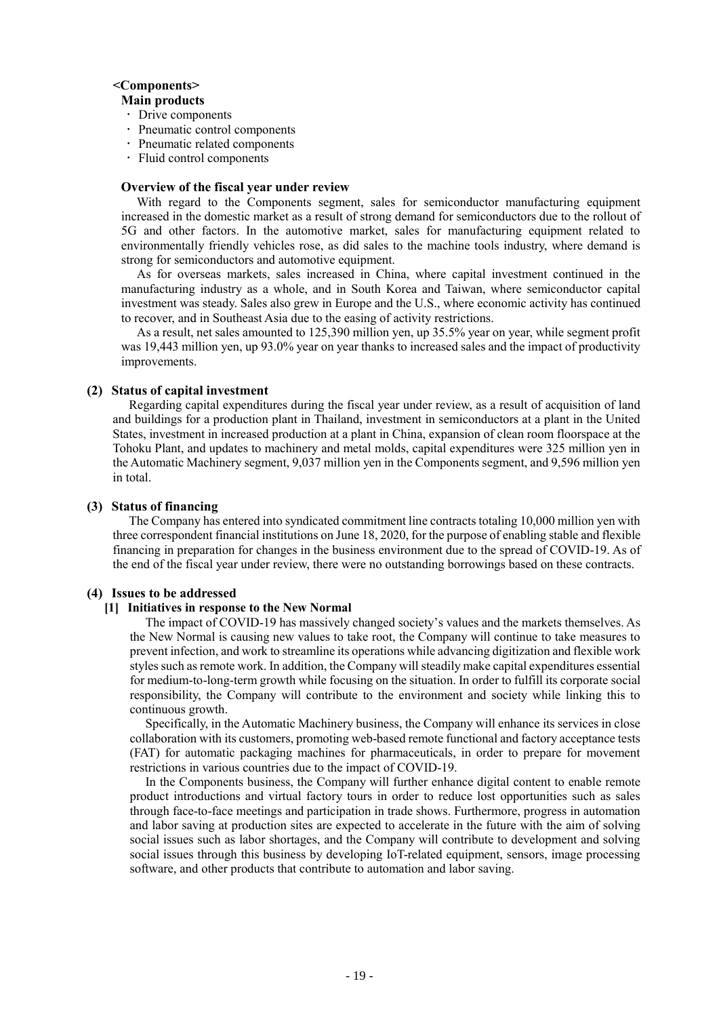#### **<Components>**

#### **Main products**

- Drive components
- Pneumatic control components
- Pneumatic related components
- Fluid control components

#### **Overview of the fiscal year under review**

With regard to the Components segment, sales for semiconductor manufacturing equipment increased in the domestic market as a result of strong demand for semiconductors due to the rollout of 5G and other factors. In the automotive market, sales for manufacturing equipment related to environmentally friendly vehicles rose, as did sales to the machine tools industry, where demand is strong for semiconductors and automotive equipment.

As for overseas markets, sales increased in China, where capital investment continued in the manufacturing industry as a whole, and in South Korea and Taiwan, where semiconductor capital investment was steady. Sales also grew in Europe and the U.S., where economic activity has continued to recover, and in Southeast Asia due to the easing of activity restrictions.

As a result, net sales amounted to 125,390 million yen, up 35.5% year on year, while segment profit was 19,443 million yen, up 93.0% year on year thanks to increased sales and the impact of productivity improvements.

### **(2) Status of capital investment**

Regarding capital expenditures during the fiscal year under review, as a result of acquisition of land and buildings for a production plant in Thailand, investment in semiconductors at a plant in the United States, investment in increased production at a plant in China, expansion of clean room floorspace at the Tohoku Plant, and updates to machinery and metal molds, capital expenditures were 325 million yen in the Automatic Machinery segment, 9,037 million yen in the Components segment, and 9,596 million yen in total.

#### **(3) Status of financing**

The Company has entered into syndicated commitment line contracts totaling 10,000 million yen with three correspondent financial institutions on June 18, 2020, for the purpose of enabling stable and flexible financing in preparation for changes in the business environment due to the spread of COVID-19. As of the end of the fiscal year under review, there were no outstanding borrowings based on these contracts.

#### **(4) Issues to be addressed**

#### **[1] Initiatives in response to the New Normal**

The impact of COVID-19 has massively changed society's values and the markets themselves. As the New Normal is causing new values to take root, the Company will continue to take measures to prevent infection, and work to streamline its operations while advancing digitization and flexible work styles such as remote work. In addition, the Company will steadily make capital expenditures essential for medium-to-long-term growth while focusing on the situation. In order to fulfill its corporate social responsibility, the Company will contribute to the environment and society while linking this to continuous growth.

Specifically, in the Automatic Machinery business, the Company will enhance its services in close collaboration with its customers, promoting web-based remote functional and factory acceptance tests (FAT) for automatic packaging machines for pharmaceuticals, in order to prepare for movement restrictions in various countries due to the impact of COVID-19.

In the Components business, the Company will further enhance digital content to enable remote product introductions and virtual factory tours in order to reduce lost opportunities such as sales through face-to-face meetings and participation in trade shows. Furthermore, progress in automation and labor saving at production sites are expected to accelerate in the future with the aim of solving social issues such as labor shortages, and the Company will contribute to development and solving social issues through this business by developing IoT-related equipment, sensors, image processing software, and other products that contribute to automation and labor saving.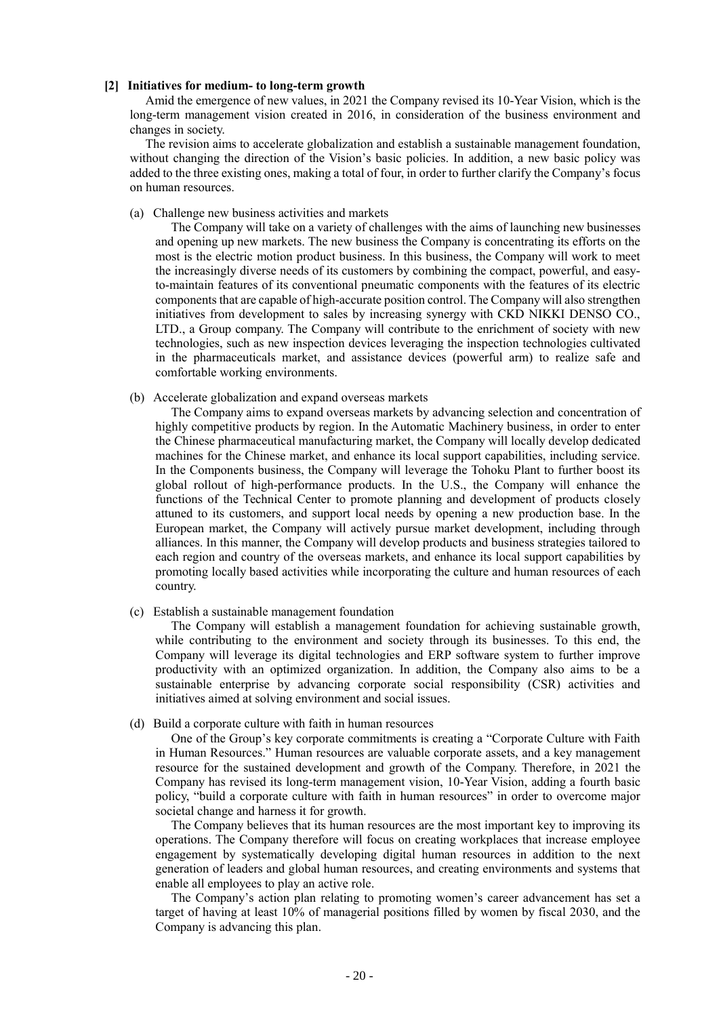#### **[2] Initiatives for medium- to long-term growth**

Amid the emergence of new values, in 2021 the Company revised its 10-Year Vision, which is the long-term management vision created in 2016, in consideration of the business environment and changes in society.

The revision aims to accelerate globalization and establish a sustainable management foundation, without changing the direction of the Vision's basic policies. In addition, a new basic policy was added to the three existing ones, making a total of four, in order to further clarify the Company's focus on human resources.

(a) Challenge new business activities and markets

The Company will take on a variety of challenges with the aims of launching new businesses and opening up new markets. The new business the Company is concentrating its efforts on the most is the electric motion product business. In this business, the Company will work to meet the increasingly diverse needs of its customers by combining the compact, powerful, and easyto-maintain features of its conventional pneumatic components with the features of its electric components that are capable of high-accurate position control. The Company will also strengthen initiatives from development to sales by increasing synergy with CKD NIKKI DENSO CO., LTD., a Group company. The Company will contribute to the enrichment of society with new technologies, such as new inspection devices leveraging the inspection technologies cultivated in the pharmaceuticals market, and assistance devices (powerful arm) to realize safe and comfortable working environments.

(b) Accelerate globalization and expand overseas markets

The Company aims to expand overseas markets by advancing selection and concentration of highly competitive products by region. In the Automatic Machinery business, in order to enter the Chinese pharmaceutical manufacturing market, the Company will locally develop dedicated machines for the Chinese market, and enhance its local support capabilities, including service. In the Components business, the Company will leverage the Tohoku Plant to further boost its global rollout of high-performance products. In the U.S., the Company will enhance the functions of the Technical Center to promote planning and development of products closely attuned to its customers, and support local needs by opening a new production base. In the European market, the Company will actively pursue market development, including through alliances. In this manner, the Company will develop products and business strategies tailored to each region and country of the overseas markets, and enhance its local support capabilities by promoting locally based activities while incorporating the culture and human resources of each country.

(c) Establish a sustainable management foundation

The Company will establish a management foundation for achieving sustainable growth, while contributing to the environment and society through its businesses. To this end, the Company will leverage its digital technologies and ERP software system to further improve productivity with an optimized organization. In addition, the Company also aims to be a sustainable enterprise by advancing corporate social responsibility (CSR) activities and initiatives aimed at solving environment and social issues.

(d) Build a corporate culture with faith in human resources

One of the Group's key corporate commitments is creating a "Corporate Culture with Faith in Human Resources." Human resources are valuable corporate assets, and a key management resource for the sustained development and growth of the Company. Therefore, in 2021 the Company has revised its long-term management vision, 10-Year Vision, adding a fourth basic policy, "build a corporate culture with faith in human resources" in order to overcome major societal change and harness it for growth.

The Company believes that its human resources are the most important key to improving its operations. The Company therefore will focus on creating workplaces that increase employee engagement by systematically developing digital human resources in addition to the next generation of leaders and global human resources, and creating environments and systems that enable all employees to play an active role.

The Company's action plan relating to promoting women's career advancement has set a target of having at least 10% of managerial positions filled by women by fiscal 2030, and the Company is advancing this plan.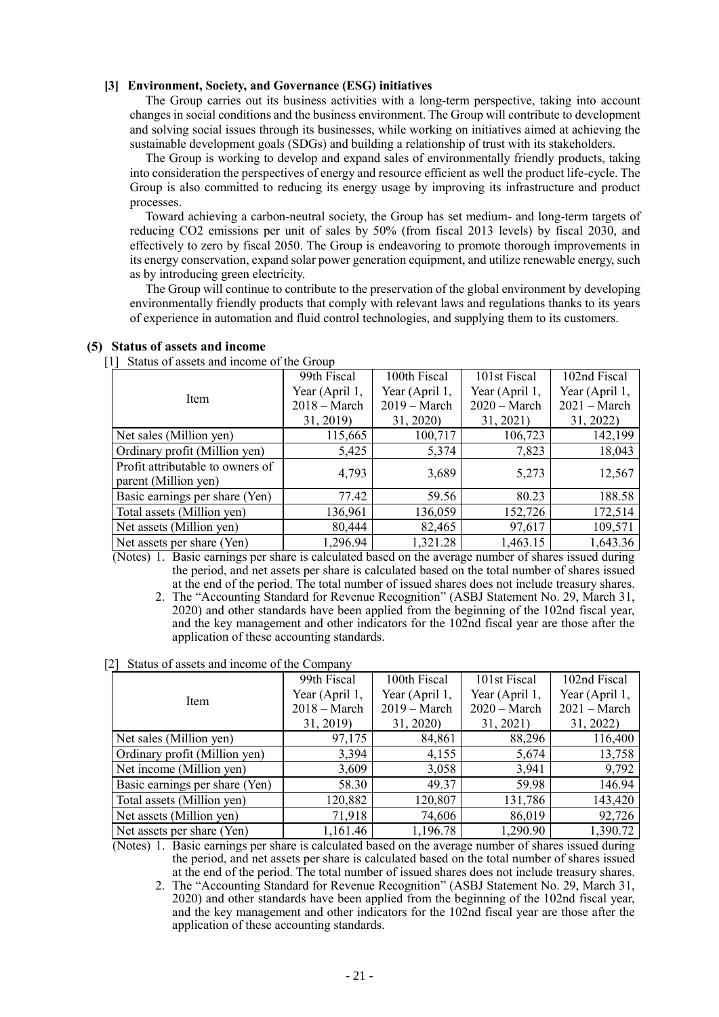#### **[3] Environment, Society, and Governance (ESG) initiatives**

The Group carries out its business activities with a long-term perspective, taking into account changes in social conditions and the business environment. The Group will contribute to development and solving social issues through its businesses, while working on initiatives aimed at achieving the sustainable development goals (SDGs) and building a relationship of trust with its stakeholders.

The Group is working to develop and expand sales of environmentally friendly products, taking into consideration the perspectives of energy and resource efficient as well the product life-cycle. The Group is also committed to reducing its energy usage by improving its infrastructure and product processes.

Toward achieving a carbon-neutral society, the Group has set medium- and long-term targets of reducing CO2 emissions per unit of sales by 50% (from fiscal 2013 levels) by fiscal 2030, and effectively to zero by fiscal 2050. The Group is endeavoring to promote thorough improvements in its energy conservation, expand solar power generation equipment, and utilize renewable energy, such as by introducing green electricity.

The Group will continue to contribute to the preservation of the global environment by developing environmentally friendly products that comply with relevant laws and regulations thanks to its years of experience in automation and fluid control technologies, and supplying them to its customers.

| . .<br>Diaras of assets and movine of the Group          |                |                |                |                |
|----------------------------------------------------------|----------------|----------------|----------------|----------------|
|                                                          | 99th Fiscal    | 100th Fiscal   | 101st Fiscal   | 102nd Fiscal   |
| Item                                                     | Year (April 1, | Year (April 1, | Year (April 1, | Year (April 1, |
|                                                          | $2018 - March$ | $2019 - March$ | $2020 - March$ | $2021 - March$ |
|                                                          | 31, 2019)      | 31, 2020)      | 31, 2021)      | 31, 2022)      |
| Net sales (Million yen)                                  | 115,665        | 100,717        | 106,723        | 142,199        |
| Ordinary profit (Million yen)                            | 5,425          | 5,374          | 7,823          | 18,043         |
| Profit attributable to owners of<br>parent (Million yen) | 4,793          | 3,689          | 5,273          | 12,567         |
| Basic earnings per share (Yen)                           | 77.42          | 59.56          | 80.23          | 188.58         |
| Total assets (Million yen)                               | 136,961        | 136,059        | 152,726        | 172,514        |
| Net assets (Million yen)                                 | 80,444         | 82,465         | 97,617         | 109,571        |
| Net assets per share (Yen)                               | 1,296.94       | 1,321.28       | 1,463.15       | 1,643.36       |
| $\Delta$ $\sim$ $\Delta$ $\sim$ $\sim$ $\sim$ $\sim$     |                |                |                | $\sim$ $\sim$  |

#### **(5) Status of assets and income**

[1] Status of assets and income of the Group

(Notes) 1. Basic earnings per share is calculated based on the average number of shares issued during the period, and net assets per share is calculated based on the total number of shares issued at the end of the period. The total number of issued shares does not include treasury shares.

2. The "Accounting Standard for Revenue Recognition" (ASBJ Statement No. 29, March 31, 2020) and other standards have been applied from the beginning of the 102nd fiscal year, and the key management and other indicators for the 102nd fiscal year are those after the application of these accounting standards.

#### [2] Status of assets and income of the Company

|                                | 99th Fiscal    | 100th Fiscal   | 101st Fiscal   | 102nd Fiscal   |
|--------------------------------|----------------|----------------|----------------|----------------|
|                                | Year (April 1, | Year (April 1, | Year (April 1, | Year (April 1, |
| Item                           | $2018 - March$ | $2019 - March$ | $2020 - March$ | $2021 - March$ |
|                                | 31, 2019)      | 31, 2020)      | 31, 2021)      | 31, 2022)      |
| Net sales (Million yen)        | 97,175         | 84,861         | 88,296         | 116,400        |
| Ordinary profit (Million yen)  | 3,394          | 4,155          | 5,674          | 13,758         |
| Net income (Million yen)       | 3,609          | 3,058          | 3,941          | 9,792          |
| Basic earnings per share (Yen) | 58.30          | 49.37          | 59.98          | 146.94         |
| Total assets (Million yen)     | 120,882        | 120,807        | 131,786        | 143,420        |
| Net assets (Million yen)       | 71,918         | 74,606         | 86,019         | 92,726         |
| Net assets per share (Yen)     | 1,161.46       | 1,196.78       | 1,290.90       | 1,390.72       |

(Notes) 1. Basic earnings per share is calculated based on the average number of shares issued during the period, and net assets per share is calculated based on the total number of shares issued at the end of the period. The total number of issued shares does not include treasury shares.

2. The "Accounting Standard for Revenue Recognition" (ASBJ Statement No. 29, March 31, 2020) and other standards have been applied from the beginning of the 102nd fiscal year, and the key management and other indicators for the 102nd fiscal year are those after the application of these accounting standards.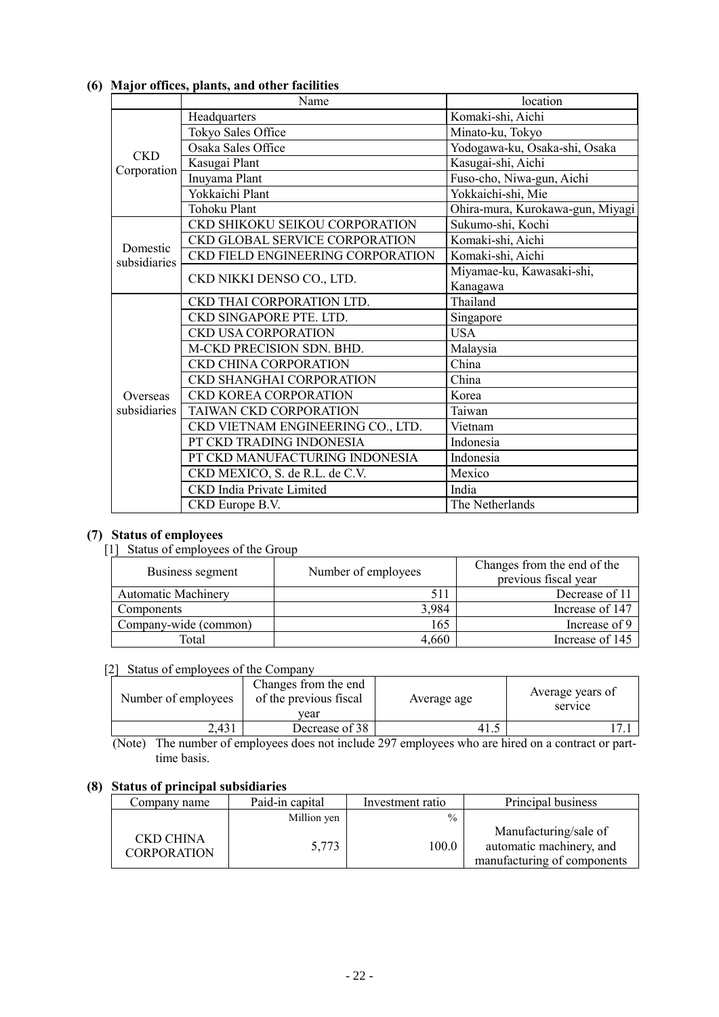|              | Name                              | location                         |
|--------------|-----------------------------------|----------------------------------|
|              | Headquarters                      | Komaki-shi, Aichi                |
|              | Tokyo Sales Office                | Minato-ku, Tokyo                 |
| <b>CKD</b>   | Osaka Sales Office                | Yodogawa-ku, Osaka-shi, Osaka    |
| Corporation  | Kasugai Plant                     | Kasugai-shi, Aichi               |
|              | Inuyama Plant                     | Fuso-cho, Niwa-gun, Aichi        |
|              | Yokkaichi Plant                   | Yokkaichi-shi, Mie               |
|              | <b>Tohoku Plant</b>               | Ohira-mura, Kurokawa-gun, Miyagi |
|              | CKD SHIKOKU SEIKOU CORPORATION    | Sukumo-shi, Kochi                |
| Domestic     | CKD GLOBAL SERVICE CORPORATION    | Komaki-shi, Aichi                |
| subsidiaries | CKD FIELD ENGINEERING CORPORATION | Komaki-shi, Aichi                |
|              | CKD NIKKI DENSO CO., LTD.         | Miyamae-ku, Kawasaki-shi,        |
|              |                                   | Kanagawa                         |
|              | CKD THAI CORPORATION LTD.         | Thailand                         |
|              | CKD SINGAPORE PTE. LTD.           | Singapore                        |
|              | <b>CKD USA CORPORATION</b>        | USA.                             |
|              | M-CKD PRECISION SDN. BHD.         | Malaysia                         |
|              | <b>CKD CHINA CORPORATION</b>      | China                            |
|              | <b>CKD SHANGHAI CORPORATION</b>   | China                            |
| Overseas     | <b>CKD KOREA CORPORATION</b>      | Korea                            |
| subsidiaries | TAIWAN CKD CORPORATION            | Taiwan                           |
|              | CKD VIETNAM ENGINEERING CO., LTD. | Vietnam                          |
|              | PT CKD TRADING INDONESIA          | Indonesia                        |
|              | PT CKD MANUFACTURING INDONESIA    | Indonesia                        |
|              | CKD MEXICO, S. de R.L. de C.V.    | Mexico                           |
|              | <b>CKD</b> India Private Limited  | India                            |
|              | CKD Europe B.V.                   | The Netherlands                  |

# **(6) Major offices, plants, and other facilities**

# **(7) Status of employees**

### [1] Status of employees of the Group

| Business segment           | Number of employees | Changes from the end of the<br>previous fiscal year |
|----------------------------|---------------------|-----------------------------------------------------|
| <b>Automatic Machinery</b> | 511                 | Decrease of 11                                      |
| Components                 | 3,984               | Increase of 147                                     |
| Company-wide (common)      | 165                 | Increase of 9                                       |
| Total                      | 4,660               | Increase of 145                                     |

# [2] Status of employees of the Company

| Number of employees | Changes from the end<br>of the previous fiscal<br>vear | Average age | Average years of<br>service |
|---------------------|--------------------------------------------------------|-------------|-----------------------------|
| 2.431               | Decrease of 38                                         |             |                             |

(Note) The number of employees does not include 297 employees who are hired on a contract or parttime basis.

# **(8) Status of principal subsidiaries**

| Company name                    | Paid-in capital | Investment ratio | Principal business                                |
|---------------------------------|-----------------|------------------|---------------------------------------------------|
|                                 | Million yen     | $\frac{0}{0}$    |                                                   |
| CKD CHINA<br><b>CORPORATION</b> | 5,773           | 100.0            | Manufacturing/sale of<br>automatic machinery, and |
|                                 |                 |                  | manufacturing of components                       |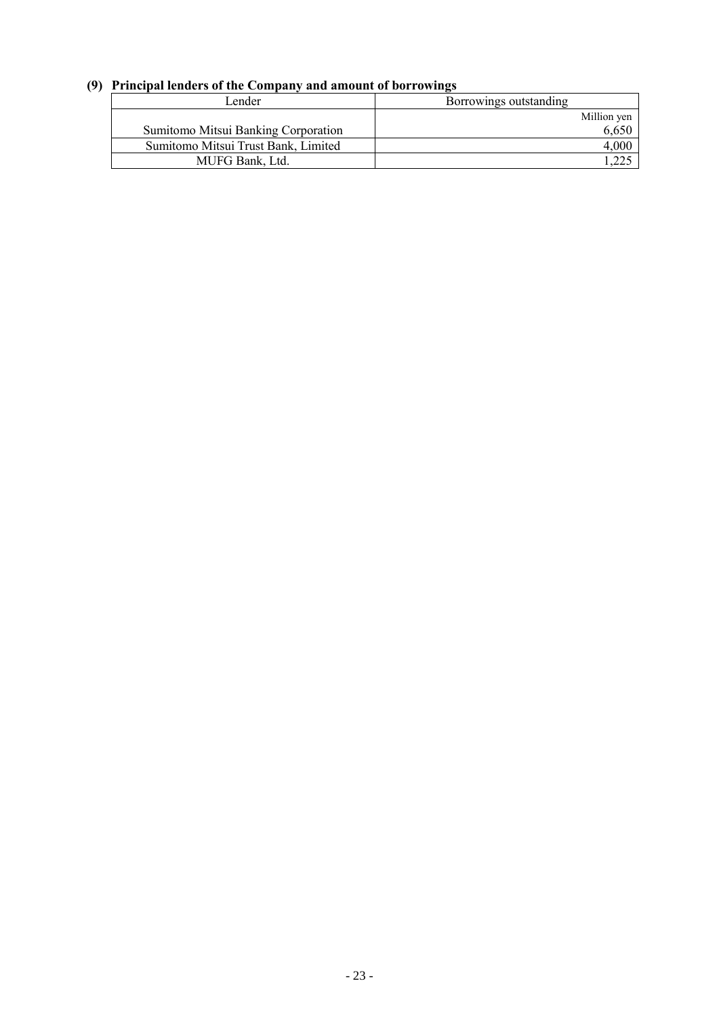# **(9) Principal lenders of the Company and amount of borrowings**

| Lender                              | Borrowings outstanding |
|-------------------------------------|------------------------|
|                                     | Million yen            |
| Sumitomo Mitsui Banking Corporation | 6,650                  |
| Sumitomo Mitsui Trust Bank, Limited | 4.000                  |
| MUFG Bank, Ltd.                     |                        |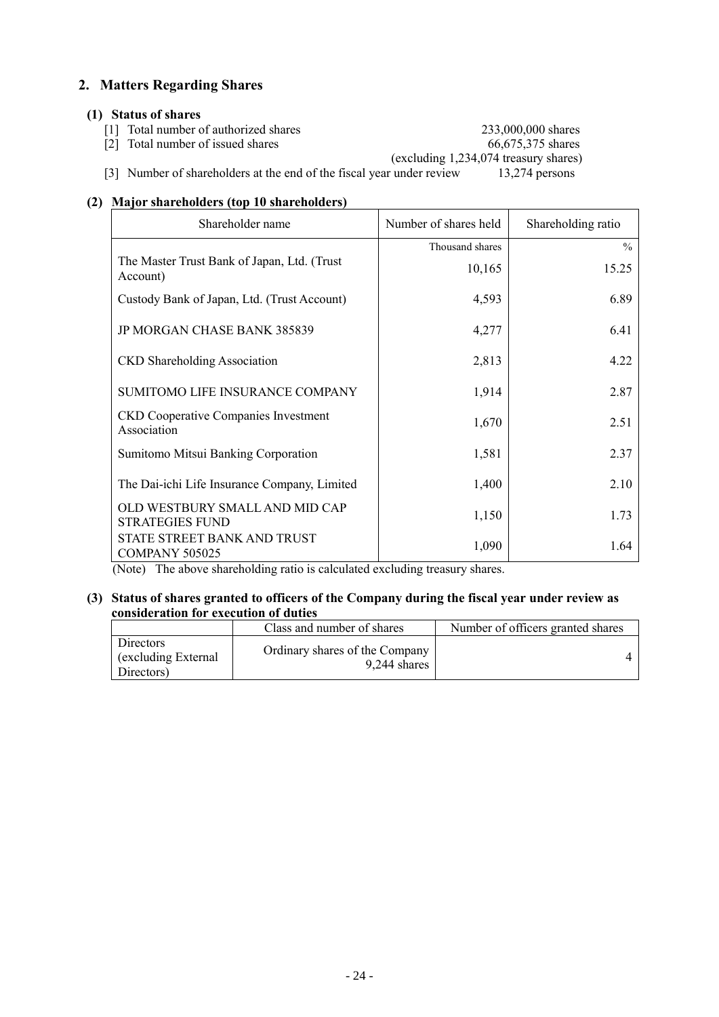# **2. Matters Regarding Shares**

### **(1) Status of shares**

- [1] Total number of authorized shares 233,000,000 shares 233,000,000 shares 66,675,375 shares
- $\begin{bmatrix} 2 \end{bmatrix}$  Total number of issued shares

(excluding 1,234,074 treasury shares)

[3] Number of shareholders at the end of the fiscal year under review 13,274 persons

# **(2) Major shareholders (top 10 shareholders)**

| Shareholder name                                           | Number of shares held | Shareholding ratio |
|------------------------------------------------------------|-----------------------|--------------------|
|                                                            | Thousand shares       | $\%$               |
| The Master Trust Bank of Japan, Ltd. (Trust<br>Account)    | 10,165                | 15.25              |
| Custody Bank of Japan, Ltd. (Trust Account)                | 4,593                 | 6.89               |
| JP MORGAN CHASE BANK 385839                                | 4,277                 | 6.41               |
| <b>CKD</b> Shareholding Association                        | 2,813                 | 4.22               |
| SUMITOMO LIFE INSURANCE COMPANY                            | 1,914                 | 2.87               |
| <b>CKD</b> Cooperative Companies Investment<br>Association | 1,670                 | 2.51               |
| Sumitomo Mitsui Banking Corporation                        | 1,581                 | 2.37               |
| The Dai-ichi Life Insurance Company, Limited               | 1,400                 | 2.10               |
| OLD WESTBURY SMALL AND MID CAP<br><b>STRATEGIES FUND</b>   | 1,150                 | 1.73               |
| STATE STREET BANK AND TRUST<br><b>COMPANY 505025</b>       | 1,090                 | 1.64               |

(Note) The above shareholding ratio is calculated excluding treasury shares.

**(3) Status of shares granted to officers of the Company during the fiscal year under review as consideration for execution of duties**

|                                                       | Class and number of shares                     | Number of officers granted shares |
|-------------------------------------------------------|------------------------------------------------|-----------------------------------|
| <b>Directors</b><br>(excluding External<br>Directors) | Ordinary shares of the Company<br>9.244 shares |                                   |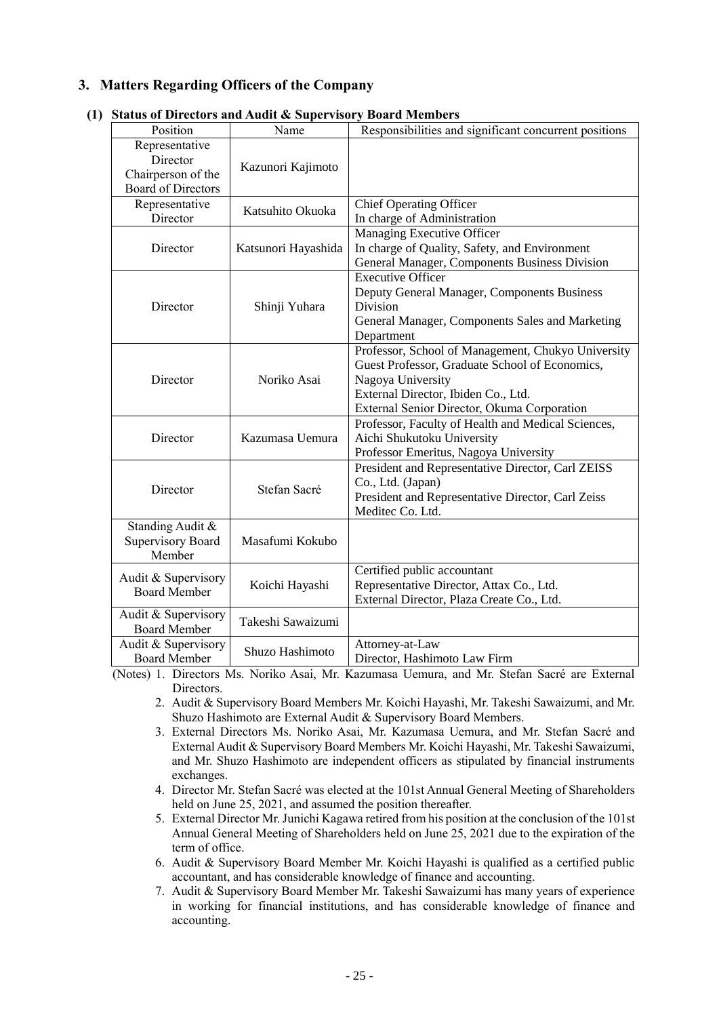# **3. Matters Regarding Officers of the Company**

| Position                                                                      | Status of Difectors and Addit & Supervisory Doard Members<br>Name | Responsibilities and significant concurrent positions                                                                                                                                                           |
|-------------------------------------------------------------------------------|-------------------------------------------------------------------|-----------------------------------------------------------------------------------------------------------------------------------------------------------------------------------------------------------------|
| Representative<br>Director<br>Chairperson of the<br><b>Board of Directors</b> | Kazunori Kajimoto                                                 |                                                                                                                                                                                                                 |
| Representative<br>Director                                                    | Katsuhito Okuoka                                                  | <b>Chief Operating Officer</b><br>In charge of Administration                                                                                                                                                   |
| Director                                                                      | Katsunori Hayashida                                               | Managing Executive Officer<br>In charge of Quality, Safety, and Environment<br>General Manager, Components Business Division                                                                                    |
| Director                                                                      | Shinji Yuhara                                                     | <b>Executive Officer</b><br>Deputy General Manager, Components Business<br>Division<br>General Manager, Components Sales and Marketing<br>Department                                                            |
| Director                                                                      | Noriko Asai                                                       | Professor, School of Management, Chukyo University<br>Guest Professor, Graduate School of Economics,<br>Nagoya University<br>External Director, Ibiden Co., Ltd.<br>External Senior Director, Okuma Corporation |
| Director                                                                      | Kazumasa Uemura                                                   | Professor, Faculty of Health and Medical Sciences,<br>Aichi Shukutoku University<br>Professor Emeritus, Nagoya University                                                                                       |
| Director                                                                      | Stefan Sacré                                                      | President and Representative Director, Carl ZEISS<br>Co., Ltd. (Japan)<br>President and Representative Director, Carl Zeiss<br>Meditec Co. Ltd.                                                                 |
| Standing Audit &<br><b>Supervisory Board</b><br>Member                        | Masafumi Kokubo                                                   |                                                                                                                                                                                                                 |
| Audit & Supervisory<br><b>Board Member</b>                                    | Koichi Hayashi                                                    | Certified public accountant<br>Representative Director, Attax Co., Ltd.<br>External Director, Plaza Create Co., Ltd.                                                                                            |
| Audit & Supervisory<br><b>Board Member</b>                                    | Takeshi Sawaizumi                                                 |                                                                                                                                                                                                                 |
| Audit & Supervisory<br><b>Board Member</b>                                    | Shuzo Hashimoto                                                   | Attorney-at-Law<br>Director, Hashimoto Law Firm                                                                                                                                                                 |

# **(1) Status of Directors and Audit & Supervisory Board Members**

(Notes) 1. Directors Ms. Noriko Asai, Mr. Kazumasa Uemura, and Mr. Stefan Sacré are External Directors.

- 2. Audit & Supervisory Board Members Mr. Koichi Hayashi, Mr. Takeshi Sawaizumi, and Mr. Shuzo Hashimoto are External Audit & Supervisory Board Members.
- 3. External Directors Ms. Noriko Asai, Mr. Kazumasa Uemura, and Mr. Stefan Sacré and External Audit & Supervisory Board Members Mr. Koichi Hayashi, Mr. Takeshi Sawaizumi, and Mr. Shuzo Hashimoto are independent officers as stipulated by financial instruments exchanges.
- 4. Director Mr. Stefan Sacré was elected at the 101st Annual General Meeting of Shareholders held on June 25, 2021, and assumed the position thereafter.
- 5. External Director Mr. Junichi Kagawa retired from his position at the conclusion of the 101st Annual General Meeting of Shareholders held on June 25, 2021 due to the expiration of the term of office.
- 6. Audit & Supervisory Board Member Mr. Koichi Hayashi is qualified as a certified public accountant, and has considerable knowledge of finance and accounting.
- 7. Audit & Supervisory Board Member Mr. Takeshi Sawaizumi has many years of experience in working for financial institutions, and has considerable knowledge of finance and accounting.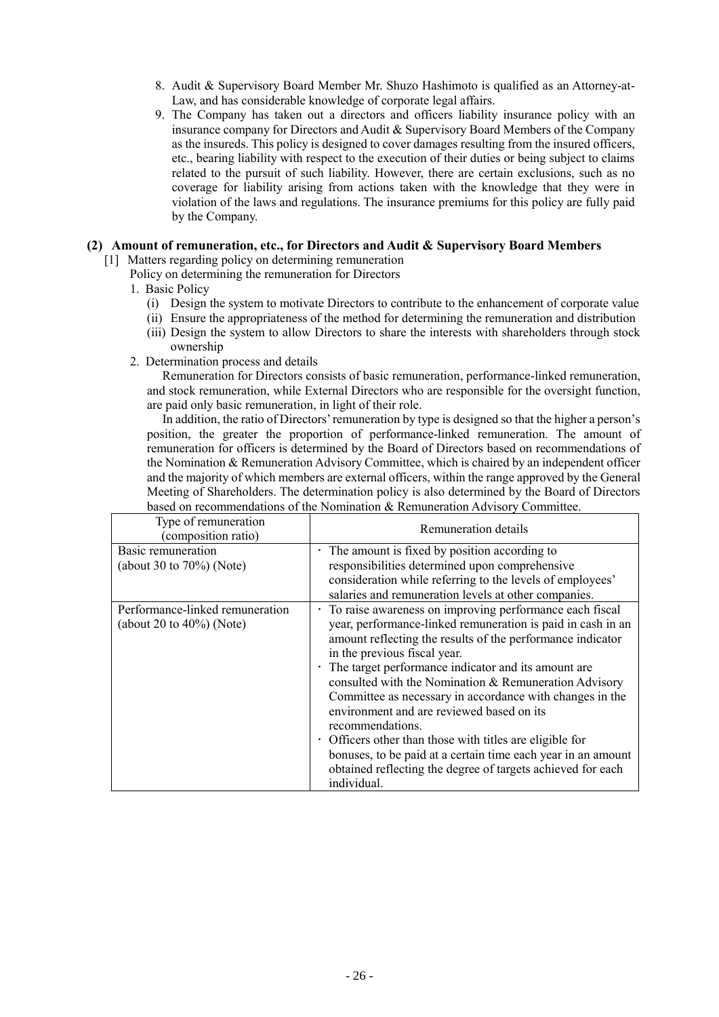- 8. Audit & Supervisory Board Member Mr. Shuzo Hashimoto is qualified as an Attorney-at-Law, and has considerable knowledge of corporate legal affairs.
- 9. The Company has taken out a directors and officers liability insurance policy with an insurance company for Directors and Audit & Supervisory Board Members of the Company as the insureds. This policy is designed to cover damages resulting from the insured officers, etc., bearing liability with respect to the execution of their duties or being subject to claims related to the pursuit of such liability. However, there are certain exclusions, such as no coverage for liability arising from actions taken with the knowledge that they were in violation of the laws and regulations. The insurance premiums for this policy are fully paid by the Company.

#### **(2) Amount of remuneration, etc., for Directors and Audit & Supervisory Board Members**

- [1] Matters regarding policy on determining remuneration
	- Policy on determining the remuneration for Directors
		- 1. Basic Policy
			- (i) Design the system to motivate Directors to contribute to the enhancement of corporate value
			- (ii) Ensure the appropriateness of the method for determining the remuneration and distribution
			- (iii) Design the system to allow Directors to share the interests with shareholders through stock ownership
		- 2. Determination process and details

Remuneration for Directors consists of basic remuneration, performance-linked remuneration, and stock remuneration, while External Directors who are responsible for the oversight function, are paid only basic remuneration, in light of their role.

In addition, the ratio of Directors' remuneration by type is designed so that the higher a person's position, the greater the proportion of performance-linked remuneration. The amount of remuneration for officers is determined by the Board of Directors based on recommendations of the Nomination & Remuneration Advisory Committee, which is chaired by an independent officer and the majority of which members are external officers, within the range approved by the General Meeting of Shareholders. The determination policy is also determined by the Board of Directors based on recommendations of the Nomination & Remuneration Advisory Committee.

| Type of remuneration<br>(composition ratio)                     | Remuneration details                                                                                                                                                                                                                                                                                                                                                                                                                                                                                                                                                                                                                                                            |  |  |
|-----------------------------------------------------------------|---------------------------------------------------------------------------------------------------------------------------------------------------------------------------------------------------------------------------------------------------------------------------------------------------------------------------------------------------------------------------------------------------------------------------------------------------------------------------------------------------------------------------------------------------------------------------------------------------------------------------------------------------------------------------------|--|--|
| Basic remuneration<br>(about 30 to $70\%$ ) (Note)              | • The amount is fixed by position according to<br>responsibilities determined upon comprehensive<br>consideration while referring to the levels of employees'<br>salaries and remuneration levels at other companies.                                                                                                                                                                                                                                                                                                                                                                                                                                                           |  |  |
| Performance-linked remuneration<br>(about 20 to $40\%$ ) (Note) | · To raise awareness on improving performance each fiscal<br>year, performance-linked remuneration is paid in cash in an<br>amount reflecting the results of the performance indicator<br>in the previous fiscal year.<br>· The target performance indicator and its amount are<br>consulted with the Nomination & Remuneration Advisory<br>Committee as necessary in accordance with changes in the<br>environment and are reviewed based on its<br>recommendations.<br>• Officers other than those with titles are eligible for<br>bonuses, to be paid at a certain time each year in an amount<br>obtained reflecting the degree of targets achieved for each<br>individual. |  |  |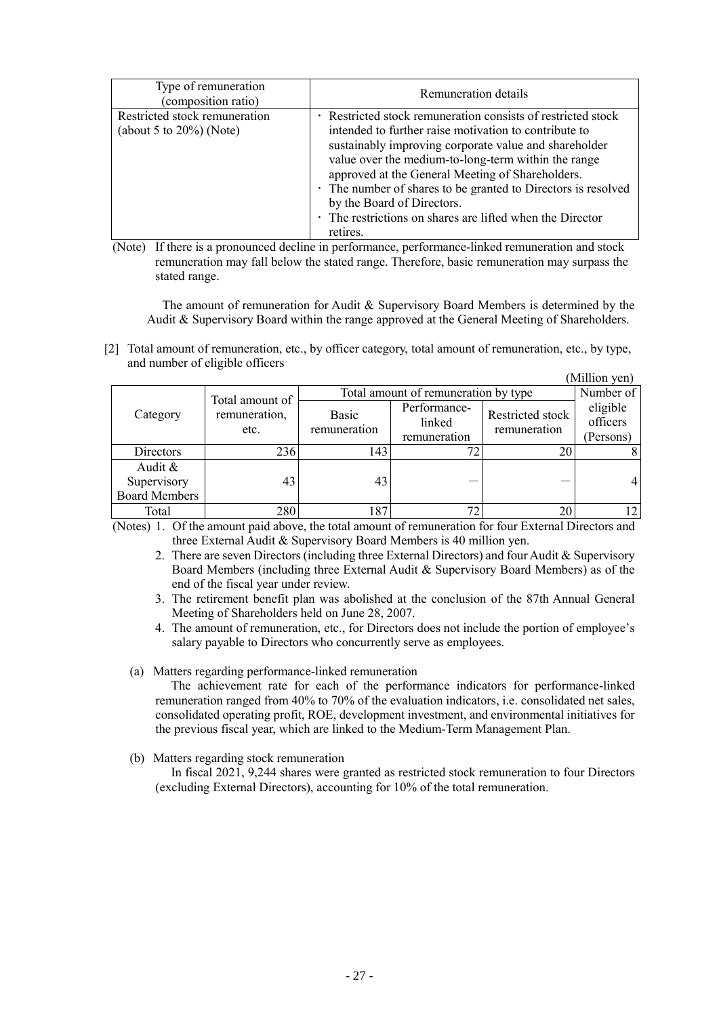| Type of remuneration<br>(composition ratio)                  | Remuneration details                                                                                                                                                                                                                                                                                                                                                                                                                                            |  |
|--------------------------------------------------------------|-----------------------------------------------------------------------------------------------------------------------------------------------------------------------------------------------------------------------------------------------------------------------------------------------------------------------------------------------------------------------------------------------------------------------------------------------------------------|--|
| Restricted stock remuneration<br>(about 5 to $20\%$ ) (Note) | Restricted stock remuneration consists of restricted stock<br>intended to further raise motivation to contribute to<br>sustainably improving corporate value and shareholder<br>value over the medium-to-long-term within the range<br>approved at the General Meeting of Shareholders.<br>• The number of shares to be granted to Directors is resolved<br>by the Board of Directors.<br>• The restrictions on shares are lifted when the Director<br>retires. |  |

(Note) If there is a pronounced decline in performance, performance-linked remuneration and stock remuneration may fall below the stated range. Therefore, basic remuneration may surpass the stated range.

The amount of remuneration for Audit & Supervisory Board Members is determined by the Audit & Supervisory Board within the range approved at the General Meeting of Shareholders.

[2] Total amount of remuneration, etc., by officer category, total amount of remuneration, etc., by type, and number of eligible officers  $\alpha$  and  $\beta$ 

|                                                   |                       |                                      |                                        |                                  | (Million yen)                     |
|---------------------------------------------------|-----------------------|--------------------------------------|----------------------------------------|----------------------------------|-----------------------------------|
| Total amount of                                   |                       | Total amount of remuneration by type | Number of                              |                                  |                                   |
| Category                                          | remuneration,<br>etc. | Basic<br>remuneration                | Performance-<br>linked<br>remuneration | Restricted stock<br>remuneration | eligible<br>officers<br>(Persons) |
| Directors                                         | 236                   | 143                                  |                                        | 20                               |                                   |
| Audit $\&$<br>Supervisory<br><b>Board Members</b> | 43                    | 43                                   |                                        |                                  |                                   |
| Total                                             | 280                   | 187                                  |                                        | 20                               |                                   |

(Notes) 1. Of the amount paid above, the total amount of remuneration for four External Directors and three External Audit & Supervisory Board Members is 40 million yen.

- 2. There are seven Directors (including three External Directors) and four Audit & Supervisory Board Members (including three External Audit & Supervisory Board Members) as of the end of the fiscal year under review.
- 3. The retirement benefit plan was abolished at the conclusion of the 87th Annual General Meeting of Shareholders held on June 28, 2007.
- 4. The amount of remuneration, etc., for Directors does not include the portion of employee's salary payable to Directors who concurrently serve as employees.

(a) Matters regarding performance-linked remuneration

The achievement rate for each of the performance indicators for performance-linked remuneration ranged from 40% to 70% of the evaluation indicators, i.e. consolidated net sales, consolidated operating profit, ROE, development investment, and environmental initiatives for the previous fiscal year, which are linked to the Medium-Term Management Plan.

(b) Matters regarding stock remuneration

In fiscal 2021, 9,244 shares were granted as restricted stock remuneration to four Directors (excluding External Directors), accounting for 10% of the total remuneration.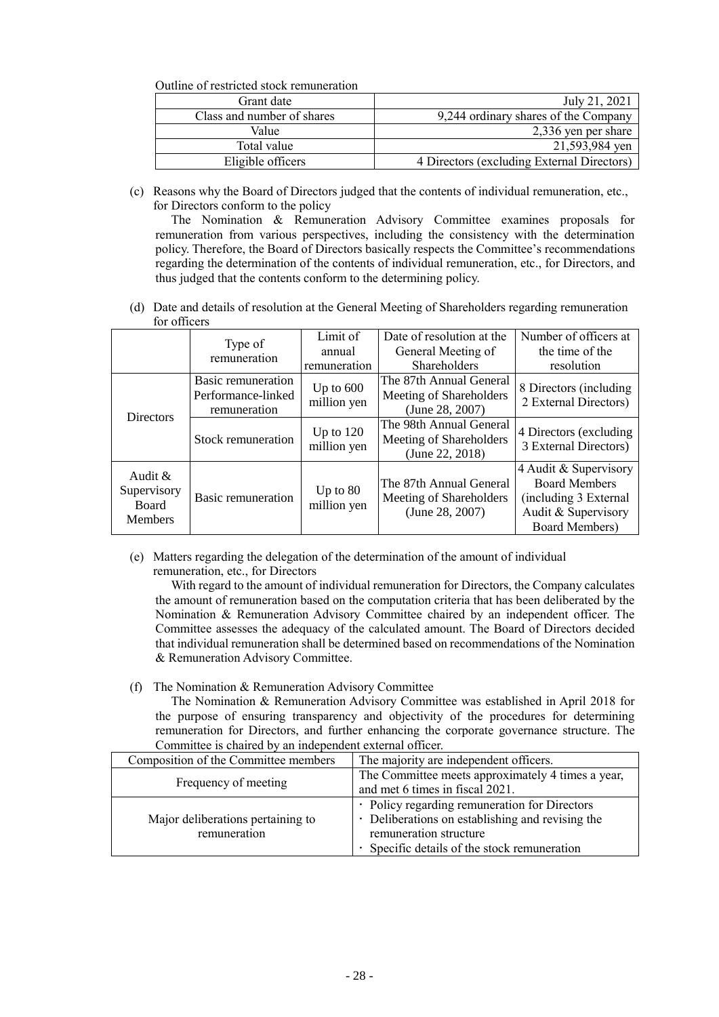Outline of restricted stock remuneration

| Grant date                 | July 21, 2021                              |
|----------------------------|--------------------------------------------|
| Class and number of shares | 9,244 ordinary shares of the Company       |
| Value                      | 2,336 yen per share                        |
| Total value                | 21,593,984 yen                             |
| Eligible officers          | 4 Directors (excluding External Directors) |

(c) Reasons why the Board of Directors judged that the contents of individual remuneration, etc., for Directors conform to the policy

The Nomination & Remuneration Advisory Committee examines proposals for remuneration from various perspectives, including the consistency with the determination policy. Therefore, the Board of Directors basically respects the Committee's recommendations regarding the determination of the contents of individual remuneration, etc., for Directors, and thus judged that the contents conform to the determining policy.

(d) Date and details of resolution at the General Meeting of Shareholders regarding remuneration for officers

|                                                             | Type of                                                  | Limit of<br>annual         | Date of resolution at the<br>General Meeting of                       | Number of officers at<br>the time of the                                                                        |
|-------------------------------------------------------------|----------------------------------------------------------|----------------------------|-----------------------------------------------------------------------|-----------------------------------------------------------------------------------------------------------------|
|                                                             | remuneration                                             | remuneration               | Shareholders                                                          | resolution                                                                                                      |
| <b>Directors</b>                                            | Basic remuneration<br>Performance-linked<br>remuneration | Up to $600$<br>million yen | The 87th Annual General<br>Meeting of Shareholders<br>(June 28, 2007) | 8 Directors (including)<br>2 External Directors)                                                                |
|                                                             | Stock remuneration                                       | Up to $120$<br>million yen | The 98th Annual General<br>Meeting of Shareholders<br>(June 22, 2018) | 4 Directors (excluding)<br>3 External Directors)                                                                |
| Audit $\&$<br>Supervisory<br><b>Board</b><br><b>Members</b> | <b>Basic remuneration</b>                                | Up to $80$<br>million yen  | The 87th Annual General<br>Meeting of Shareholders<br>(June 28, 2007) | 4 Audit & Supervisory<br><b>Board Members</b><br>(including 3 External<br>Audit & Supervisory<br>Board Members) |

(e) Matters regarding the delegation of the determination of the amount of individual remuneration, etc., for Directors

With regard to the amount of individual remuneration for Directors, the Company calculates the amount of remuneration based on the computation criteria that has been deliberated by the Nomination & Remuneration Advisory Committee chaired by an independent officer. The Committee assesses the adequacy of the calculated amount. The Board of Directors decided that individual remuneration shall be determined based on recommendations of the Nomination & Remuneration Advisory Committee.

(f) The Nomination & Remuneration Advisory Committee

The Nomination & Remuneration Advisory Committee was established in April 2018 for the purpose of ensuring transparency and objectivity of the procedures for determining remuneration for Directors, and further enhancing the corporate governance structure. The Committee is chaired by an independent external officer.

| Composition of the Committee members | The majority are independent officers.            |
|--------------------------------------|---------------------------------------------------|
|                                      | The Committee meets approximately 4 times a year, |
| Frequency of meeting                 | and met 6 times in fiscal 2021.                   |
|                                      | · Policy regarding remuneration for Directors     |
| Major deliberations pertaining to    | • Deliberations on establishing and revising the  |
| remuneration                         | remuneration structure                            |
|                                      | Specific details of the stock remuneration        |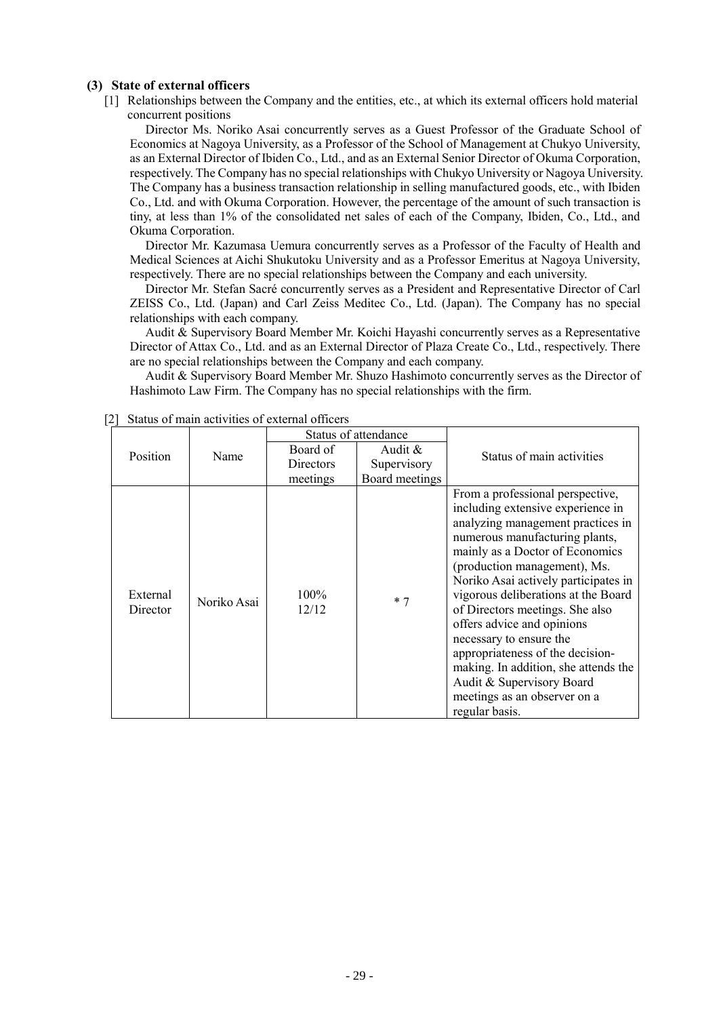#### **(3) State of external officers**

[1] Relationships between the Company and the entities, etc., at which its external officers hold material concurrent positions

Director Ms. Noriko Asai concurrently serves as a Guest Professor of the Graduate School of Economics at Nagoya University, as a Professor of the School of Management at Chukyo University, as an External Director of Ibiden Co., Ltd., and as an External Senior Director of Okuma Corporation, respectively. The Company has no special relationships with Chukyo University or Nagoya University. The Company has a business transaction relationship in selling manufactured goods, etc., with Ibiden Co., Ltd. and with Okuma Corporation. However, the percentage of the amount of such transaction is tiny, at less than 1% of the consolidated net sales of each of the Company, Ibiden, Co., Ltd., and Okuma Corporation.

Director Mr. Kazumasa Uemura concurrently serves as a Professor of the Faculty of Health and Medical Sciences at Aichi Shukutoku University and as a Professor Emeritus at Nagoya University, respectively. There are no special relationships between the Company and each university.

Director Mr. Stefan Sacré concurrently serves as a President and Representative Director of Carl ZEISS Co., Ltd. (Japan) and Carl Zeiss Meditec Co., Ltd. (Japan). The Company has no special relationships with each company.

Audit & Supervisory Board Member Mr. Koichi Hayashi concurrently serves as a Representative Director of Attax Co., Ltd. and as an External Director of Plaza Create Co., Ltd., respectively. There are no special relationships between the Company and each company.

Audit & Supervisory Board Member Mr. Shuzo Hashimoto concurrently serves as the Director of Hashimoto Law Firm. The Company has no special relationships with the firm.

|                      |             | Status of attendance |                |                                                                                                                                                                                                                                                                                                                                                                                                                                                                                                                                     |  |
|----------------------|-------------|----------------------|----------------|-------------------------------------------------------------------------------------------------------------------------------------------------------------------------------------------------------------------------------------------------------------------------------------------------------------------------------------------------------------------------------------------------------------------------------------------------------------------------------------------------------------------------------------|--|
| Position             | Name        | Board of             | Audit $&$      | Status of main activities                                                                                                                                                                                                                                                                                                                                                                                                                                                                                                           |  |
|                      |             | <b>Directors</b>     | Supervisory    |                                                                                                                                                                                                                                                                                                                                                                                                                                                                                                                                     |  |
|                      |             | meetings             | Board meetings |                                                                                                                                                                                                                                                                                                                                                                                                                                                                                                                                     |  |
| External<br>Director | Noriko Asai | 100%<br>12/12        | $*7$           | From a professional perspective,<br>including extensive experience in<br>analyzing management practices in<br>numerous manufacturing plants,<br>mainly as a Doctor of Economics<br>(production management), Ms.<br>Noriko Asai actively participates in<br>vigorous deliberations at the Board<br>of Directors meetings. She also<br>offers advice and opinions<br>necessary to ensure the<br>appropriateness of the decision-<br>making. In addition, she attends the<br>Audit & Supervisory Board<br>meetings as an observer on a |  |
|                      |             |                      |                | regular basis.                                                                                                                                                                                                                                                                                                                                                                                                                                                                                                                      |  |

[2] Status of main activities of external officers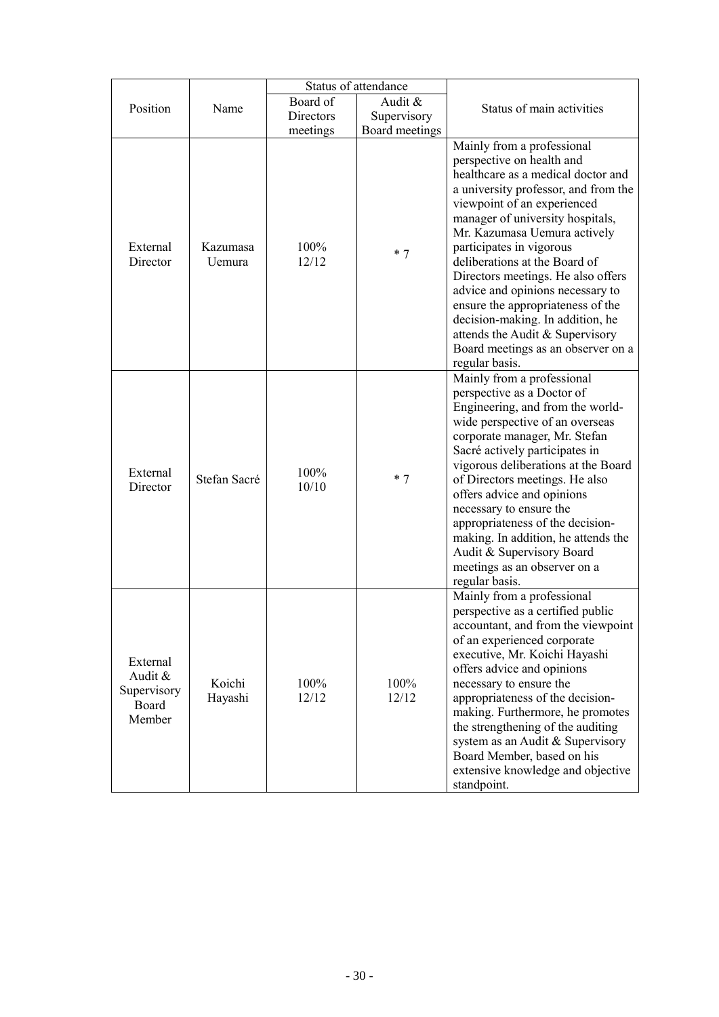|                                                       |                    |                  | Status of attendance |                                                                                                                                                                                                                                                                                                                                                                                                                                                                                                                                                     |
|-------------------------------------------------------|--------------------|------------------|----------------------|-----------------------------------------------------------------------------------------------------------------------------------------------------------------------------------------------------------------------------------------------------------------------------------------------------------------------------------------------------------------------------------------------------------------------------------------------------------------------------------------------------------------------------------------------------|
| Position                                              | Name               | Board of         | Audit &              |                                                                                                                                                                                                                                                                                                                                                                                                                                                                                                                                                     |
|                                                       |                    | <b>Directors</b> | Supervisory          | Status of main activities                                                                                                                                                                                                                                                                                                                                                                                                                                                                                                                           |
|                                                       |                    | meetings         | Board meetings       |                                                                                                                                                                                                                                                                                                                                                                                                                                                                                                                                                     |
| External<br>Director                                  | Kazumasa<br>Uemura | 100%<br>12/12    | $*7$                 | Mainly from a professional<br>perspective on health and<br>healthcare as a medical doctor and<br>a university professor, and from the<br>viewpoint of an experienced<br>manager of university hospitals,<br>Mr. Kazumasa Uemura actively<br>participates in vigorous<br>deliberations at the Board of<br>Directors meetings. He also offers<br>advice and opinions necessary to<br>ensure the appropriateness of the<br>decision-making. In addition, he<br>attends the Audit & Supervisory<br>Board meetings as an observer on a<br>regular basis. |
| External<br>Director                                  | Stefan Sacré       | 100%<br>10/10    | $*7$                 | Mainly from a professional<br>perspective as a Doctor of<br>Engineering, and from the world-<br>wide perspective of an overseas<br>corporate manager, Mr. Stefan<br>Sacré actively participates in<br>vigorous deliberations at the Board<br>of Directors meetings. He also<br>offers advice and opinions<br>necessary to ensure the<br>appropriateness of the decision-<br>making. In addition, he attends the<br>Audit & Supervisory Board<br>meetings as an observer on a<br>regular basis.                                                      |
| External<br>Audit &<br>Supervisory<br>Board<br>Member | Koichi<br>Hayashi  | 100%<br>12/12    | 100%<br>12/12        | Mainly from a professional<br>perspective as a certified public<br>accountant, and from the viewpoint<br>of an experienced corporate<br>executive, Mr. Koichi Hayashi<br>offers advice and opinions<br>necessary to ensure the<br>appropriateness of the decision-<br>making. Furthermore, he promotes<br>the strengthening of the auditing<br>system as an Audit & Supervisory<br>Board Member, based on his<br>extensive knowledge and objective<br>standpoint.                                                                                   |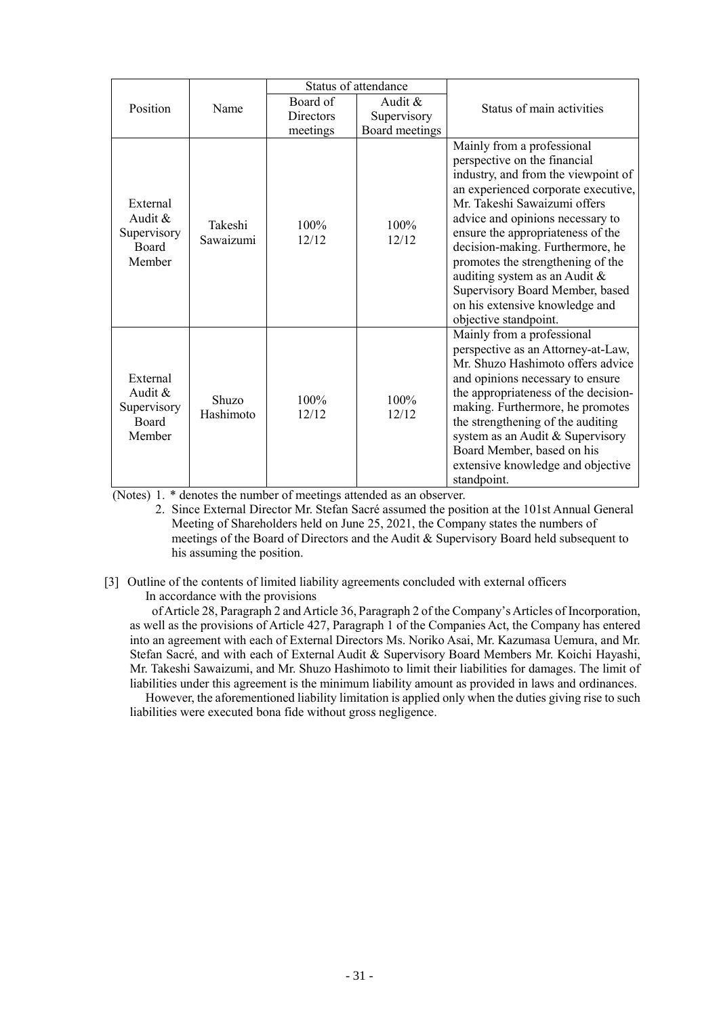|                                                                 |                      | Status of attendance |                  |                                                                                                                                                                                                                                                                                                                                                                                                                                                           |
|-----------------------------------------------------------------|----------------------|----------------------|------------------|-----------------------------------------------------------------------------------------------------------------------------------------------------------------------------------------------------------------------------------------------------------------------------------------------------------------------------------------------------------------------------------------------------------------------------------------------------------|
| Position                                                        | Name                 | Board of             | Audit $\&$       | Status of main activities                                                                                                                                                                                                                                                                                                                                                                                                                                 |
|                                                                 |                      | <b>Directors</b>     | Supervisory      |                                                                                                                                                                                                                                                                                                                                                                                                                                                           |
|                                                                 |                      | meetings             | Board meetings   |                                                                                                                                                                                                                                                                                                                                                                                                                                                           |
| External<br>Audit $\&$<br>Supervisory<br><b>Board</b><br>Member | Takeshi<br>Sawaizumi | 100%<br>12/12        | $100\%$<br>12/12 | Mainly from a professional<br>perspective on the financial<br>industry, and from the viewpoint of<br>an experienced corporate executive,<br>Mr. Takeshi Sawaizumi offers<br>advice and opinions necessary to<br>ensure the appropriateness of the<br>decision-making. Furthermore, he<br>promotes the strengthening of the<br>auditing system as an Audit &<br>Supervisory Board Member, based<br>on his extensive knowledge and<br>objective standpoint. |
| External<br>Audit $\&$<br>Supervisory<br><b>Board</b><br>Member | Shuzo<br>Hashimoto   | 100%<br>12/12        | 100%<br>12/12    | Mainly from a professional<br>perspective as an Attorney-at-Law,<br>Mr. Shuzo Hashimoto offers advice<br>and opinions necessary to ensure<br>the appropriateness of the decision-<br>making. Furthermore, he promotes<br>the strengthening of the auditing<br>system as an Audit & Supervisory<br>Board Member, based on his<br>extensive knowledge and objective<br>standpoint.                                                                          |

(Notes) 1. \* denotes the number of meetings attended as an observer.

2. Since External Director Mr. Stefan Sacré assumed the position at the 101st Annual General Meeting of Shareholders held on June 25, 2021, the Company states the numbers of meetings of the Board of Directors and the Audit & Supervisory Board held subsequent to his assuming the position.

# [3] Outline of the contents of limited liability agreements concluded with external officers

In accordance with the provisions

of Article 28, Paragraph 2 and Article 36, Paragraph 2 of the Company's Articles of Incorporation, as well as the provisions of Article 427, Paragraph 1 of the Companies Act, the Company has entered into an agreement with each of External Directors Ms. Noriko Asai, Mr. Kazumasa Uemura, and Mr. Stefan Sacré, and with each of External Audit & Supervisory Board Members Mr. Koichi Hayashi, Mr. Takeshi Sawaizumi, and Mr. Shuzo Hashimoto to limit their liabilities for damages. The limit of liabilities under this agreement is the minimum liability amount as provided in laws and ordinances.

However, the aforementioned liability limitation is applied only when the duties giving rise to such liabilities were executed bona fide without gross negligence.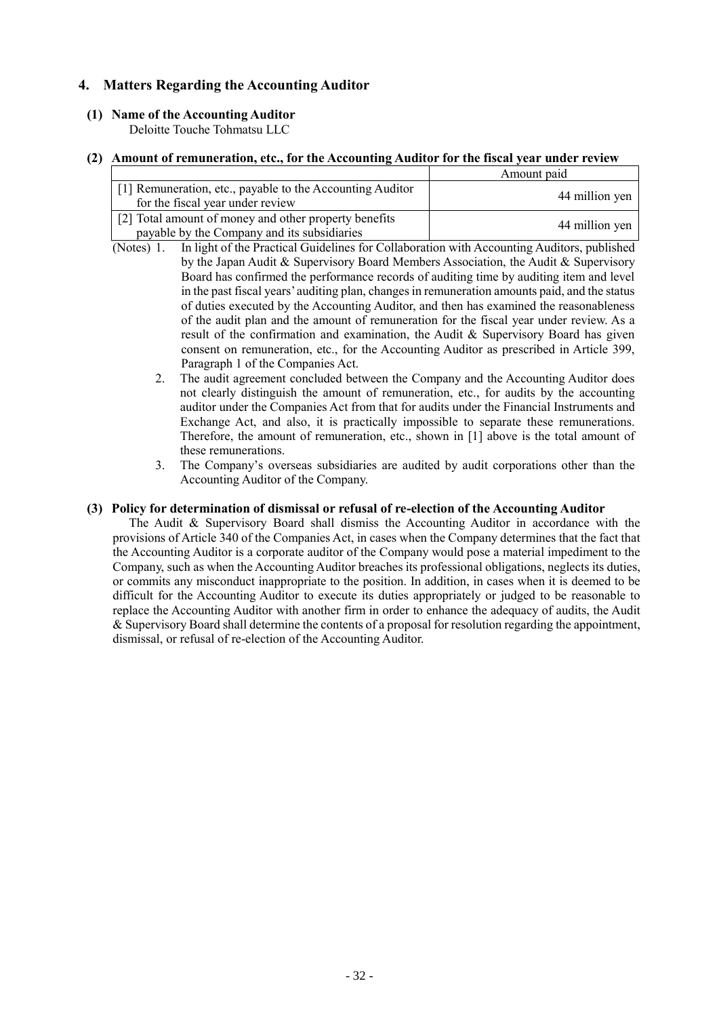# **4. Matters Regarding the Accounting Auditor**

### **(1) Name of the Accounting Auditor**

Deloitte Touche Tohmatsu LLC

#### **(2) Amount of remuneration, etc., for the Accounting Auditor for the fiscal year under review**

|                                                                                                      | Amount paid    |
|------------------------------------------------------------------------------------------------------|----------------|
| [1] Remuneration, etc., payable to the Accounting Auditor<br>for the fiscal year under review        | 44 million yen |
| [2] Total amount of money and other property benefits<br>payable by the Company and its subsidiaries | 44 million yen |

- (Notes) 1. In light of the Practical Guidelines for Collaboration with Accounting Auditors, published by the Japan Audit & Supervisory Board Members Association, the Audit & Supervisory Board has confirmed the performance records of auditing time by auditing item and level in the past fiscal years' auditing plan, changes in remuneration amounts paid, and the status of duties executed by the Accounting Auditor, and then has examined the reasonableness of the audit plan and the amount of remuneration for the fiscal year under review. As a result of the confirmation and examination, the Audit & Supervisory Board has given consent on remuneration, etc., for the Accounting Auditor as prescribed in Article 399, Paragraph 1 of the Companies Act.
	- 2. The audit agreement concluded between the Company and the Accounting Auditor does not clearly distinguish the amount of remuneration, etc., for audits by the accounting auditor under the Companies Act from that for audits under the Financial Instruments and Exchange Act, and also, it is practically impossible to separate these remunerations. Therefore, the amount of remuneration, etc., shown in [1] above is the total amount of these remunerations.
	- 3. The Company's overseas subsidiaries are audited by audit corporations other than the Accounting Auditor of the Company.

#### **(3) Policy for determination of dismissal or refusal of re-election of the Accounting Auditor**

The Audit & Supervisory Board shall dismiss the Accounting Auditor in accordance with the provisions of Article 340 of the Companies Act, in cases when the Company determines that the fact that the Accounting Auditor is a corporate auditor of the Company would pose a material impediment to the Company, such as when the Accounting Auditor breaches its professional obligations, neglects its duties, or commits any misconduct inappropriate to the position. In addition, in cases when it is deemed to be difficult for the Accounting Auditor to execute its duties appropriately or judged to be reasonable to replace the Accounting Auditor with another firm in order to enhance the adequacy of audits, the Audit & Supervisory Board shall determine the contents of a proposal for resolution regarding the appointment, dismissal, or refusal of re-election of the Accounting Auditor.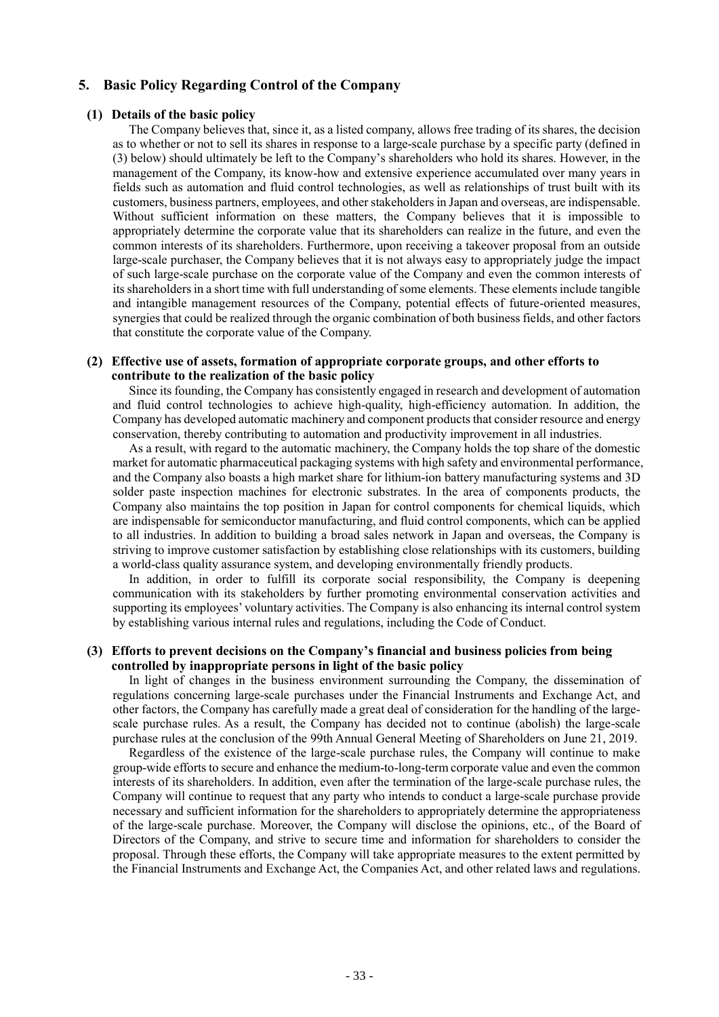### **5. Basic Policy Regarding Control of the Company**

#### **(1) Details of the basic policy**

The Company believes that, since it, as a listed company, allows free trading of its shares, the decision as to whether or not to sell its shares in response to a large-scale purchase by a specific party (defined in (3) below) should ultimately be left to the Company's shareholders who hold its shares. However, in the management of the Company, its know-how and extensive experience accumulated over many years in fields such as automation and fluid control technologies, as well as relationships of trust built with its customers, business partners, employees, and other stakeholders in Japan and overseas, are indispensable. Without sufficient information on these matters, the Company believes that it is impossible to appropriately determine the corporate value that its shareholders can realize in the future, and even the common interests of its shareholders. Furthermore, upon receiving a takeover proposal from an outside large-scale purchaser, the Company believes that it is not always easy to appropriately judge the impact of such large-scale purchase on the corporate value of the Company and even the common interests of its shareholders in a short time with full understanding of some elements. These elements include tangible and intangible management resources of the Company, potential effects of future-oriented measures, synergies that could be realized through the organic combination of both business fields, and other factors that constitute the corporate value of the Company.

#### **(2) Effective use of assets, formation of appropriate corporate groups, and other efforts to contribute to the realization of the basic policy**

Since its founding, the Company has consistently engaged in research and development of automation and fluid control technologies to achieve high-quality, high-efficiency automation. In addition, the Company has developed automatic machinery and component products that consider resource and energy conservation, thereby contributing to automation and productivity improvement in all industries.

As a result, with regard to the automatic machinery, the Company holds the top share of the domestic market for automatic pharmaceutical packaging systems with high safety and environmental performance, and the Company also boasts a high market share for lithium-ion battery manufacturing systems and 3D solder paste inspection machines for electronic substrates. In the area of components products, the Company also maintains the top position in Japan for control components for chemical liquids, which are indispensable for semiconductor manufacturing, and fluid control components, which can be applied to all industries. In addition to building a broad sales network in Japan and overseas, the Company is striving to improve customer satisfaction by establishing close relationships with its customers, building a world-class quality assurance system, and developing environmentally friendly products.

In addition, in order to fulfill its corporate social responsibility, the Company is deepening communication with its stakeholders by further promoting environmental conservation activities and supporting its employees' voluntary activities. The Company is also enhancing its internal control system by establishing various internal rules and regulations, including the Code of Conduct.

#### **(3) Efforts to prevent decisions on the Company's financial and business policies from being controlled by inappropriate persons in light of the basic policy**

In light of changes in the business environment surrounding the Company, the dissemination of regulations concerning large-scale purchases under the Financial Instruments and Exchange Act, and other factors, the Company has carefully made a great deal of consideration for the handling of the largescale purchase rules. As a result, the Company has decided not to continue (abolish) the large-scale purchase rules at the conclusion of the 99th Annual General Meeting of Shareholders on June 21, 2019.

Regardless of the existence of the large-scale purchase rules, the Company will continue to make group-wide efforts to secure and enhance the medium-to-long-term corporate value and even the common interests of its shareholders. In addition, even after the termination of the large-scale purchase rules, the Company will continue to request that any party who intends to conduct a large-scale purchase provide necessary and sufficient information for the shareholders to appropriately determine the appropriateness of the large-scale purchase. Moreover, the Company will disclose the opinions, etc., of the Board of Directors of the Company, and strive to secure time and information for shareholders to consider the proposal. Through these efforts, the Company will take appropriate measures to the extent permitted by the Financial Instruments and Exchange Act, the Companies Act, and other related laws and regulations.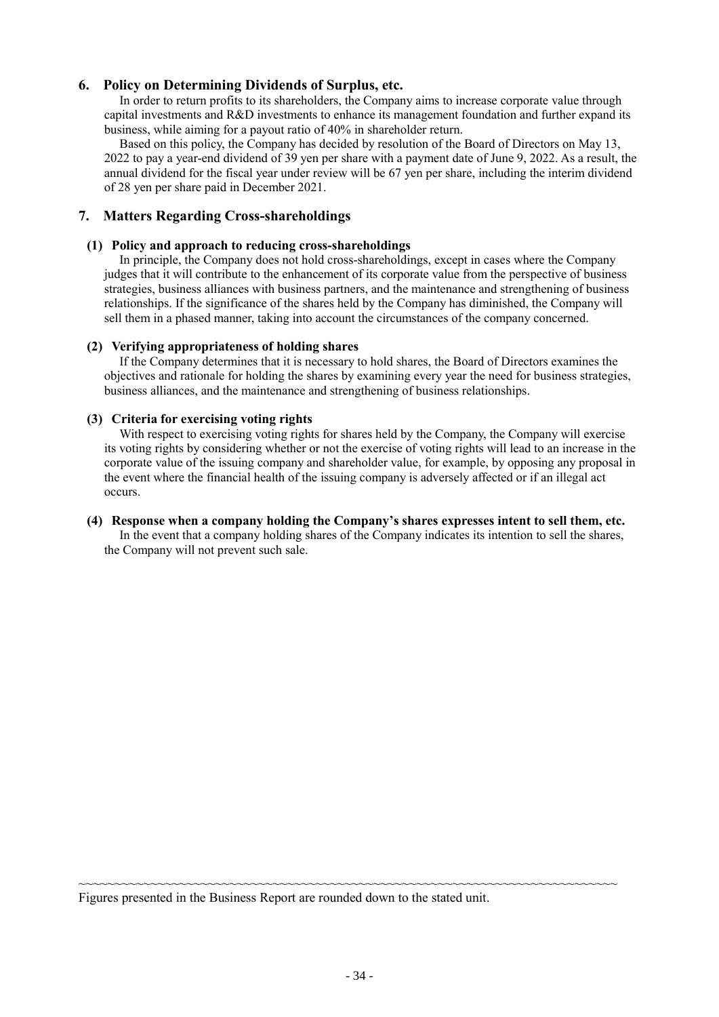### **6. Policy on Determining Dividends of Surplus, etc.**

In order to return profits to its shareholders, the Company aims to increase corporate value through capital investments and R&D investments to enhance its management foundation and further expand its business, while aiming for a payout ratio of 40% in shareholder return.

Based on this policy, the Company has decided by resolution of the Board of Directors on May 13, 2022 to pay a year-end dividend of 39 yen per share with a payment date of June 9, 2022. As a result, the annual dividend for the fiscal year under review will be 67 yen per share, including the interim dividend of 28 yen per share paid in December 2021.

### **7. Matters Regarding Cross-shareholdings**

### **(1) Policy and approach to reducing cross-shareholdings**

In principle, the Company does not hold cross-shareholdings, except in cases where the Company judges that it will contribute to the enhancement of its corporate value from the perspective of business strategies, business alliances with business partners, and the maintenance and strengthening of business relationships. If the significance of the shares held by the Company has diminished, the Company will sell them in a phased manner, taking into account the circumstances of the company concerned.

### **(2) Verifying appropriateness of holding shares**

If the Company determines that it is necessary to hold shares, the Board of Directors examines the objectives and rationale for holding the shares by examining every year the need for business strategies, business alliances, and the maintenance and strengthening of business relationships.

### **(3) Criteria for exercising voting rights**

With respect to exercising voting rights for shares held by the Company, the Company will exercise its voting rights by considering whether or not the exercise of voting rights will lead to an increase in the corporate value of the issuing company and shareholder value, for example, by opposing any proposal in the event where the financial health of the issuing company is adversely affected or if an illegal act occurs.

#### **(4) Response when a company holding the Company's shares expresses intent to sell them, etc.** In the event that a company holding shares of the Company indicates its intention to sell the shares, the Company will not prevent such sale.

Figures presented in the Business Report are rounded down to the stated unit.

~~~~~~~~~~~~~~~~~~~~~~~~~~~~~~~~~~~~~~~~~~~~~~~~~~~~~~~~~~~~~~~~~~~~~~~~~~~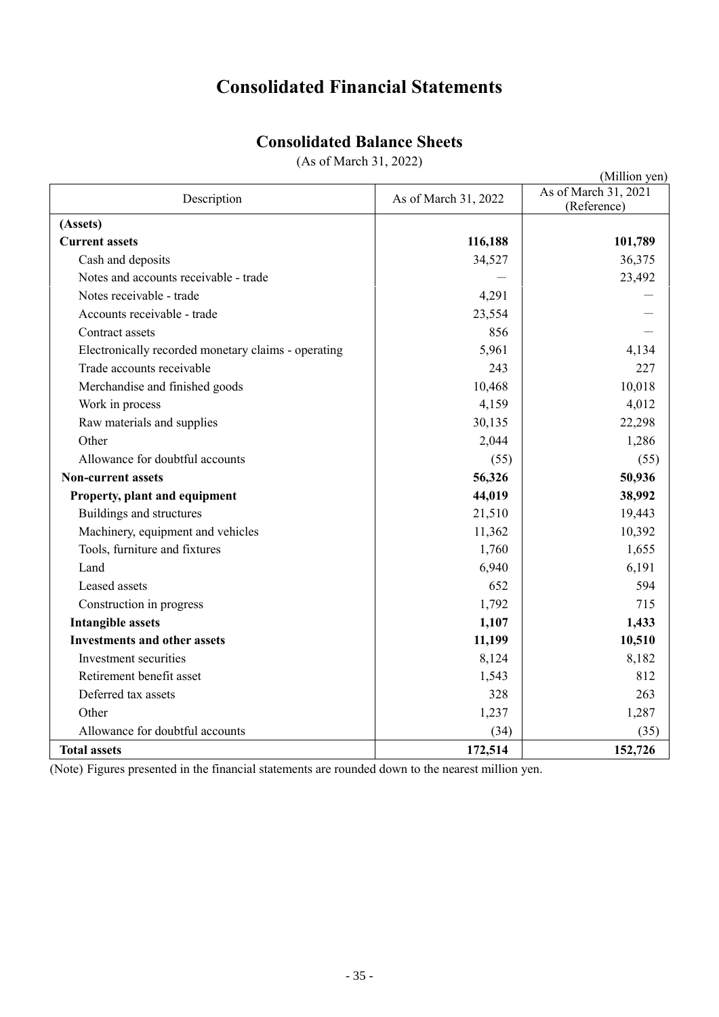# **Consolidated Financial Statements**

# **Consolidated Balance Sheets**

(As of March 31, 2022)

|                                                     |                      | (Million yen)                       |
|-----------------------------------------------------|----------------------|-------------------------------------|
| Description                                         | As of March 31, 2022 | As of March 31, 2021<br>(Reference) |
| (Assets)                                            |                      |                                     |
| <b>Current assets</b>                               | 116,188              | 101,789                             |
| Cash and deposits                                   | 34,527               | 36,375                              |
| Notes and accounts receivable - trade               |                      | 23,492                              |
| Notes receivable - trade                            | 4,291                |                                     |
| Accounts receivable - trade                         | 23,554               |                                     |
| Contract assets                                     | 856                  |                                     |
| Electronically recorded monetary claims - operating | 5,961                | 4,134                               |
| Trade accounts receivable                           | 243                  | 227                                 |
| Merchandise and finished goods                      | 10,468               | 10,018                              |
| Work in process                                     | 4,159                | 4,012                               |
| Raw materials and supplies                          | 30,135               | 22,298                              |
| Other                                               | 2,044                | 1,286                               |
| Allowance for doubtful accounts                     | (55)                 | (55)                                |
| <b>Non-current assets</b>                           | 56,326               | 50,936                              |
| Property, plant and equipment                       | 44,019               | 38,992                              |
| Buildings and structures                            | 21,510               | 19,443                              |
| Machinery, equipment and vehicles                   | 11,362               | 10,392                              |
| Tools, furniture and fixtures                       | 1,760                | 1,655                               |
| Land                                                | 6,940                | 6,191                               |
| Leased assets                                       | 652                  | 594                                 |
| Construction in progress                            | 1,792                | 715                                 |
| <b>Intangible assets</b>                            | 1,107                | 1,433                               |
| <b>Investments and other assets</b>                 | 11,199               | 10,510                              |
| Investment securities                               | 8,124                | 8,182                               |
| Retirement benefit asset                            | 1,543                | 812                                 |
| Deferred tax assets                                 | 328                  | 263                                 |
| Other                                               | 1,237                | 1,287                               |
| Allowance for doubtful accounts                     | (34)                 | (35)                                |
| <b>Total assets</b>                                 | 172,514              | 152,726                             |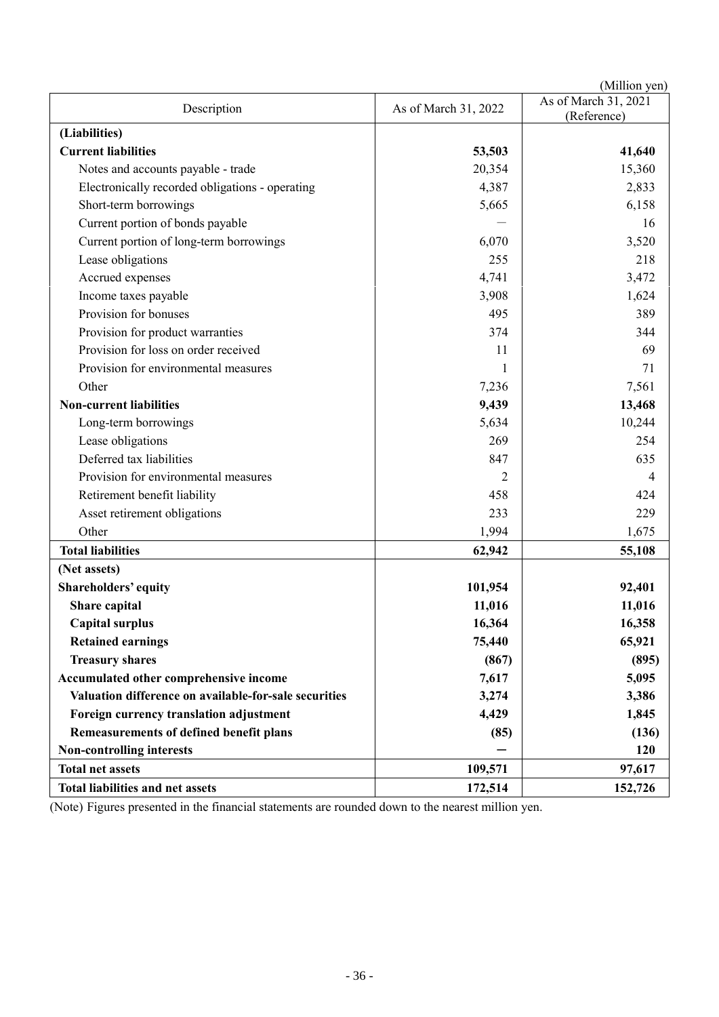|                                                       |                      | (Million yen)        |
|-------------------------------------------------------|----------------------|----------------------|
| Description                                           | As of March 31, 2022 | As of March 31, 2021 |
|                                                       |                      | (Reference)          |
| (Liabilities)<br><b>Current liabilities</b>           | 53,503               |                      |
|                                                       |                      | 41,640               |
| Notes and accounts payable - trade                    | 20,354               | 15,360               |
| Electronically recorded obligations - operating       | 4,387                | 2,833                |
| Short-term borrowings                                 | 5,665                | 6,158                |
| Current portion of bonds payable                      |                      | 16                   |
| Current portion of long-term borrowings               | 6,070                | 3,520                |
| Lease obligations                                     | 255                  | 218                  |
| Accrued expenses                                      | 4,741                | 3,472                |
| Income taxes payable                                  | 3,908                | 1,624                |
| Provision for bonuses                                 | 495                  | 389                  |
| Provision for product warranties                      | 374                  | 344                  |
| Provision for loss on order received                  | 11                   | 69                   |
| Provision for environmental measures                  | 1                    | 71                   |
| Other                                                 | 7,236                | 7,561                |
| <b>Non-current liabilities</b>                        | 9,439                | 13,468               |
| Long-term borrowings                                  | 5,634                | 10,244               |
| Lease obligations                                     | 269                  | 254                  |
| Deferred tax liabilities                              | 847                  | 635                  |
| Provision for environmental measures                  | 2                    | 4                    |
| Retirement benefit liability                          | 458                  | 424                  |
| Asset retirement obligations                          | 233                  | 229                  |
| Other                                                 | 1,994                | 1,675                |
| <b>Total liabilities</b>                              | 62,942               | 55,108               |
| (Net assets)                                          |                      |                      |
| Shareholders' equity                                  | 101,954              | 92,401               |
| Share capital                                         | 11,016               | 11,016               |
| <b>Capital surplus</b>                                | 16,364               | 16,358               |
| <b>Retained earnings</b>                              | 75,440               | 65,921               |
| <b>Treasury shares</b>                                | (867)                | (895)                |
| Accumulated other comprehensive income                | 7,617                | 5,095                |
| Valuation difference on available-for-sale securities | 3,274                | 3,386                |
| Foreign currency translation adjustment               | 4,429                | 1,845                |
| Remeasurements of defined benefit plans               | (85)                 | (136)                |
| Non-controlling interests                             |                      | 120                  |
| <b>Total net assets</b>                               | 109,571              | 97,617               |
| Total liabilities and net assets                      | 172,514              | 152,726              |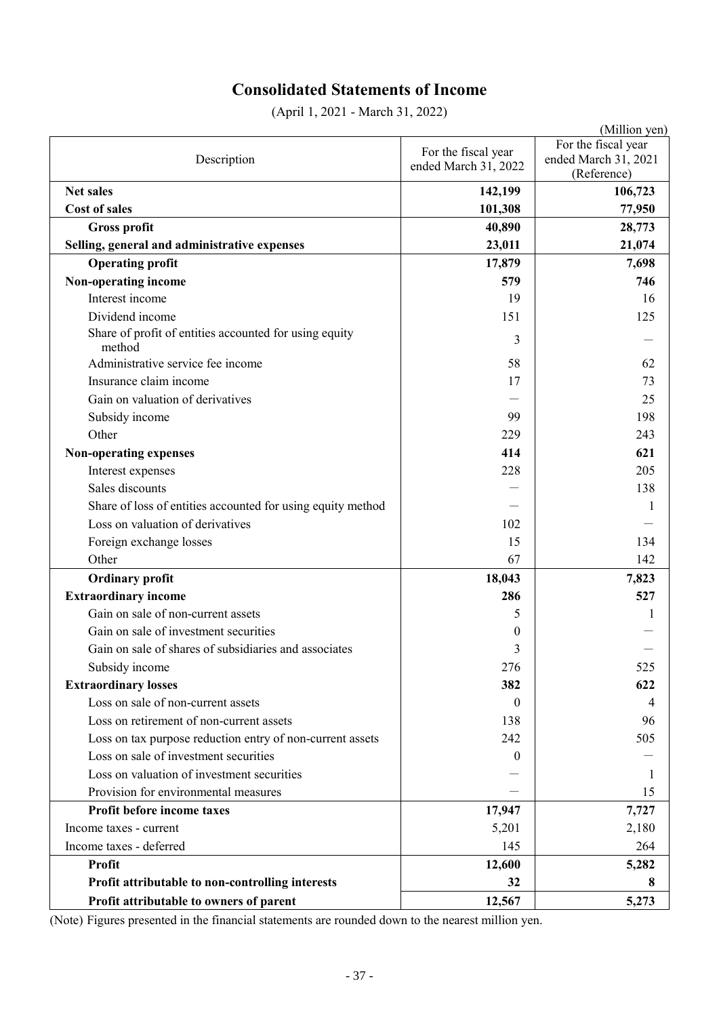# **Consolidated Statements of Income**

(April 1, 2021 - March 31, 2022)

|                                                                  |                                             | (Million yen)                                              |
|------------------------------------------------------------------|---------------------------------------------|------------------------------------------------------------|
| Description                                                      | For the fiscal year<br>ended March 31, 2022 | For the fiscal year<br>ended March 31, 2021<br>(Reference) |
| <b>Net sales</b>                                                 | 142,199                                     | 106,723                                                    |
| <b>Cost of sales</b>                                             | 101,308                                     | 77,950                                                     |
| <b>Gross profit</b>                                              | 40,890                                      | 28,773                                                     |
| Selling, general and administrative expenses                     | 23,011                                      | 21,074                                                     |
| <b>Operating profit</b>                                          | 17,879                                      | 7,698                                                      |
| Non-operating income                                             | 579                                         | 746                                                        |
| Interest income                                                  | 19                                          | 16                                                         |
| Dividend income                                                  | 151                                         | 125                                                        |
| Share of profit of entities accounted for using equity<br>method | 3                                           |                                                            |
| Administrative service fee income                                | 58                                          | 62                                                         |
| Insurance claim income                                           | 17                                          | 73                                                         |
| Gain on valuation of derivatives                                 |                                             | 25                                                         |
| Subsidy income                                                   | 99                                          | 198                                                        |
| Other                                                            | 229                                         | 243                                                        |
| Non-operating expenses                                           | 414                                         | 621                                                        |
| Interest expenses                                                | 228                                         | 205                                                        |
| Sales discounts                                                  |                                             | 138                                                        |
| Share of loss of entities accounted for using equity method      |                                             | 1                                                          |
| Loss on valuation of derivatives                                 | 102                                         |                                                            |
| Foreign exchange losses                                          | 15                                          | 134                                                        |
| Other                                                            | 67                                          | 142                                                        |
| <b>Ordinary profit</b>                                           | 18,043                                      | 7,823                                                      |
| <b>Extraordinary income</b>                                      | 286                                         | 527                                                        |
| Gain on sale of non-current assets                               | 5                                           | 1                                                          |
| Gain on sale of investment securities                            | $\boldsymbol{0}$                            |                                                            |
| Gain on sale of shares of subsidiaries and associates            | 3                                           |                                                            |
| Subsidy income                                                   | 276                                         | 525                                                        |
| <b>Extraordinary losses</b>                                      | 382                                         | 622                                                        |
| Loss on sale of non-current assets                               | $\theta$                                    | 4                                                          |
| Loss on retirement of non-current assets                         | 138                                         | 96                                                         |
| Loss on tax purpose reduction entry of non-current assets        | 242                                         | 505                                                        |
| Loss on sale of investment securities                            | $\theta$                                    |                                                            |
| Loss on valuation of investment securities                       |                                             | -1                                                         |
| Provision for environmental measures                             |                                             | 15                                                         |
| Profit before income taxes                                       | 17,947                                      | 7,727                                                      |
| Income taxes - current                                           | 5,201                                       | 2,180                                                      |
| Income taxes - deferred                                          | 145                                         | 264                                                        |
| <b>Profit</b>                                                    | 12,600                                      | 5,282                                                      |
| Profit attributable to non-controlling interests                 | 32                                          | 8                                                          |
| Profit attributable to owners of parent                          | 12,567                                      | 5,273                                                      |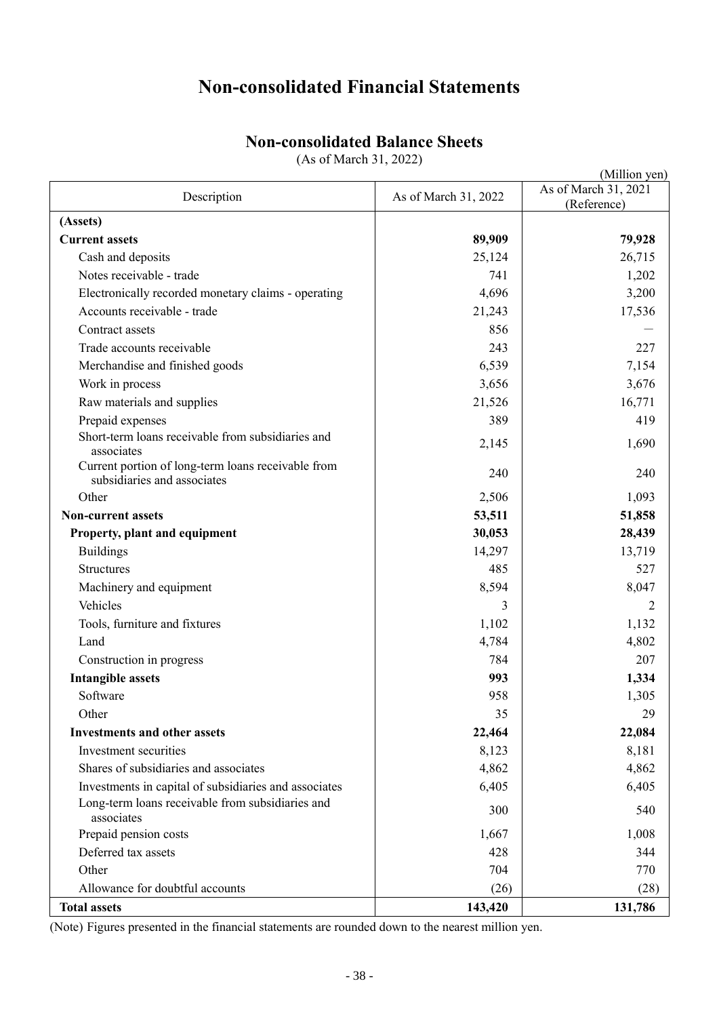# **Non-consolidated Financial Statements**

# **Non-consolidated Balance Sheets**

(As of March 31, 2022)

|                                                                                   |                      | (Million yen)                       |
|-----------------------------------------------------------------------------------|----------------------|-------------------------------------|
| Description                                                                       | As of March 31, 2022 | As of March 31, 2021<br>(Reference) |
| (Assets)                                                                          |                      |                                     |
| <b>Current assets</b>                                                             | 89,909               | 79,928                              |
| Cash and deposits                                                                 | 25,124               | 26,715                              |
| Notes receivable - trade                                                          | 741                  | 1,202                               |
| Electronically recorded monetary claims - operating                               | 4,696                | 3,200                               |
| Accounts receivable - trade                                                       | 21,243               | 17,536                              |
| Contract assets                                                                   | 856                  |                                     |
| Trade accounts receivable                                                         | 243                  | 227                                 |
| Merchandise and finished goods                                                    | 6,539                | 7,154                               |
| Work in process                                                                   | 3,656                | 3,676                               |
| Raw materials and supplies                                                        | 21,526               | 16,771                              |
| Prepaid expenses                                                                  | 389                  | 419                                 |
| Short-term loans receivable from subsidiaries and<br>associates                   | 2,145                | 1,690                               |
| Current portion of long-term loans receivable from<br>subsidiaries and associates | 240                  | 240                                 |
| Other                                                                             | 2,506                | 1,093                               |
| <b>Non-current assets</b>                                                         | 53,511               | 51,858                              |
| Property, plant and equipment                                                     | 30,053               | 28,439                              |
| <b>Buildings</b>                                                                  | 14,297               | 13,719                              |
| Structures                                                                        | 485                  | 527                                 |
| Machinery and equipment                                                           | 8,594                | 8,047                               |
| Vehicles                                                                          | 3                    | 2                                   |
| Tools, furniture and fixtures                                                     | 1,102                | 1,132                               |
| Land                                                                              | 4,784                | 4,802                               |
| Construction in progress                                                          | 784                  | 207                                 |
| <b>Intangible assets</b>                                                          | 993                  | 1,334                               |
| Software                                                                          | 958                  | 1,305                               |
| Other                                                                             | 35                   | 29                                  |
| <b>Investments and other assets</b>                                               | 22,464               | 22,084                              |
| Investment securities                                                             | 8,123                | 8,181                               |
| Shares of subsidiaries and associates                                             | 4,862                | 4,862                               |
| Investments in capital of subsidiaries and associates                             | 6,405                | 6,405                               |
| Long-term loans receivable from subsidiaries and<br>associates                    | 300                  | 540                                 |
| Prepaid pension costs                                                             | 1,667                | 1,008                               |
| Deferred tax assets                                                               | 428                  | 344                                 |
| Other                                                                             | 704                  | 770                                 |
| Allowance for doubtful accounts                                                   | (26)                 | (28)                                |
| <b>Total assets</b>                                                               | 143,420              | 131,786                             |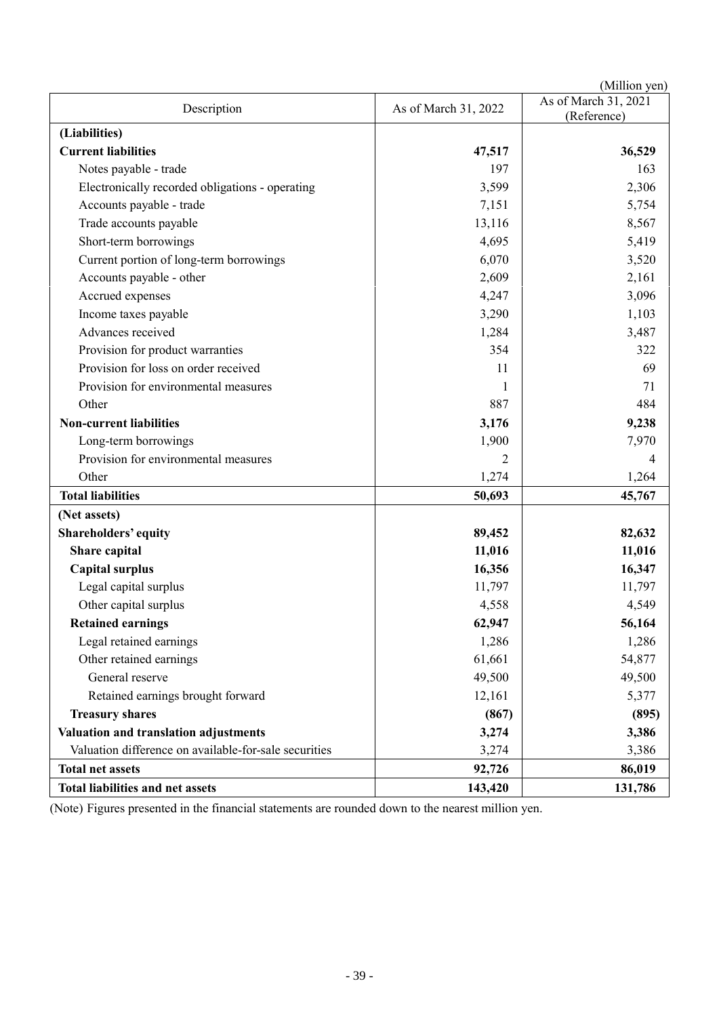| (Million yen)                                         |                      |                                     |
|-------------------------------------------------------|----------------------|-------------------------------------|
| Description                                           | As of March 31, 2022 | As of March 31, 2021<br>(Reference) |
| (Liabilities)                                         |                      |                                     |
| <b>Current liabilities</b>                            | 47,517               | 36,529                              |
| Notes payable - trade                                 | 197                  | 163                                 |
| Electronically recorded obligations - operating       | 3,599                | 2,306                               |
| Accounts payable - trade                              | 7,151                | 5,754                               |
| Trade accounts payable                                | 13,116               | 8,567                               |
| Short-term borrowings                                 | 4,695                | 5,419                               |
| Current portion of long-term borrowings               | 6,070                | 3,520                               |
| Accounts payable - other                              | 2,609                | 2,161                               |
| Accrued expenses                                      | 4,247                | 3,096                               |
| Income taxes payable                                  | 3,290                | 1,103                               |
| Advances received                                     | 1,284                | 3,487                               |
| Provision for product warranties                      | 354                  | 322                                 |
| Provision for loss on order received                  | 11                   | 69                                  |
| Provision for environmental measures                  |                      | 71                                  |
| Other                                                 | 887                  | 484                                 |
| <b>Non-current liabilities</b>                        | 3,176                | 9,238                               |
| Long-term borrowings                                  | 1,900                | 7,970                               |
| Provision for environmental measures                  | 2                    | 4                                   |
| Other                                                 | 1,274                | 1,264                               |
| <b>Total liabilities</b>                              | 50,693               | 45,767                              |
| (Net assets)                                          |                      |                                     |
| Shareholders' equity                                  | 89,452               | 82,632                              |
| Share capital                                         | 11,016               | 11,016                              |
| <b>Capital surplus</b>                                | 16,356               | 16,347                              |
| Legal capital surplus                                 | 11,797               | 11,797                              |
| Other capital surplus                                 | 4,558                | 4,549                               |
| <b>Retained earnings</b>                              | 62,947               | 56,164                              |
| Legal retained earnings                               | 1,286                | 1,286                               |
| Other retained earnings                               | 61,661               | 54,877                              |
| General reserve                                       | 49,500               | 49,500                              |
| Retained earnings brought forward                     | 12,161               | 5,377                               |
| <b>Treasury shares</b>                                | (867)                | (895)                               |
| Valuation and translation adjustments                 | 3,274                | 3,386                               |
| Valuation difference on available-for-sale securities | 3,274                | 3,386                               |
| <b>Total net assets</b>                               | 92,726               | 86,019                              |
| Total liabilities and net assets                      | 143,420              | 131,786                             |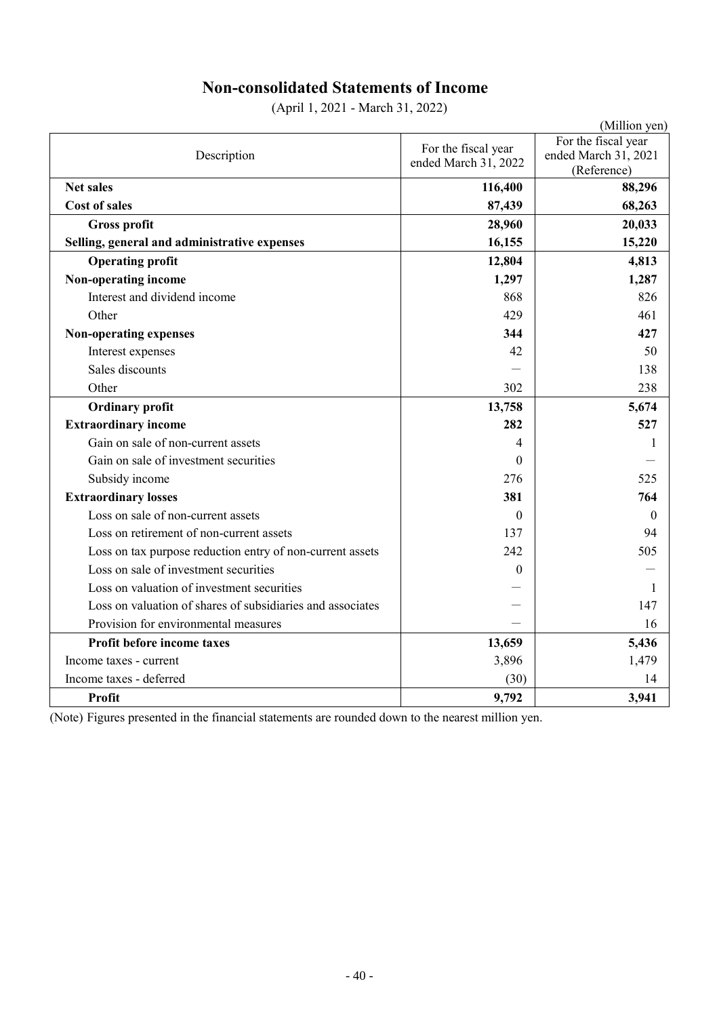# **Non-consolidated Statements of Income**

(April 1, 2021 - March 31, 2022)

|                                                            |                      | (Million yen)        |
|------------------------------------------------------------|----------------------|----------------------|
|                                                            | For the fiscal year  | For the fiscal year  |
| Description                                                | ended March 31, 2022 | ended March 31, 2021 |
|                                                            |                      | (Reference)          |
| <b>Net sales</b>                                           | 116,400              | 88,296               |
| <b>Cost of sales</b>                                       | 87,439               | 68,263               |
| <b>Gross profit</b>                                        | 28,960               | 20,033               |
| Selling, general and administrative expenses               | 16,155               | 15,220               |
| <b>Operating profit</b>                                    | 12,804               | 4,813                |
| Non-operating income                                       | 1,297                | 1,287                |
| Interest and dividend income                               | 868                  | 826                  |
| Other                                                      | 429                  | 461                  |
| Non-operating expenses                                     | 344                  | 427                  |
| Interest expenses                                          | 42                   | 50                   |
| Sales discounts                                            |                      | 138                  |
| Other                                                      | 302                  | 238                  |
| <b>Ordinary profit</b>                                     | 13,758               | 5,674                |
| <b>Extraordinary income</b>                                | 282                  | 527                  |
| Gain on sale of non-current assets                         | 4                    | 1                    |
| Gain on sale of investment securities                      | $\theta$             |                      |
| Subsidy income                                             | 276                  | 525                  |
| <b>Extraordinary losses</b>                                | 381                  | 764                  |
| Loss on sale of non-current assets                         | $\Omega$             | $\Omega$             |
| Loss on retirement of non-current assets                   | 137                  | 94                   |
| Loss on tax purpose reduction entry of non-current assets  | 242                  | 505                  |
| Loss on sale of investment securities                      | $\theta$             |                      |
| Loss on valuation of investment securities                 |                      | 1                    |
| Loss on valuation of shares of subsidiaries and associates |                      | 147                  |
| Provision for environmental measures                       |                      | 16                   |
| Profit before income taxes                                 | 13,659               | 5,436                |
| Income taxes - current                                     | 3,896                | 1,479                |
| Income taxes - deferred                                    | (30)                 | 14                   |
| <b>Profit</b>                                              | 9,792                | 3,941                |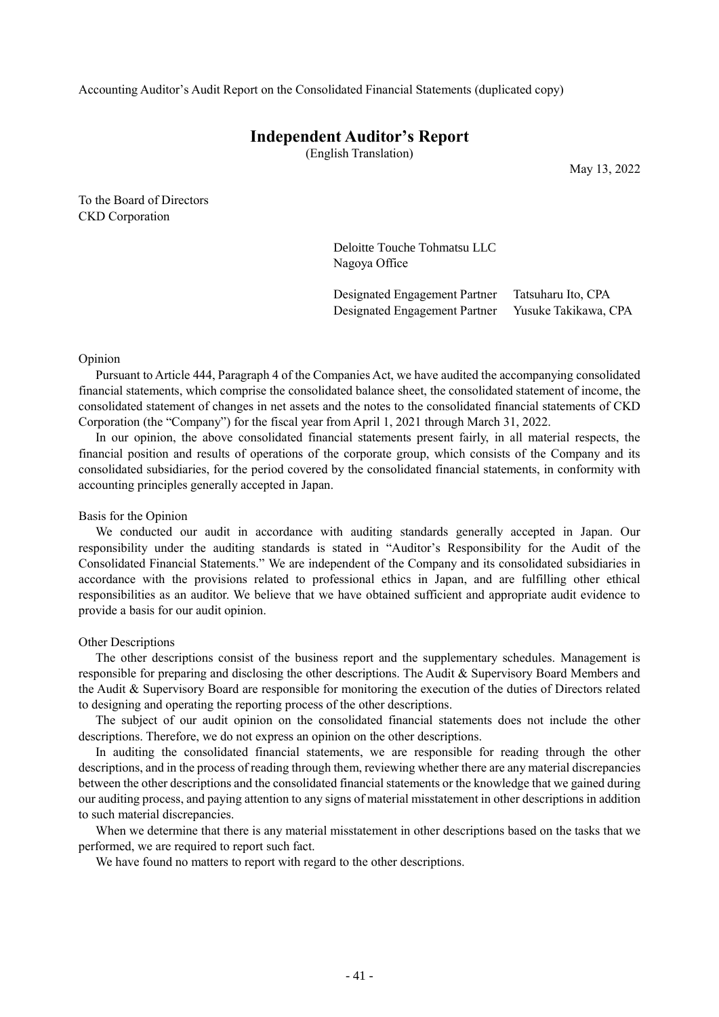Accounting Auditor's Audit Report on the Consolidated Financial Statements (duplicated copy)

# **Independent Auditor's Report**

(English Translation)

May 13, 2022

To the Board of Directors CKD Corporation

> Deloitte Touche Tohmatsu LLC Nagoya Office

Designated Engagement Partner Tatsuharu Ito, CPA Designated Engagement Partner Yusuke Takikawa, CPA

#### Opinion

Pursuant to Article 444, Paragraph 4 of the Companies Act, we have audited the accompanying consolidated financial statements, which comprise the consolidated balance sheet, the consolidated statement of income, the consolidated statement of changes in net assets and the notes to the consolidated financial statements of CKD Corporation (the "Company") for the fiscal year from April 1, 2021 through March 31, 2022.

In our opinion, the above consolidated financial statements present fairly, in all material respects, the financial position and results of operations of the corporate group, which consists of the Company and its consolidated subsidiaries, for the period covered by the consolidated financial statements, in conformity with accounting principles generally accepted in Japan.

#### Basis for the Opinion

We conducted our audit in accordance with auditing standards generally accepted in Japan. Our responsibility under the auditing standards is stated in "Auditor's Responsibility for the Audit of the Consolidated Financial Statements." We are independent of the Company and its consolidated subsidiaries in accordance with the provisions related to professional ethics in Japan, and are fulfilling other ethical responsibilities as an auditor. We believe that we have obtained sufficient and appropriate audit evidence to provide a basis for our audit opinion.

#### Other Descriptions

The other descriptions consist of the business report and the supplementary schedules. Management is responsible for preparing and disclosing the other descriptions. The Audit & Supervisory Board Members and the Audit & Supervisory Board are responsible for monitoring the execution of the duties of Directors related to designing and operating the reporting process of the other descriptions.

The subject of our audit opinion on the consolidated financial statements does not include the other descriptions. Therefore, we do not express an opinion on the other descriptions.

In auditing the consolidated financial statements, we are responsible for reading through the other descriptions, and in the process of reading through them, reviewing whether there are any material discrepancies between the other descriptions and the consolidated financial statements or the knowledge that we gained during our auditing process, and paying attention to any signs of material misstatement in other descriptions in addition to such material discrepancies.

When we determine that there is any material misstatement in other descriptions based on the tasks that we performed, we are required to report such fact.

We have found no matters to report with regard to the other descriptions.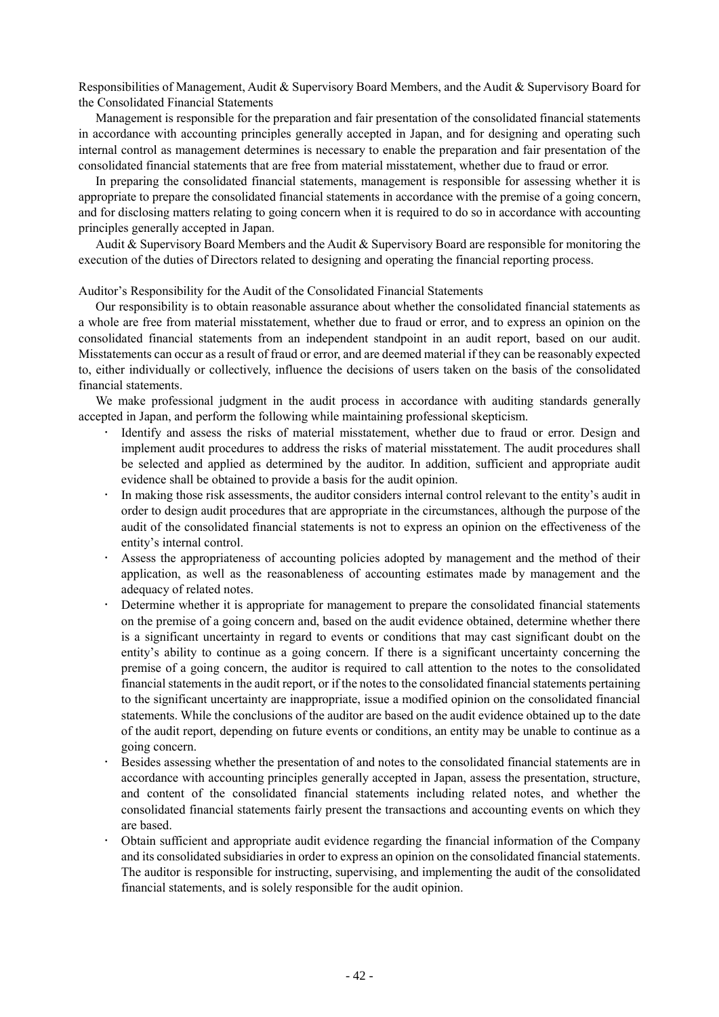Responsibilities of Management, Audit & Supervisory Board Members, and the Audit & Supervisory Board for the Consolidated Financial Statements

Management is responsible for the preparation and fair presentation of the consolidated financial statements in accordance with accounting principles generally accepted in Japan, and for designing and operating such internal control as management determines is necessary to enable the preparation and fair presentation of the consolidated financial statements that are free from material misstatement, whether due to fraud or error.

In preparing the consolidated financial statements, management is responsible for assessing whether it is appropriate to prepare the consolidated financial statements in accordance with the premise of a going concern, and for disclosing matters relating to going concern when it is required to do so in accordance with accounting principles generally accepted in Japan.

Audit & Supervisory Board Members and the Audit & Supervisory Board are responsible for monitoring the execution of the duties of Directors related to designing and operating the financial reporting process.

Auditor's Responsibility for the Audit of the Consolidated Financial Statements

Our responsibility is to obtain reasonable assurance about whether the consolidated financial statements as a whole are free from material misstatement, whether due to fraud or error, and to express an opinion on the consolidated financial statements from an independent standpoint in an audit report, based on our audit. Misstatements can occur as a result of fraud or error, and are deemed material if they can be reasonably expected to, either individually or collectively, influence the decisions of users taken on the basis of the consolidated financial statements.

We make professional judgment in the audit process in accordance with auditing standards generally accepted in Japan, and perform the following while maintaining professional skepticism.

- Identify and assess the risks of material misstatement, whether due to fraud or error. Design and implement audit procedures to address the risks of material misstatement. The audit procedures shall be selected and applied as determined by the auditor. In addition, sufficient and appropriate audit evidence shall be obtained to provide a basis for the audit opinion.
- In making those risk assessments, the auditor considers internal control relevant to the entity's audit in order to design audit procedures that are appropriate in the circumstances, although the purpose of the audit of the consolidated financial statements is not to express an opinion on the effectiveness of the entity's internal control.
- Assess the appropriateness of accounting policies adopted by management and the method of their application, as well as the reasonableness of accounting estimates made by management and the adequacy of related notes.
- Determine whether it is appropriate for management to prepare the consolidated financial statements on the premise of a going concern and, based on the audit evidence obtained, determine whether there is a significant uncertainty in regard to events or conditions that may cast significant doubt on the entity's ability to continue as a going concern. If there is a significant uncertainty concerning the premise of a going concern, the auditor is required to call attention to the notes to the consolidated financial statements in the audit report, or if the notes to the consolidated financial statements pertaining to the significant uncertainty are inappropriate, issue a modified opinion on the consolidated financial statements. While the conclusions of the auditor are based on the audit evidence obtained up to the date of the audit report, depending on future events or conditions, an entity may be unable to continue as a going concern.
- Besides assessing whether the presentation of and notes to the consolidated financial statements are in accordance with accounting principles generally accepted in Japan, assess the presentation, structure, and content of the consolidated financial statements including related notes, and whether the consolidated financial statements fairly present the transactions and accounting events on which they are based.
- Obtain sufficient and appropriate audit evidence regarding the financial information of the Company and its consolidated subsidiaries in order to express an opinion on the consolidated financial statements. The auditor is responsible for instructing, supervising, and implementing the audit of the consolidated financial statements, and is solely responsible for the audit opinion.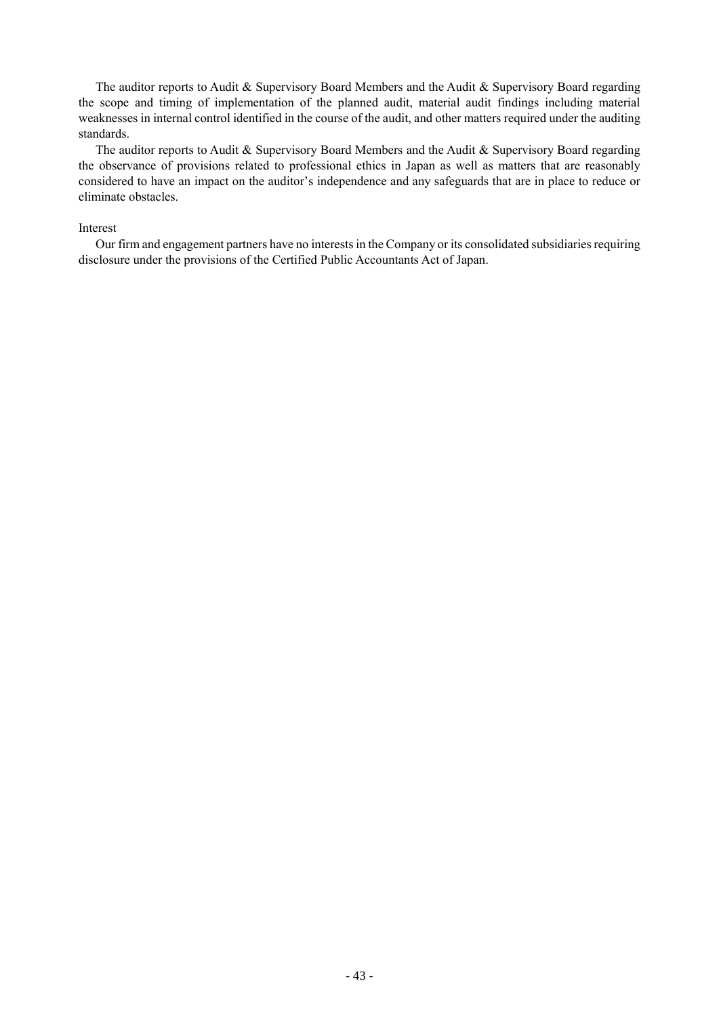The auditor reports to Audit & Supervisory Board Members and the Audit & Supervisory Board regarding the scope and timing of implementation of the planned audit, material audit findings including material weaknesses in internal control identified in the course of the audit, and other matters required under the auditing standards.

The auditor reports to Audit & Supervisory Board Members and the Audit & Supervisory Board regarding the observance of provisions related to professional ethics in Japan as well as matters that are reasonably considered to have an impact on the auditor's independence and any safeguards that are in place to reduce or eliminate obstacles.

#### Interest

Our firm and engagement partners have no interests in the Company or its consolidated subsidiaries requiring disclosure under the provisions of the Certified Public Accountants Act of Japan.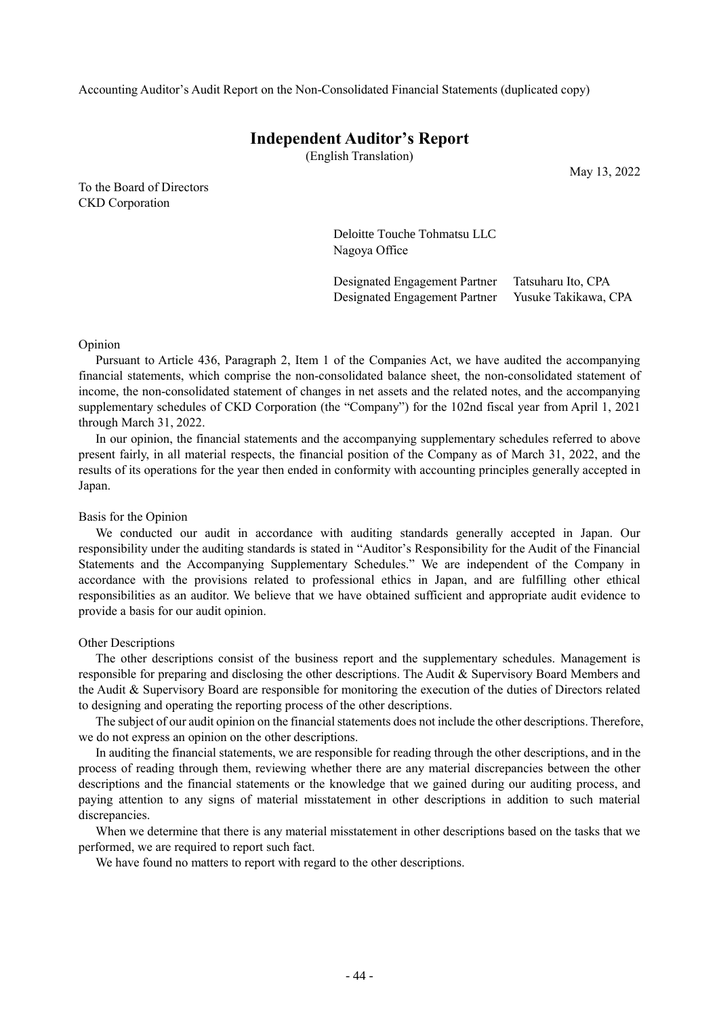Accounting Auditor's Audit Report on the Non-Consolidated Financial Statements (duplicated copy)

# **Independent Auditor's Report**

(English Translation)

To the Board of Directors CKD Corporation

May 13, 2022

Deloitte Touche Tohmatsu LLC Nagoya Office

Designated Engagement Partner Tatsuharu Ito, CPA Designated Engagement Partner Yusuke Takikawa, CPA

#### Opinion

Pursuant to Article 436, Paragraph 2, Item 1 of the Companies Act, we have audited the accompanying financial statements, which comprise the non-consolidated balance sheet, the non-consolidated statement of income, the non-consolidated statement of changes in net assets and the related notes, and the accompanying supplementary schedules of CKD Corporation (the "Company") for the 102nd fiscal year from April 1, 2021 through March 31, 2022.

In our opinion, the financial statements and the accompanying supplementary schedules referred to above present fairly, in all material respects, the financial position of the Company as of March 31, 2022, and the results of its operations for the year then ended in conformity with accounting principles generally accepted in Japan.

#### Basis for the Opinion

We conducted our audit in accordance with auditing standards generally accepted in Japan. Our responsibility under the auditing standards is stated in "Auditor's Responsibility for the Audit of the Financial Statements and the Accompanying Supplementary Schedules." We are independent of the Company in accordance with the provisions related to professional ethics in Japan, and are fulfilling other ethical responsibilities as an auditor. We believe that we have obtained sufficient and appropriate audit evidence to provide a basis for our audit opinion.

#### Other Descriptions

The other descriptions consist of the business report and the supplementary schedules. Management is responsible for preparing and disclosing the other descriptions. The Audit & Supervisory Board Members and the Audit & Supervisory Board are responsible for monitoring the execution of the duties of Directors related to designing and operating the reporting process of the other descriptions.

The subject of our audit opinion on the financial statements does not include the other descriptions. Therefore, we do not express an opinion on the other descriptions.

In auditing the financial statements, we are responsible for reading through the other descriptions, and in the process of reading through them, reviewing whether there are any material discrepancies between the other descriptions and the financial statements or the knowledge that we gained during our auditing process, and paying attention to any signs of material misstatement in other descriptions in addition to such material discrepancies.

When we determine that there is any material misstatement in other descriptions based on the tasks that we performed, we are required to report such fact.

We have found no matters to report with regard to the other descriptions.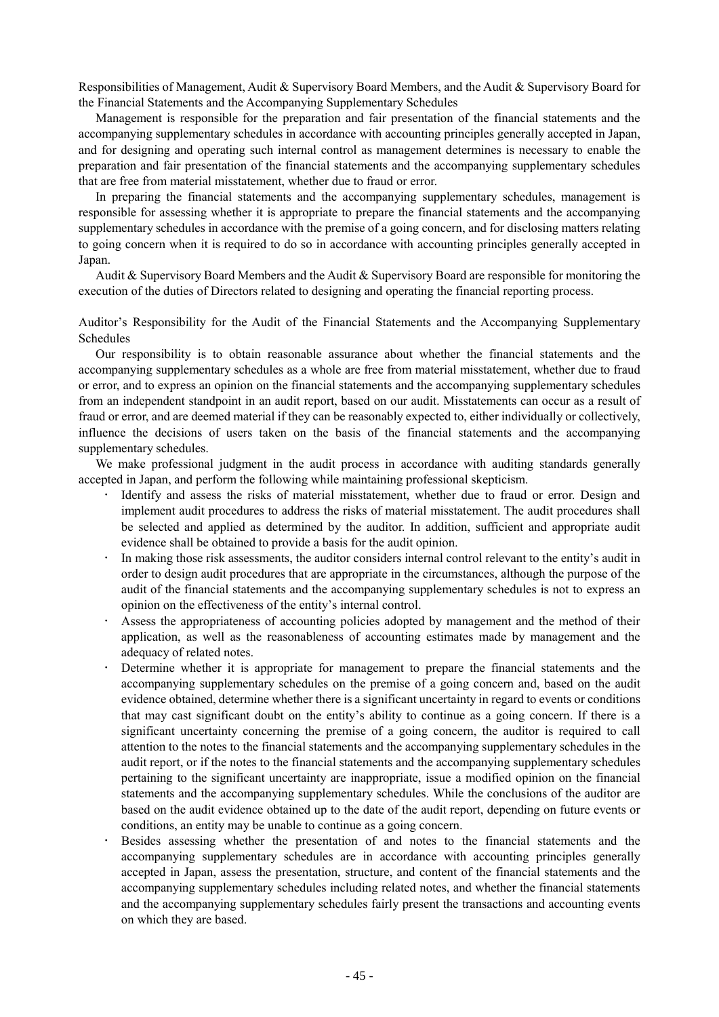Responsibilities of Management, Audit & Supervisory Board Members, and the Audit & Supervisory Board for the Financial Statements and the Accompanying Supplementary Schedules

Management is responsible for the preparation and fair presentation of the financial statements and the accompanying supplementary schedules in accordance with accounting principles generally accepted in Japan, and for designing and operating such internal control as management determines is necessary to enable the preparation and fair presentation of the financial statements and the accompanying supplementary schedules that are free from material misstatement, whether due to fraud or error.

In preparing the financial statements and the accompanying supplementary schedules, management is responsible for assessing whether it is appropriate to prepare the financial statements and the accompanying supplementary schedules in accordance with the premise of a going concern, and for disclosing matters relating to going concern when it is required to do so in accordance with accounting principles generally accepted in Japan.

Audit & Supervisory Board Members and the Audit & Supervisory Board are responsible for monitoring the execution of the duties of Directors related to designing and operating the financial reporting process.

Auditor's Responsibility for the Audit of the Financial Statements and the Accompanying Supplementary Schedules

Our responsibility is to obtain reasonable assurance about whether the financial statements and the accompanying supplementary schedules as a whole are free from material misstatement, whether due to fraud or error, and to express an opinion on the financial statements and the accompanying supplementary schedules from an independent standpoint in an audit report, based on our audit. Misstatements can occur as a result of fraud or error, and are deemed material if they can be reasonably expected to, either individually or collectively, influence the decisions of users taken on the basis of the financial statements and the accompanying supplementary schedules.

We make professional judgment in the audit process in accordance with auditing standards generally accepted in Japan, and perform the following while maintaining professional skepticism.

- Identify and assess the risks of material misstatement, whether due to fraud or error. Design and implement audit procedures to address the risks of material misstatement. The audit procedures shall be selected and applied as determined by the auditor. In addition, sufficient and appropriate audit evidence shall be obtained to provide a basis for the audit opinion.
- In making those risk assessments, the auditor considers internal control relevant to the entity's audit in order to design audit procedures that are appropriate in the circumstances, although the purpose of the audit of the financial statements and the accompanying supplementary schedules is not to express an opinion on the effectiveness of the entity's internal control.
- Assess the appropriateness of accounting policies adopted by management and the method of their application, as well as the reasonableness of accounting estimates made by management and the adequacy of related notes.
- Determine whether it is appropriate for management to prepare the financial statements and the accompanying supplementary schedules on the premise of a going concern and, based on the audit evidence obtained, determine whether there is a significant uncertainty in regard to events or conditions that may cast significant doubt on the entity's ability to continue as a going concern. If there is a significant uncertainty concerning the premise of a going concern, the auditor is required to call attention to the notes to the financial statements and the accompanying supplementary schedules in the audit report, or if the notes to the financial statements and the accompanying supplementary schedules pertaining to the significant uncertainty are inappropriate, issue a modified opinion on the financial statements and the accompanying supplementary schedules. While the conclusions of the auditor are based on the audit evidence obtained up to the date of the audit report, depending on future events or conditions, an entity may be unable to continue as a going concern.
	- Besides assessing whether the presentation of and notes to the financial statements and the accompanying supplementary schedules are in accordance with accounting principles generally accepted in Japan, assess the presentation, structure, and content of the financial statements and the accompanying supplementary schedules including related notes, and whether the financial statements and the accompanying supplementary schedules fairly present the transactions and accounting events on which they are based.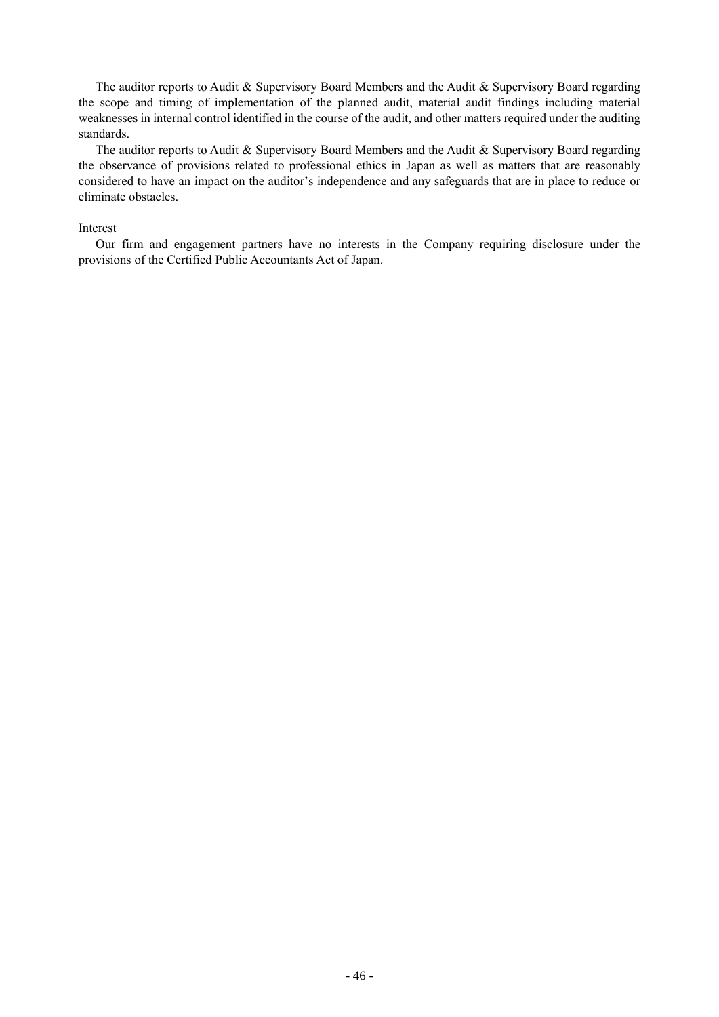The auditor reports to Audit & Supervisory Board Members and the Audit & Supervisory Board regarding the scope and timing of implementation of the planned audit, material audit findings including material weaknesses in internal control identified in the course of the audit, and other matters required under the auditing standards.

The auditor reports to Audit & Supervisory Board Members and the Audit & Supervisory Board regarding the observance of provisions related to professional ethics in Japan as well as matters that are reasonably considered to have an impact on the auditor's independence and any safeguards that are in place to reduce or eliminate obstacles.

#### Interest

Our firm and engagement partners have no interests in the Company requiring disclosure under the provisions of the Certified Public Accountants Act of Japan.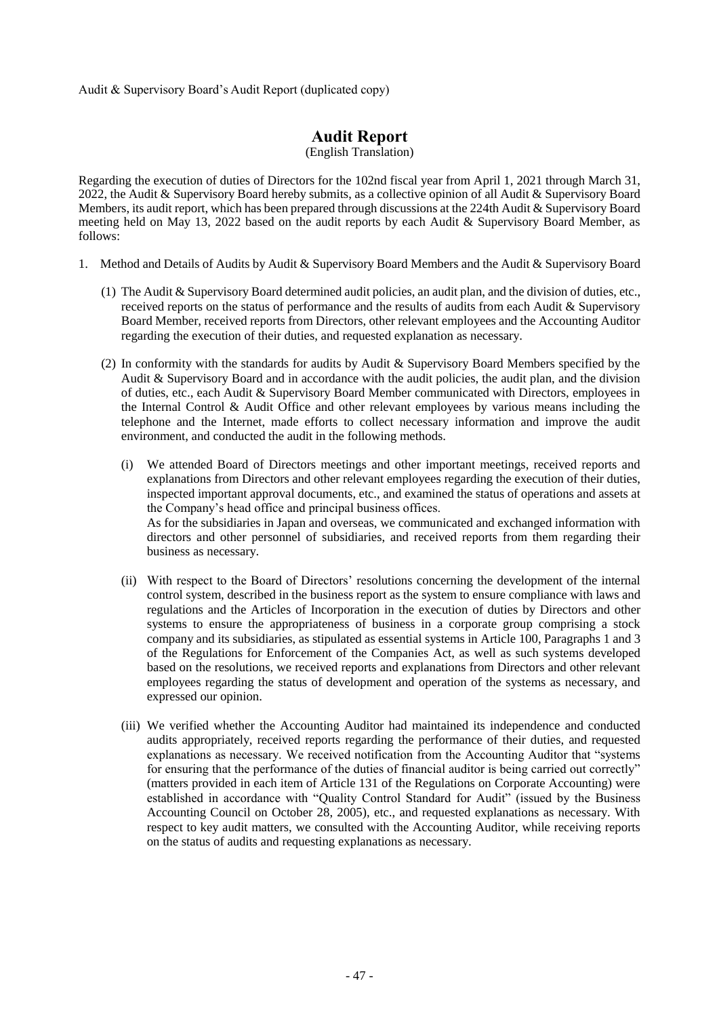Audit & Supervisory Board's Audit Report (duplicated copy)

# **Audit Report**

(English Translation)

Regarding the execution of duties of Directors for the 102nd fiscal year from April 1, 2021 through March 31, 2022, the Audit & Supervisory Board hereby submits, as a collective opinion of all Audit & Supervisory Board Members, its audit report, which has been prepared through discussions at the 224th Audit & Supervisory Board meeting held on May 13, 2022 based on the audit reports by each Audit & Supervisory Board Member, as follows:

- 1. Method and Details of Audits by Audit & Supervisory Board Members and the Audit & Supervisory Board
	- (1) The Audit & Supervisory Board determined audit policies, an audit plan, and the division of duties, etc., received reports on the status of performance and the results of audits from each Audit & Supervisory Board Member, received reports from Directors, other relevant employees and the Accounting Auditor regarding the execution of their duties, and requested explanation as necessary.
	- (2) In conformity with the standards for audits by Audit & Supervisory Board Members specified by the Audit & Supervisory Board and in accordance with the audit policies, the audit plan, and the division of duties, etc., each Audit & Supervisory Board Member communicated with Directors, employees in the Internal Control & Audit Office and other relevant employees by various means including the telephone and the Internet, made efforts to collect necessary information and improve the audit environment, and conducted the audit in the following methods.
		- (i) We attended Board of Directors meetings and other important meetings, received reports and explanations from Directors and other relevant employees regarding the execution of their duties, inspected important approval documents, etc., and examined the status of operations and assets at the Company's head office and principal business offices. As for the subsidiaries in Japan and overseas, we communicated and exchanged information with directors and other personnel of subsidiaries, and received reports from them regarding their business as necessary.
		- (ii) With respect to the Board of Directors' resolutions concerning the development of the internal control system, described in the business report as the system to ensure compliance with laws and regulations and the Articles of Incorporation in the execution of duties by Directors and other systems to ensure the appropriateness of business in a corporate group comprising a stock company and its subsidiaries, as stipulated as essential systems in Article 100, Paragraphs 1 and 3 of the Regulations for Enforcement of the Companies Act, as well as such systems developed based on the resolutions, we received reports and explanations from Directors and other relevant employees regarding the status of development and operation of the systems as necessary, and expressed our opinion.
		- (iii) We verified whether the Accounting Auditor had maintained its independence and conducted audits appropriately, received reports regarding the performance of their duties, and requested explanations as necessary. We received notification from the Accounting Auditor that "systems for ensuring that the performance of the duties of financial auditor is being carried out correctly" (matters provided in each item of Article 131 of the Regulations on Corporate Accounting) were established in accordance with "Quality Control Standard for Audit" (issued by the Business Accounting Council on October 28, 2005), etc., and requested explanations as necessary. With respect to key audit matters, we consulted with the Accounting Auditor, while receiving reports on the status of audits and requesting explanations as necessary.